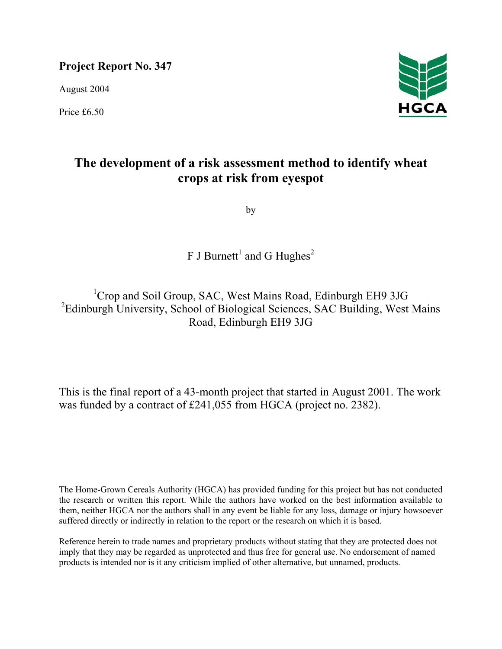**Project Report No. 347** 

August 2004

Price £6.50



# **The development of a risk assessment method to identify wheat crops at risk from eyespot**

by

F J Burnett<sup>1</sup> and G Hughes<sup>2</sup>

<sup>1</sup>Crop and Soil Group, SAC, West Mains Road, Edinburgh EH9 3JG <sup>2</sup>Edinburgh University, School of Biological Sciences, SAC Building, West Mains Road, Edinburgh EH9 3JG

This is the final report of a 43-month project that started in August 2001. The work was funded by a contract of £241,055 from HGCA (project no. 2382).

The Home-Grown Cereals Authority (HGCA) has provided funding for this project but has not conducted the research or written this report. While the authors have worked on the best information available to them, neither HGCA nor the authors shall in any event be liable for any loss, damage or injury howsoever suffered directly or indirectly in relation to the report or the research on which it is based.

Reference herein to trade names and proprietary products without stating that they are protected does not imply that they may be regarded as unprotected and thus free for general use. No endorsement of named products is intended nor is it any criticism implied of other alternative, but unnamed, products.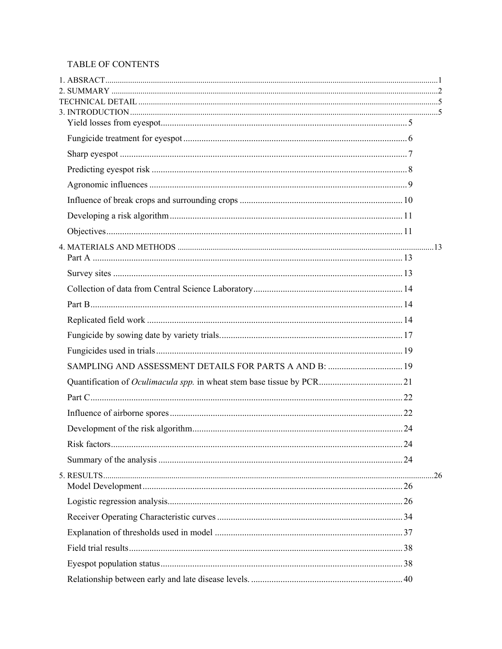# **TABLE OF CONTENTS**

| SAMPLING AND ASSESSMENT DETAILS FOR PARTS A AND B:  19 |  |
|--------------------------------------------------------|--|
|                                                        |  |
|                                                        |  |
|                                                        |  |
|                                                        |  |
|                                                        |  |
|                                                        |  |
|                                                        |  |
|                                                        |  |
|                                                        |  |
|                                                        |  |
|                                                        |  |
|                                                        |  |
|                                                        |  |
|                                                        |  |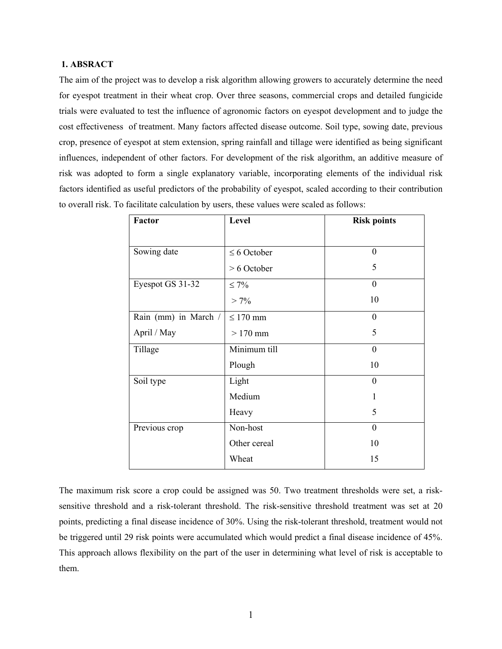### **1. ABSRACT**

The aim of the project was to develop a risk algorithm allowing growers to accurately determine the need for eyespot treatment in their wheat crop. Over three seasons, commercial crops and detailed fungicide trials were evaluated to test the influence of agronomic factors on eyespot development and to judge the cost effectiveness of treatment. Many factors affected disease outcome. Soil type, sowing date, previous crop, presence of eyespot at stem extension, spring rainfall and tillage were identified as being significant influences, independent of other factors. For development of the risk algorithm, an additive measure of risk was adopted to form a single explanatory variable, incorporating elements of the individual risk factors identified as useful predictors of the probability of eyespot, scaled according to their contribution to overall risk. To facilitate calculation by users, these values were scaled as follows:

| <b>Factor</b>        | Level            | <b>Risk points</b> |
|----------------------|------------------|--------------------|
|                      |                  |                    |
| Sowing date          | $\leq 6$ October | $\theta$           |
|                      | $> 6$ October    | 5                  |
| Eyespot GS 31-32     | $\leq 7\%$       | $\theta$           |
|                      | $> 7\%$          | 10                 |
| Rain (mm) in March / | $\leq 170$ mm    | $\Omega$           |
| April / May          | $>170$ mm        | 5                  |
| Tillage              | Minimum till     | $\mathbf{0}$       |
|                      | Plough           | 10                 |
| Soil type            | Light            | $\theta$           |
|                      | Medium           | 1                  |
|                      | Heavy            | 5                  |
| Previous crop        | Non-host         | $\boldsymbol{0}$   |
|                      | Other cereal     | 10                 |
|                      | Wheat            | 15                 |

The maximum risk score a crop could be assigned was 50. Two treatment thresholds were set, a risksensitive threshold and a risk-tolerant threshold. The risk-sensitive threshold treatment was set at 20 points, predicting a final disease incidence of 30%. Using the risk-tolerant threshold, treatment would not be triggered until 29 risk points were accumulated which would predict a final disease incidence of 45%. This approach allows flexibility on the part of the user in determining what level of risk is acceptable to them.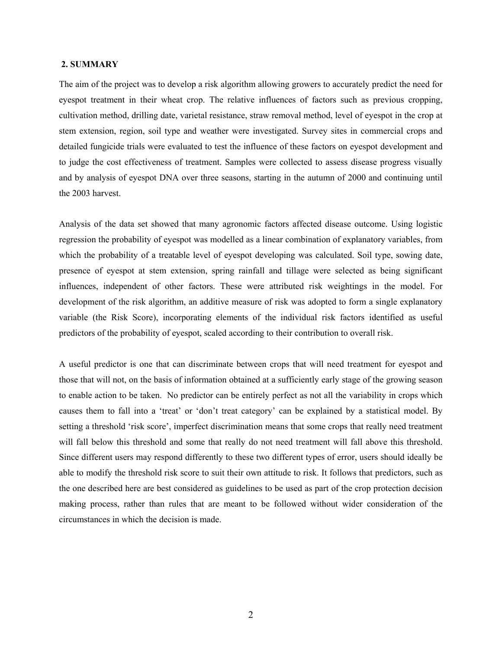#### **2. SUMMARY**

The aim of the project was to develop a risk algorithm allowing growers to accurately predict the need for eyespot treatment in their wheat crop. The relative influences of factors such as previous cropping, cultivation method, drilling date, varietal resistance, straw removal method, level of eyespot in the crop at stem extension, region, soil type and weather were investigated. Survey sites in commercial crops and detailed fungicide trials were evaluated to test the influence of these factors on eyespot development and to judge the cost effectiveness of treatment. Samples were collected to assess disease progress visually and by analysis of eyespot DNA over three seasons, starting in the autumn of 2000 and continuing until the 2003 harvest.

Analysis of the data set showed that many agronomic factors affected disease outcome. Using logistic regression the probability of eyespot was modelled as a linear combination of explanatory variables, from which the probability of a treatable level of eyespot developing was calculated. Soil type, sowing date, presence of eyespot at stem extension, spring rainfall and tillage were selected as being significant influences, independent of other factors. These were attributed risk weightings in the model. For development of the risk algorithm, an additive measure of risk was adopted to form a single explanatory variable (the Risk Score), incorporating elements of the individual risk factors identified as useful predictors of the probability of eyespot, scaled according to their contribution to overall risk.

A useful predictor is one that can discriminate between crops that will need treatment for eyespot and those that will not, on the basis of information obtained at a sufficiently early stage of the growing season to enable action to be taken. No predictor can be entirely perfect as not all the variability in crops which causes them to fall into a 'treat' or 'don't treat category' can be explained by a statistical model. By setting a threshold 'risk score', imperfect discrimination means that some crops that really need treatment will fall below this threshold and some that really do not need treatment will fall above this threshold. Since different users may respond differently to these two different types of error, users should ideally be able to modify the threshold risk score to suit their own attitude to risk. It follows that predictors, such as the one described here are best considered as guidelines to be used as part of the crop protection decision making process, rather than rules that are meant to be followed without wider consideration of the circumstances in which the decision is made.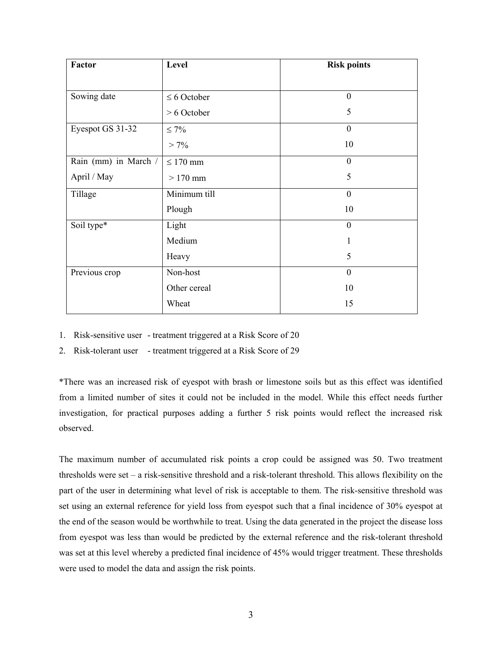| <b>Factor</b>        | Level            | <b>Risk points</b> |
|----------------------|------------------|--------------------|
|                      |                  |                    |
| Sowing date          | $\leq 6$ October | $\theta$           |
|                      | $> 6$ October    | 5                  |
| Eyespot GS 31-32     | $\leq 7\%$       | $\mathbf{0}$       |
|                      | $> 7\%$          | 10                 |
| Rain (mm) in March / | $\leq 170$ mm    | $\mathbf{0}$       |
| April / May          | $>170$ mm        | 5                  |
| Tillage              | Minimum till     | $\mathbf{0}$       |
|                      | Plough           | 10                 |
| Soil type*           | Light            | $\mathbf{0}$       |
|                      | Medium           | 1                  |
|                      | Heavy            | 5                  |
| Previous crop        | Non-host         | $\theta$           |
|                      | Other cereal     | 10                 |
|                      | Wheat            | 15                 |

1. Risk-sensitive user - treatment triggered at a Risk Score of 20

2. Risk-tolerant user - treatment triggered at a Risk Score of 29

\*There was an increased risk of eyespot with brash or limestone soils but as this effect was identified from a limited number of sites it could not be included in the model. While this effect needs further investigation, for practical purposes adding a further 5 risk points would reflect the increased risk observed.

The maximum number of accumulated risk points a crop could be assigned was 50. Two treatment thresholds were set – a risk-sensitive threshold and a risk-tolerant threshold. This allows flexibility on the part of the user in determining what level of risk is acceptable to them. The risk-sensitive threshold was set using an external reference for yield loss from eyespot such that a final incidence of 30% eyespot at the end of the season would be worthwhile to treat. Using the data generated in the project the disease loss from eyespot was less than would be predicted by the external reference and the risk-tolerant threshold was set at this level whereby a predicted final incidence of 45% would trigger treatment. These thresholds were used to model the data and assign the risk points.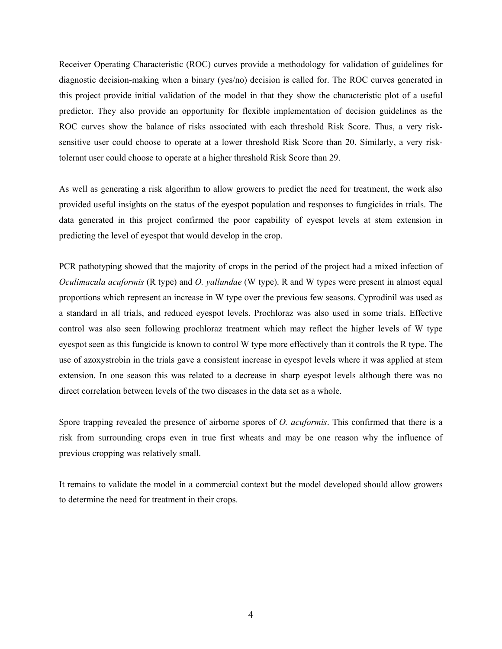Receiver Operating Characteristic (ROC) curves provide a methodology for validation of guidelines for diagnostic decision-making when a binary (yes/no) decision is called for. The ROC curves generated in this project provide initial validation of the model in that they show the characteristic plot of a useful predictor. They also provide an opportunity for flexible implementation of decision guidelines as the ROC curves show the balance of risks associated with each threshold Risk Score. Thus, a very risksensitive user could choose to operate at a lower threshold Risk Score than 20. Similarly, a very risktolerant user could choose to operate at a higher threshold Risk Score than 29.

As well as generating a risk algorithm to allow growers to predict the need for treatment, the work also provided useful insights on the status of the eyespot population and responses to fungicides in trials. The data generated in this project confirmed the poor capability of eyespot levels at stem extension in predicting the level of eyespot that would develop in the crop.

PCR pathotyping showed that the majority of crops in the period of the project had a mixed infection of *Oculimacula acuformis* (R type) and *O. yallundae* (W type). R and W types were present in almost equal proportions which represent an increase in W type over the previous few seasons. Cyprodinil was used as a standard in all trials, and reduced eyespot levels. Prochloraz was also used in some trials. Effective control was also seen following prochloraz treatment which may reflect the higher levels of W type eyespot seen as this fungicide is known to control W type more effectively than it controls the R type. The use of azoxystrobin in the trials gave a consistent increase in eyespot levels where it was applied at stem extension. In one season this was related to a decrease in sharp eyespot levels although there was no direct correlation between levels of the two diseases in the data set as a whole.

Spore trapping revealed the presence of airborne spores of *O. acuformis*. This confirmed that there is a risk from surrounding crops even in true first wheats and may be one reason why the influence of previous cropping was relatively small.

It remains to validate the model in a commercial context but the model developed should allow growers to determine the need for treatment in their crops.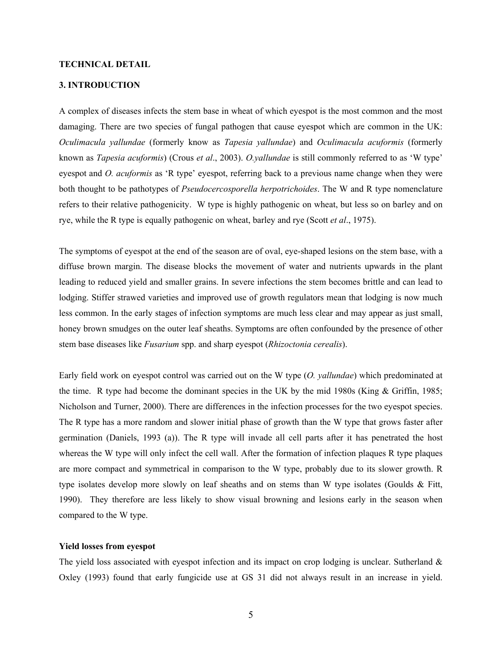#### **TECHNICAL DETAIL**

### **3. INTRODUCTION**

A complex of diseases infects the stem base in wheat of which eyespot is the most common and the most damaging. There are two species of fungal pathogen that cause eyespot which are common in the UK: *Oculimacula yallundae* (formerly know as *Tapesia yallundae*) and *Oculimacula acuformis* (formerly known as *Tapesia acuformis*) (Crous *et al*., 2003). *O.yallundae* is still commonly referred to as 'W type' eyespot and *O. acuformis* as 'R type' eyespot, referring back to a previous name change when they were both thought to be pathotypes of *Pseudocercosporella herpotrichoides*. The W and R type nomenclature refers to their relative pathogenicity. W type is highly pathogenic on wheat, but less so on barley and on rye, while the R type is equally pathogenic on wheat, barley and rye (Scott *et al*., 1975).

The symptoms of eyespot at the end of the season are of oval, eye-shaped lesions on the stem base, with a diffuse brown margin. The disease blocks the movement of water and nutrients upwards in the plant leading to reduced yield and smaller grains. In severe infections the stem becomes brittle and can lead to lodging. Stiffer strawed varieties and improved use of growth regulators mean that lodging is now much less common. In the early stages of infection symptoms are much less clear and may appear as just small, honey brown smudges on the outer leaf sheaths. Symptoms are often confounded by the presence of other stem base diseases like *Fusarium* spp. and sharp eyespot (*Rhizoctonia cerealis*).

Early field work on eyespot control was carried out on the W type (*O. yallundae*) which predominated at the time. R type had become the dominant species in the UK by the mid 1980s (King & Griffin, 1985; Nicholson and Turner, 2000). There are differences in the infection processes for the two eyespot species. The R type has a more random and slower initial phase of growth than the W type that grows faster after germination (Daniels, 1993 (a)). The R type will invade all cell parts after it has penetrated the host whereas the W type will only infect the cell wall. After the formation of infection plaques R type plaques are more compact and symmetrical in comparison to the W type, probably due to its slower growth. R type isolates develop more slowly on leaf sheaths and on stems than W type isolates (Goulds & Fitt, 1990). They therefore are less likely to show visual browning and lesions early in the season when compared to the W type.

#### **Yield losses from eyespot**

The yield loss associated with eyespot infection and its impact on crop lodging is unclear. Sutherland  $\&$ Oxley (1993) found that early fungicide use at GS 31 did not always result in an increase in yield.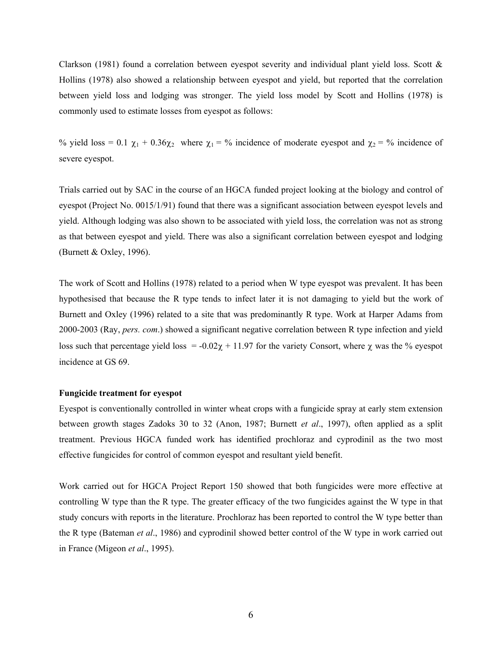Clarkson (1981) found a correlation between eyespot severity and individual plant yield loss. Scott & Hollins (1978) also showed a relationship between eyespot and yield, but reported that the correlation between yield loss and lodging was stronger. The yield loss model by Scott and Hollins (1978) is commonly used to estimate losses from eyespot as follows:

% yield loss = 0.1  $\chi_1$  + 0.36 $\chi_2$  where  $\chi_1$  = % incidence of moderate eyespot and  $\chi_2$  = % incidence of severe eyespot.

Trials carried out by SAC in the course of an HGCA funded project looking at the biology and control of eyespot (Project No. 0015/1/91) found that there was a significant association between eyespot levels and yield. Although lodging was also shown to be associated with yield loss, the correlation was not as strong as that between eyespot and yield. There was also a significant correlation between eyespot and lodging (Burnett & Oxley, 1996).

The work of Scott and Hollins (1978) related to a period when W type eyespot was prevalent. It has been hypothesised that because the R type tends to infect later it is not damaging to yield but the work of Burnett and Oxley (1996) related to a site that was predominantly R type. Work at Harper Adams from 2000-2003 (Ray, *pers. com*.) showed a significant negative correlation between R type infection and yield loss such that percentage yield loss = -0.02 $\chi$  + 11.97 for the variety Consort, where  $\chi$  was the % eyespot incidence at GS 69.

### **Fungicide treatment for eyespot**

Eyespot is conventionally controlled in winter wheat crops with a fungicide spray at early stem extension between growth stages Zadoks 30 to 32 (Anon, 1987; Burnett *et al*., 1997), often applied as a split treatment. Previous HGCA funded work has identified prochloraz and cyprodinil as the two most effective fungicides for control of common eyespot and resultant yield benefit.

Work carried out for HGCA Project Report 150 showed that both fungicides were more effective at controlling W type than the R type. The greater efficacy of the two fungicides against the W type in that study concurs with reports in the literature. Prochloraz has been reported to control the W type better than the R type (Bateman *et al*., 1986) and cyprodinil showed better control of the W type in work carried out in France (Migeon *et al*., 1995).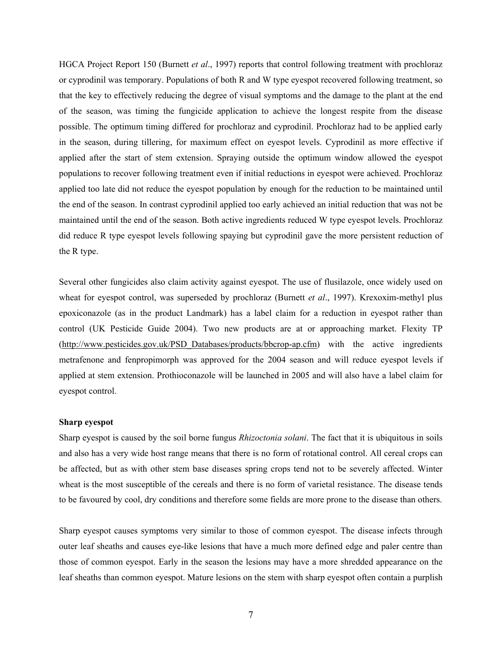HGCA Project Report 150 (Burnett *et al*., 1997) reports that control following treatment with prochloraz or cyprodinil was temporary. Populations of both R and W type eyespot recovered following treatment, so that the key to effectively reducing the degree of visual symptoms and the damage to the plant at the end of the season, was timing the fungicide application to achieve the longest respite from the disease possible. The optimum timing differed for prochloraz and cyprodinil. Prochloraz had to be applied early in the season, during tillering, for maximum effect on eyespot levels. Cyprodinil as more effective if applied after the start of stem extension. Spraying outside the optimum window allowed the eyespot populations to recover following treatment even if initial reductions in eyespot were achieved. Prochloraz applied too late did not reduce the eyespot population by enough for the reduction to be maintained until the end of the season. In contrast cyprodinil applied too early achieved an initial reduction that was not be maintained until the end of the season. Both active ingredients reduced W type eyespot levels. Prochloraz did reduce R type eyespot levels following spaying but cyprodinil gave the more persistent reduction of the R type.

Several other fungicides also claim activity against eyespot. The use of flusilazole, once widely used on wheat for eyespot control, was superseded by prochloraz (Burnett *et al*., 1997). Krexoxim-methyl plus epoxiconazole (as in the product Landmark) has a label claim for a reduction in eyespot rather than control (UK Pesticide Guide 2004). Two new products are at or approaching market. Flexity TP (http://www.pesticides.gov.uk/PSD\_Databases/products/bbcrop-ap.cfm) with the active ingredients metrafenone and fenpropimorph was approved for the 2004 season and will reduce eyespot levels if applied at stem extension. Prothioconazole will be launched in 2005 and will also have a label claim for eyespot control.

#### **Sharp eyespot**

Sharp eyespot is caused by the soil borne fungus *Rhizoctonia solani*. The fact that it is ubiquitous in soils and also has a very wide host range means that there is no form of rotational control. All cereal crops can be affected, but as with other stem base diseases spring crops tend not to be severely affected. Winter wheat is the most susceptible of the cereals and there is no form of varietal resistance. The disease tends to be favoured by cool, dry conditions and therefore some fields are more prone to the disease than others.

Sharp eyespot causes symptoms very similar to those of common eyespot. The disease infects through outer leaf sheaths and causes eye-like lesions that have a much more defined edge and paler centre than those of common eyespot. Early in the season the lesions may have a more shredded appearance on the leaf sheaths than common eyespot. Mature lesions on the stem with sharp eyespot often contain a purplish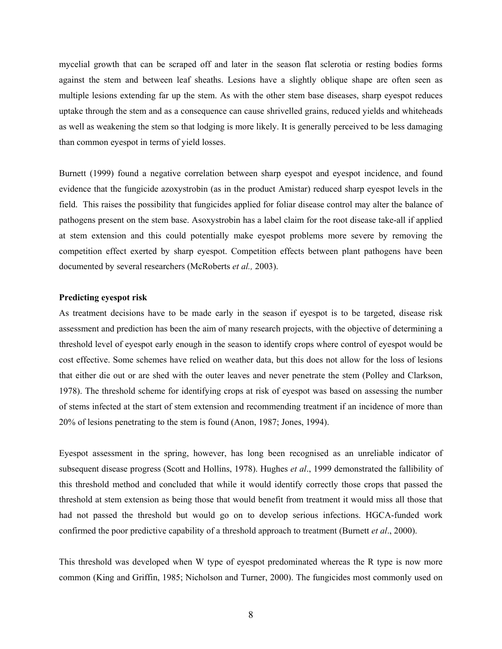mycelial growth that can be scraped off and later in the season flat sclerotia or resting bodies forms against the stem and between leaf sheaths. Lesions have a slightly oblique shape are often seen as multiple lesions extending far up the stem. As with the other stem base diseases, sharp eyespot reduces uptake through the stem and as a consequence can cause shrivelled grains, reduced yields and whiteheads as well as weakening the stem so that lodging is more likely. It is generally perceived to be less damaging than common eyespot in terms of yield losses.

Burnett (1999) found a negative correlation between sharp eyespot and eyespot incidence, and found evidence that the fungicide azoxystrobin (as in the product Amistar) reduced sharp eyespot levels in the field. This raises the possibility that fungicides applied for foliar disease control may alter the balance of pathogens present on the stem base. Asoxystrobin has a label claim for the root disease take-all if applied at stem extension and this could potentially make eyespot problems more severe by removing the competition effect exerted by sharp eyespot. Competition effects between plant pathogens have been documented by several researchers (McRoberts *et al.,* 2003).

### **Predicting eyespot risk**

As treatment decisions have to be made early in the season if eyespot is to be targeted, disease risk assessment and prediction has been the aim of many research projects, with the objective of determining a threshold level of eyespot early enough in the season to identify crops where control of eyespot would be cost effective. Some schemes have relied on weather data, but this does not allow for the loss of lesions that either die out or are shed with the outer leaves and never penetrate the stem (Polley and Clarkson, 1978). The threshold scheme for identifying crops at risk of eyespot was based on assessing the number of stems infected at the start of stem extension and recommending treatment if an incidence of more than 20% of lesions penetrating to the stem is found (Anon, 1987; Jones, 1994).

Eyespot assessment in the spring, however, has long been recognised as an unreliable indicator of subsequent disease progress (Scott and Hollins, 1978). Hughes *et al*., 1999 demonstrated the fallibility of this threshold method and concluded that while it would identify correctly those crops that passed the threshold at stem extension as being those that would benefit from treatment it would miss all those that had not passed the threshold but would go on to develop serious infections. HGCA-funded work confirmed the poor predictive capability of a threshold approach to treatment (Burnett *et al*., 2000).

This threshold was developed when W type of eyespot predominated whereas the R type is now more common (King and Griffin, 1985; Nicholson and Turner, 2000). The fungicides most commonly used on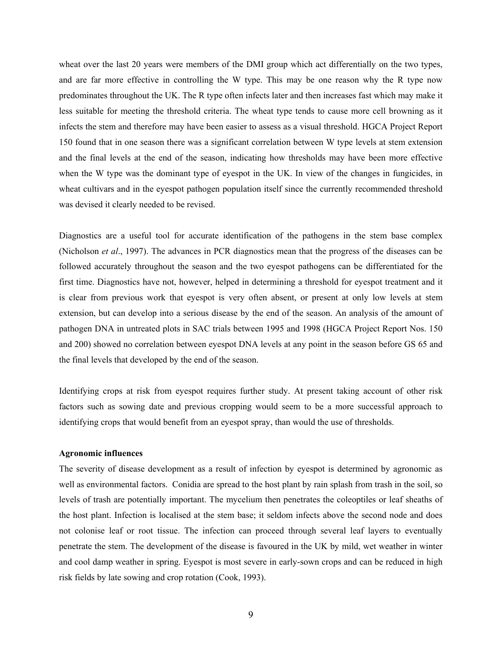wheat over the last 20 years were members of the DMI group which act differentially on the two types, and are far more effective in controlling the W type. This may be one reason why the R type now predominates throughout the UK. The R type often infects later and then increases fast which may make it less suitable for meeting the threshold criteria. The wheat type tends to cause more cell browning as it infects the stem and therefore may have been easier to assess as a visual threshold. HGCA Project Report 150 found that in one season there was a significant correlation between W type levels at stem extension and the final levels at the end of the season, indicating how thresholds may have been more effective when the W type was the dominant type of eyespot in the UK. In view of the changes in fungicides, in wheat cultivars and in the eyespot pathogen population itself since the currently recommended threshold was devised it clearly needed to be revised.

Diagnostics are a useful tool for accurate identification of the pathogens in the stem base complex (Nicholson *et al*., 1997). The advances in PCR diagnostics mean that the progress of the diseases can be followed accurately throughout the season and the two eyespot pathogens can be differentiated for the first time. Diagnostics have not, however, helped in determining a threshold for eyespot treatment and it is clear from previous work that eyespot is very often absent, or present at only low levels at stem extension, but can develop into a serious disease by the end of the season. An analysis of the amount of pathogen DNA in untreated plots in SAC trials between 1995 and 1998 (HGCA Project Report Nos. 150 and 200) showed no correlation between eyespot DNA levels at any point in the season before GS 65 and the final levels that developed by the end of the season.

Identifying crops at risk from eyespot requires further study. At present taking account of other risk factors such as sowing date and previous cropping would seem to be a more successful approach to identifying crops that would benefit from an eyespot spray, than would the use of thresholds.

#### **Agronomic influences**

The severity of disease development as a result of infection by eyespot is determined by agronomic as well as environmental factors. Conidia are spread to the host plant by rain splash from trash in the soil, so levels of trash are potentially important. The mycelium then penetrates the coleoptiles or leaf sheaths of the host plant. Infection is localised at the stem base; it seldom infects above the second node and does not colonise leaf or root tissue. The infection can proceed through several leaf layers to eventually penetrate the stem. The development of the disease is favoured in the UK by mild, wet weather in winter and cool damp weather in spring. Eyespot is most severe in early-sown crops and can be reduced in high risk fields by late sowing and crop rotation (Cook, 1993).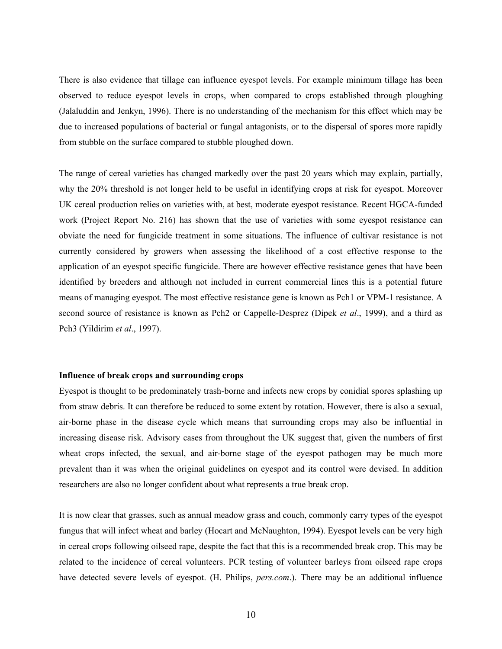There is also evidence that tillage can influence eyespot levels. For example minimum tillage has been observed to reduce eyespot levels in crops, when compared to crops established through ploughing (Jalaluddin and Jenkyn, 1996). There is no understanding of the mechanism for this effect which may be due to increased populations of bacterial or fungal antagonists, or to the dispersal of spores more rapidly from stubble on the surface compared to stubble ploughed down.

The range of cereal varieties has changed markedly over the past 20 years which may explain, partially, why the 20% threshold is not longer held to be useful in identifying crops at risk for eyespot. Moreover UK cereal production relies on varieties with, at best, moderate eyespot resistance. Recent HGCA-funded work (Project Report No. 216) has shown that the use of varieties with some eyespot resistance can obviate the need for fungicide treatment in some situations. The influence of cultivar resistance is not currently considered by growers when assessing the likelihood of a cost effective response to the application of an eyespot specific fungicide. There are however effective resistance genes that have been identified by breeders and although not included in current commercial lines this is a potential future means of managing eyespot. The most effective resistance gene is known as Pch1 or VPM-1 resistance. A second source of resistance is known as Pch2 or Cappelle-Desprez (Dipek *et al*., 1999), and a third as Pch3 (Yildirim *et al*., 1997).

### **Influence of break crops and surrounding crops**

Eyespot is thought to be predominately trash-borne and infects new crops by conidial spores splashing up from straw debris. It can therefore be reduced to some extent by rotation. However, there is also a sexual, air-borne phase in the disease cycle which means that surrounding crops may also be influential in increasing disease risk. Advisory cases from throughout the UK suggest that, given the numbers of first wheat crops infected, the sexual, and air-borne stage of the eyespot pathogen may be much more prevalent than it was when the original guidelines on eyespot and its control were devised. In addition researchers are also no longer confident about what represents a true break crop.

It is now clear that grasses, such as annual meadow grass and couch, commonly carry types of the eyespot fungus that will infect wheat and barley (Hocart and McNaughton, 1994). Eyespot levels can be very high in cereal crops following oilseed rape, despite the fact that this is a recommended break crop. This may be related to the incidence of cereal volunteers. PCR testing of volunteer barleys from oilseed rape crops have detected severe levels of eyespot. (H. Philips, *pers.com*.). There may be an additional influence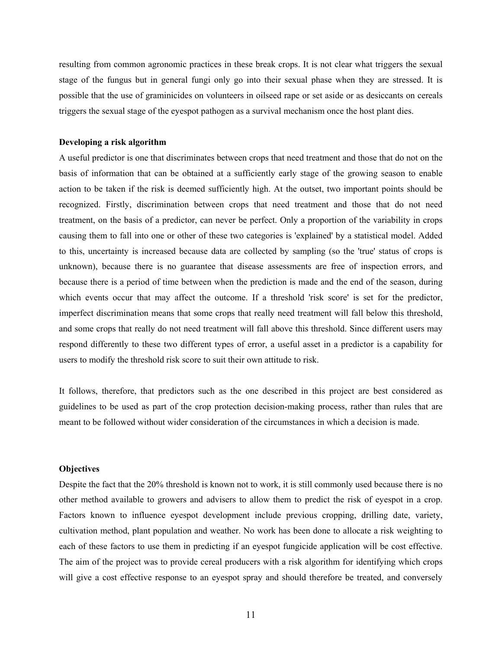resulting from common agronomic practices in these break crops. It is not clear what triggers the sexual stage of the fungus but in general fungi only go into their sexual phase when they are stressed. It is possible that the use of graminicides on volunteers in oilseed rape or set aside or as desiccants on cereals triggers the sexual stage of the eyespot pathogen as a survival mechanism once the host plant dies.

#### **Developing a risk algorithm**

A useful predictor is one that discriminates between crops that need treatment and those that do not on the basis of information that can be obtained at a sufficiently early stage of the growing season to enable action to be taken if the risk is deemed sufficiently high. At the outset, two important points should be recognized. Firstly, discrimination between crops that need treatment and those that do not need treatment, on the basis of a predictor, can never be perfect. Only a proportion of the variability in crops causing them to fall into one or other of these two categories is 'explained' by a statistical model. Added to this, uncertainty is increased because data are collected by sampling (so the 'true' status of crops is unknown), because there is no guarantee that disease assessments are free of inspection errors, and because there is a period of time between when the prediction is made and the end of the season, during which events occur that may affect the outcome. If a threshold 'risk score' is set for the predictor, imperfect discrimination means that some crops that really need treatment will fall below this threshold, and some crops that really do not need treatment will fall above this threshold. Since different users may respond differently to these two different types of error, a useful asset in a predictor is a capability for users to modify the threshold risk score to suit their own attitude to risk.

It follows, therefore, that predictors such as the one described in this project are best considered as guidelines to be used as part of the crop protection decision-making process, rather than rules that are meant to be followed without wider consideration of the circumstances in which a decision is made.

#### **Objectives**

Despite the fact that the 20% threshold is known not to work, it is still commonly used because there is no other method available to growers and advisers to allow them to predict the risk of eyespot in a crop. Factors known to influence eyespot development include previous cropping, drilling date, variety, cultivation method, plant population and weather. No work has been done to allocate a risk weighting to each of these factors to use them in predicting if an eyespot fungicide application will be cost effective. The aim of the project was to provide cereal producers with a risk algorithm for identifying which crops will give a cost effective response to an eyespot spray and should therefore be treated, and conversely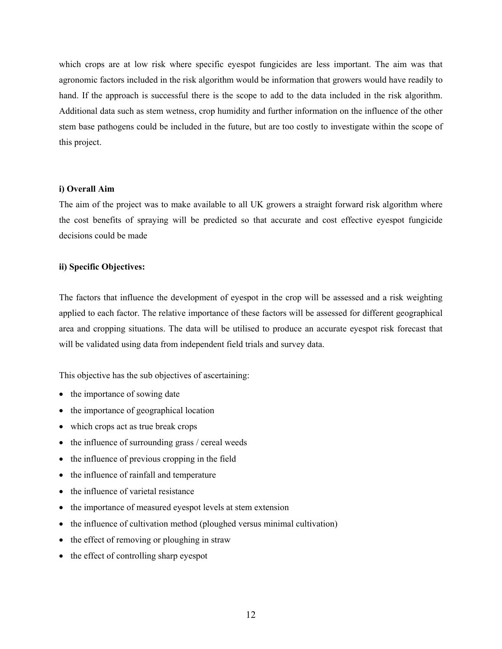which crops are at low risk where specific eyespot fungicides are less important. The aim was that agronomic factors included in the risk algorithm would be information that growers would have readily to hand. If the approach is successful there is the scope to add to the data included in the risk algorithm. Additional data such as stem wetness, crop humidity and further information on the influence of the other stem base pathogens could be included in the future, but are too costly to investigate within the scope of this project.

### **i) Overall Aim**

The aim of the project was to make available to all UK growers a straight forward risk algorithm where the cost benefits of spraying will be predicted so that accurate and cost effective eyespot fungicide decisions could be made

### **ii) Specific Objectives:**

The factors that influence the development of eyespot in the crop will be assessed and a risk weighting applied to each factor. The relative importance of these factors will be assessed for different geographical area and cropping situations. The data will be utilised to produce an accurate eyespot risk forecast that will be validated using data from independent field trials and survey data.

This objective has the sub objectives of ascertaining:

- the importance of sowing date
- the importance of geographical location
- which crops act as true break crops
- the influence of surrounding grass / cereal weeds
- the influence of previous cropping in the field
- the influence of rainfall and temperature
- the influence of varietal resistance
- the importance of measured eyespot levels at stem extension
- the influence of cultivation method (ploughed versus minimal cultivation)
- the effect of removing or ploughing in straw
- the effect of controlling sharp eyespot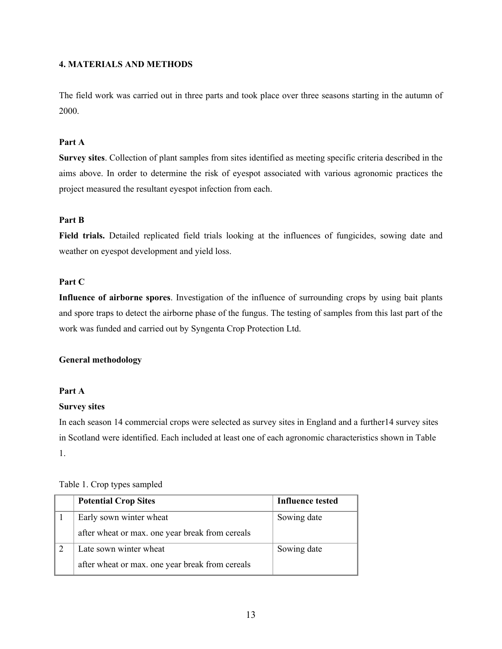### **4. MATERIALS AND METHODS**

The field work was carried out in three parts and took place over three seasons starting in the autumn of 2000.

### **Part A**

**Survey sites**. Collection of plant samples from sites identified as meeting specific criteria described in the aims above. In order to determine the risk of eyespot associated with various agronomic practices the project measured the resultant eyespot infection from each.

### **Part B**

**Field trials.** Detailed replicated field trials looking at the influences of fungicides, sowing date and weather on eyespot development and yield loss.

### **Part C**

**Influence of airborne spores**. Investigation of the influence of surrounding crops by using bait plants and spore traps to detect the airborne phase of the fungus. The testing of samples from this last part of the work was funded and carried out by Syngenta Crop Protection Ltd.

### **General methodology**

### **Part A**

### **Survey sites**

In each season 14 commercial crops were selected as survey sites in England and a further14 survey sites in Scotland were identified. Each included at least one of each agronomic characteristics shown in Table 1.

| Table 1. Crop types sampled |  |
|-----------------------------|--|
|-----------------------------|--|

| <b>Potential Crop Sites</b>                     | Influence tested |
|-------------------------------------------------|------------------|
| Early sown winter wheat                         | Sowing date      |
| after wheat or max. one year break from cereals |                  |
| Late sown winter wheat                          | Sowing date      |
| after wheat or max. one year break from cereals |                  |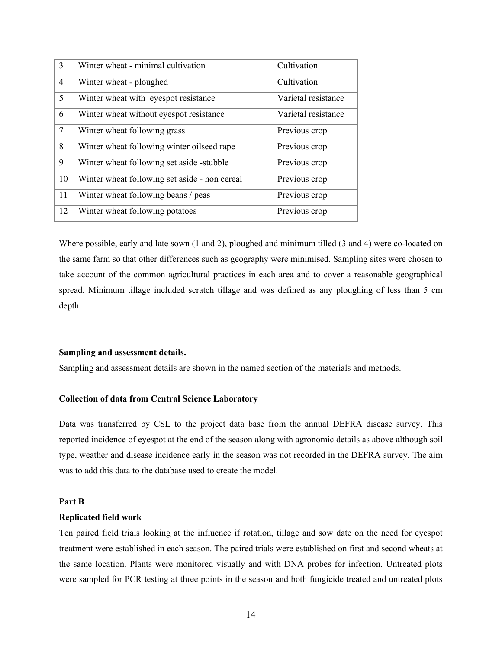| $\overline{3}$ | Winter wheat - minimal cultivation<br>Cultivation |                     |
|----------------|---------------------------------------------------|---------------------|
| $\overline{4}$ | Winter wheat - ploughed                           | Cultivation         |
| $5^{\circ}$    | Winter wheat with eyespot resistance              | Varietal resistance |
| 6              | Winter wheat without eyespot resistance           | Varietal resistance |
| $\tau$         | Winter wheat following grass                      | Previous crop       |
| 8              | Winter wheat following winter oilseed rape        | Previous crop       |
| 9              | Winter wheat following set aside -stubble         | Previous crop       |
| 10             | Winter wheat following set aside - non cereal     | Previous crop       |
| 11             | Winter wheat following beans / peas               | Previous crop       |
| 12             | Winter wheat following potatoes                   | Previous crop       |

Where possible, early and late sown (1 and 2), ploughed and minimum tilled (3 and 4) were co-located on the same farm so that other differences such as geography were minimised. Sampling sites were chosen to take account of the common agricultural practices in each area and to cover a reasonable geographical spread. Minimum tillage included scratch tillage and was defined as any ploughing of less than 5 cm depth.

### **Sampling and assessment details.**

Sampling and assessment details are shown in the named section of the materials and methods.

### **Collection of data from Central Science Laboratory**

Data was transferred by CSL to the project data base from the annual DEFRA disease survey. This reported incidence of eyespot at the end of the season along with agronomic details as above although soil type, weather and disease incidence early in the season was not recorded in the DEFRA survey. The aim was to add this data to the database used to create the model.

### **Part B**

### **Replicated field work**

Ten paired field trials looking at the influence if rotation, tillage and sow date on the need for eyespot treatment were established in each season. The paired trials were established on first and second wheats at the same location. Plants were monitored visually and with DNA probes for infection. Untreated plots were sampled for PCR testing at three points in the season and both fungicide treated and untreated plots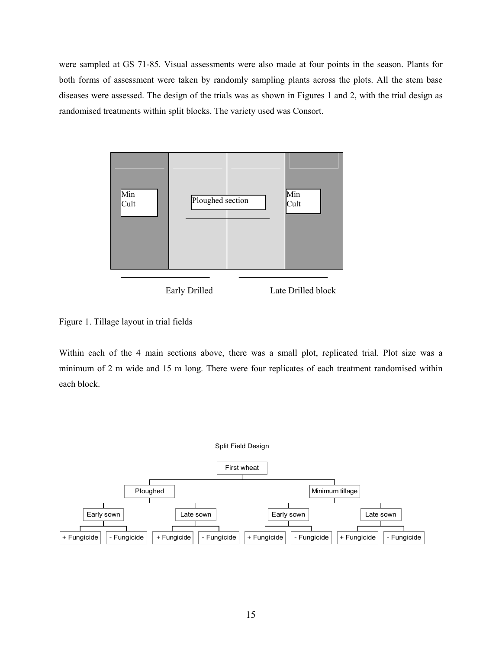were sampled at GS 71-85. Visual assessments were also made at four points in the season. Plants for both forms of assessment were taken by randomly sampling plants across the plots. All the stem base diseases were assessed. The design of the trials was as shown in Figures 1 and 2, with the trial design as randomised treatments within split blocks. The variety used was Consort.



Figure 1. Tillage layout in trial fields

Within each of the 4 main sections above, there was a small plot, replicated trial. Plot size was a minimum of 2 m wide and 15 m long. There were four replicates of each treatment randomised within each block.

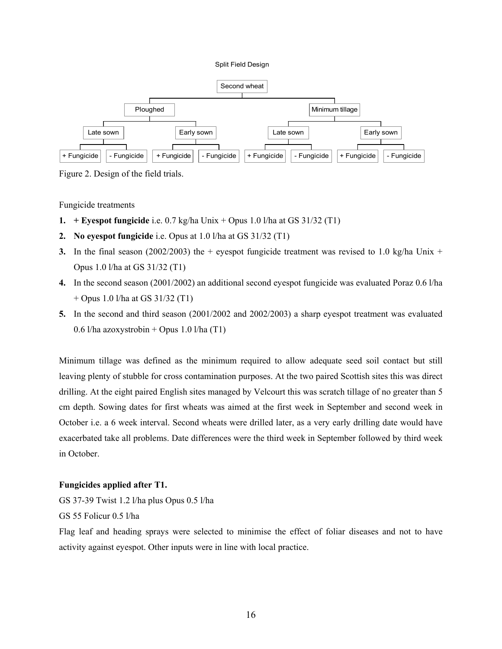#### Split Field Design



Figure 2. Design of the field trials.

Fungicide treatments

- **1. + Eyespot fungicide** i.e. 0.7 kg/ha Unix + Opus 1.0 l/ha at GS 31/32 (T1)
- **2. No eyespot fungicide** i.e. Opus at 1.0 l/ha at GS 31/32 (T1)
- **3.** In the final season (2002/2003) the + eyespot fungicide treatment was revised to 1.0 kg/ha Unix + Opus 1.0 l/ha at GS 31/32 (T1)
- **4.** In the second season (2001/2002) an additional second eyespot fungicide was evaluated Poraz 0.6 l/ha + Opus 1.0 l/ha at GS 31/32 (T1)
- **5.** In the second and third season (2001/2002 and 2002/2003) a sharp eyespot treatment was evaluated 0.6 l/ha azoxystrobin + Opus 1.0 l/ha  $(T1)$

Minimum tillage was defined as the minimum required to allow adequate seed soil contact but still leaving plenty of stubble for cross contamination purposes. At the two paired Scottish sites this was direct drilling. At the eight paired English sites managed by Velcourt this was scratch tillage of no greater than 5 cm depth. Sowing dates for first wheats was aimed at the first week in September and second week in October i.e. a 6 week interval. Second wheats were drilled later, as a very early drilling date would have exacerbated take all problems. Date differences were the third week in September followed by third week in October.

### **Fungicides applied after T1.**

GS 37-39 Twist 1.2 l/ha plus Opus 0.5 l/ha

GS 55 Folicur 0.5 l/ha

Flag leaf and heading sprays were selected to minimise the effect of foliar diseases and not to have activity against eyespot. Other inputs were in line with local practice.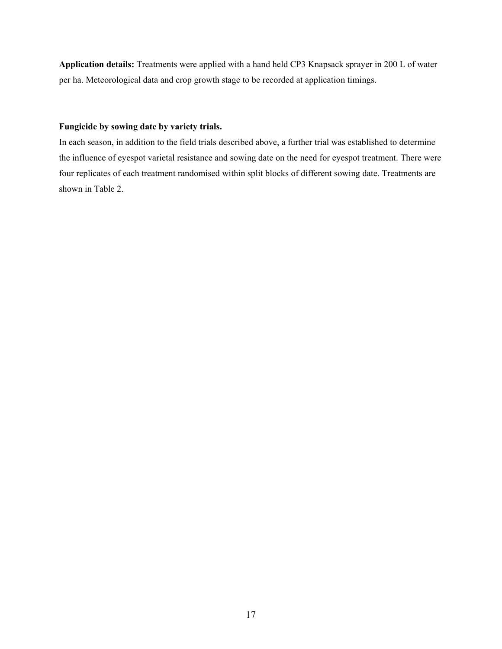**Application details:** Treatments were applied with a hand held CP3 Knapsack sprayer in 200 L of water per ha. Meteorological data and crop growth stage to be recorded at application timings.

### **Fungicide by sowing date by variety trials.**

In each season, in addition to the field trials described above, a further trial was established to determine the influence of eyespot varietal resistance and sowing date on the need for eyespot treatment. There were four replicates of each treatment randomised within split blocks of different sowing date. Treatments are shown in Table 2.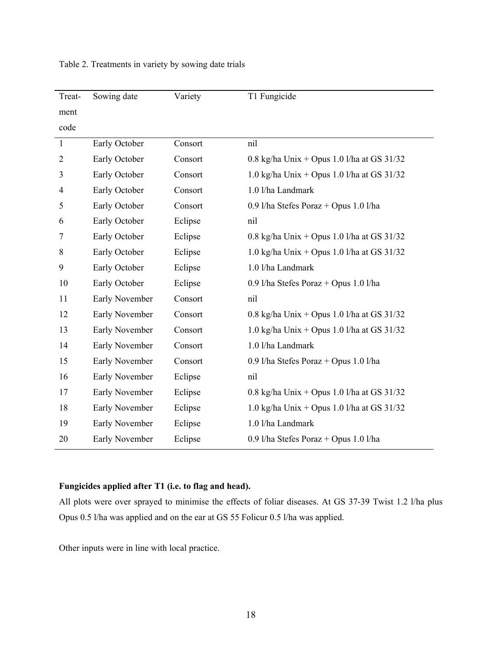| Treat-         | Sowing date    | Variety | T1 Fungicide                                 |
|----------------|----------------|---------|----------------------------------------------|
| ment           |                |         |                                              |
| code           |                |         |                                              |
| $\mathbf{1}$   | Early October  | Consort | nil                                          |
| $\overline{2}$ | Early October  | Consort | $0.8$ kg/ha Unix + Opus 1.0 l/ha at GS 31/32 |
| 3              | Early October  | Consort | 1.0 kg/ha Unix + Opus 1.0 l/ha at GS 31/32   |
| 4              | Early October  | Consort | 1.0 l/ha Landmark                            |
| 5              | Early October  | Consort | 0.9 l/ha Stefes Poraz + Opus $1.0$ l/ha      |
| 6              | Early October  | Eclipse | nil                                          |
| 7              | Early October  | Eclipse | $0.8$ kg/ha Unix + Opus 1.0 l/ha at GS 31/32 |
| 8              | Early October  | Eclipse | 1.0 kg/ha Unix + Opus 1.0 l/ha at GS 31/32   |
| 9              | Early October  | Eclipse | 1.0 l/ha Landmark                            |
| 10             | Early October  | Eclipse | 0.9 l/ha Stefes Poraz + Opus $1.0$ l/ha      |
| 11             | Early November | Consort | nil                                          |
| 12             | Early November | Consort | $0.8$ kg/ha Unix + Opus 1.0 l/ha at GS 31/32 |
| 13             | Early November | Consort | 1.0 kg/ha Unix + Opus 1.0 l/ha at GS $31/32$ |
| 14             | Early November | Consort | 1.0 l/ha Landmark                            |
| 15             | Early November | Consort | 0.9 l/ha Stefes Poraz + Opus $1.0$ l/ha      |
| 16             | Early November | Eclipse | nil                                          |
| 17             | Early November | Eclipse | $0.8$ kg/ha Unix + Opus 1.0 l/ha at GS 31/32 |
| 18             | Early November | Eclipse | 1.0 kg/ha Unix + Opus 1.0 l/ha at GS $31/32$ |
| 19             | Early November | Eclipse | 1.0 l/ha Landmark                            |
| 20             | Early November | Eclipse | 0.9 l/ha Stefes Poraz + Opus $1.0$ l/ha      |

Table 2. Treatments in variety by sowing date trials

# **Fungicides applied after T1 (i.e. to flag and head).**

All plots were over sprayed to minimise the effects of foliar diseases. At GS 37-39 Twist 1.2 l/ha plus Opus 0.5 l/ha was applied and on the ear at GS 55 Folicur 0.5 l/ha was applied.

Other inputs were in line with local practice.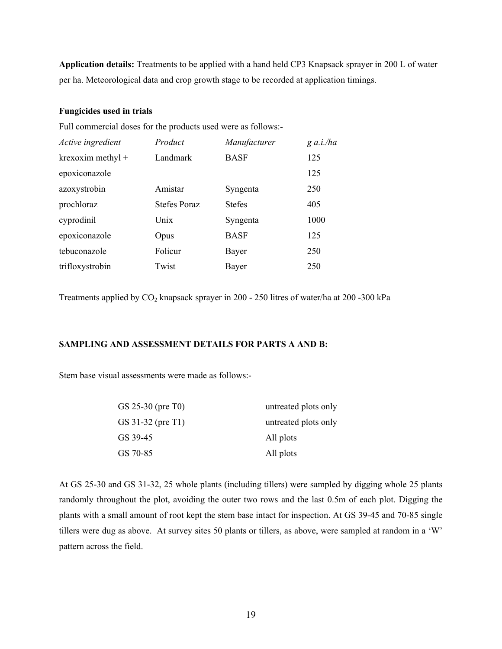**Application details:** Treatments to be applied with a hand held CP3 Knapsack sprayer in 200 L of water per ha. Meteorological data and crop growth stage to be recorded at application timings.

#### **Fungicides used in trials**

Full commercial doses for the products used were as follows:-

| Active ingredient | Product             | Manufacturer  | $g$ a.i./ha |
|-------------------|---------------------|---------------|-------------|
| krexoxim methyl + | Landmark            | <b>BASF</b>   | 125         |
| epoxiconazole     |                     |               | 125         |
| azoxystrobin      | Amistar             | Syngenta      | 250         |
| prochloraz        | <b>Stefes Poraz</b> | <b>Stefes</b> | 405         |
| cyprodinil        | Unix                | Syngenta      | 1000        |
| epoxiconazole     | Opus                | <b>BASF</b>   | 125         |
| tebuconazole      | Folicur             | Bayer         | 250         |
| trifloxystrobin   | Twist               | Bayer         | 250         |

Treatments applied by  $CO_2$  knapsack sprayer in 200 - 250 litres of water/ha at 200 -300 kPa

### **SAMPLING AND ASSESSMENT DETAILS FOR PARTS A AND B:**

Stem base visual assessments were made as follows:-

| GS 25-30 (pre T0)   | untreated plots only |
|---------------------|----------------------|
| GS $31-32$ (pre T1) | untreated plots only |
| GS 39-45            | All plots            |
| GS 70-85            | All plots            |

At GS 25-30 and GS 31-32, 25 whole plants (including tillers) were sampled by digging whole 25 plants randomly throughout the plot, avoiding the outer two rows and the last 0.5m of each plot. Digging the plants with a small amount of root kept the stem base intact for inspection. At GS 39-45 and 70-85 single tillers were dug as above. At survey sites 50 plants or tillers, as above, were sampled at random in a 'W' pattern across the field.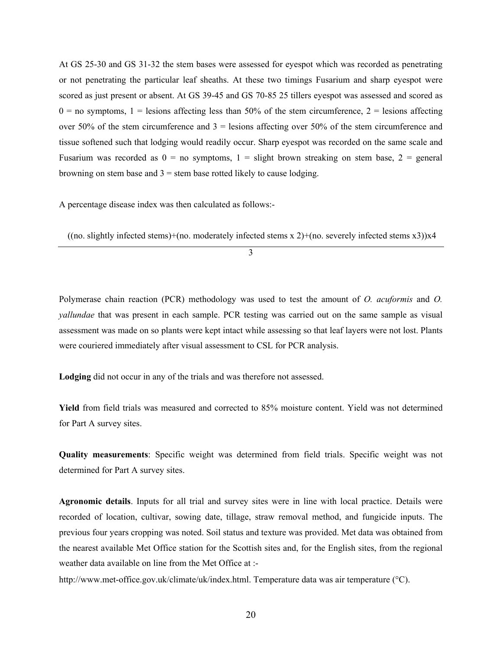At GS 25-30 and GS 31-32 the stem bases were assessed for eyespot which was recorded as penetrating or not penetrating the particular leaf sheaths. At these two timings Fusarium and sharp eyespot were scored as just present or absent. At GS 39-45 and GS 70-85 25 tillers eyespot was assessed and scored as  $0 =$  no symptoms,  $1 =$  lesions affecting less than 50% of the stem circumference,  $2 =$  lesions affecting over 50% of the stem circumference and  $3 =$  lesions affecting over 50% of the stem circumference and tissue softened such that lodging would readily occur. Sharp eyespot was recorded on the same scale and Fusarium was recorded as  $0 =$  no symptoms,  $1 =$  slight brown streaking on stem base,  $2 =$  general browning on stem base and  $3$  = stem base rotted likely to cause lodging.

A percentage disease index was then calculated as follows:-

 $((no. slightly infected stems)+(no. moderately infected stems x 2)+(no. severely infected stems x 3))x4$ 

3

Polymerase chain reaction (PCR) methodology was used to test the amount of *O. acuformis* and *O. yallundae* that was present in each sample. PCR testing was carried out on the same sample as visual assessment was made on so plants were kept intact while assessing so that leaf layers were not lost. Plants were couriered immediately after visual assessment to CSL for PCR analysis.

**Lodging** did not occur in any of the trials and was therefore not assessed.

**Yield** from field trials was measured and corrected to 85% moisture content. Yield was not determined for Part A survey sites.

**Quality measurements**: Specific weight was determined from field trials. Specific weight was not determined for Part A survey sites.

**Agronomic details**. Inputs for all trial and survey sites were in line with local practice. Details were recorded of location, cultivar, sowing date, tillage, straw removal method, and fungicide inputs. The previous four years cropping was noted. Soil status and texture was provided. Met data was obtained from the nearest available Met Office station for the Scottish sites and, for the English sites, from the regional weather data available on line from the Met Office at :-

http://www.met-office.gov.uk/climate/uk/index.html. Temperature data was air temperature (°C).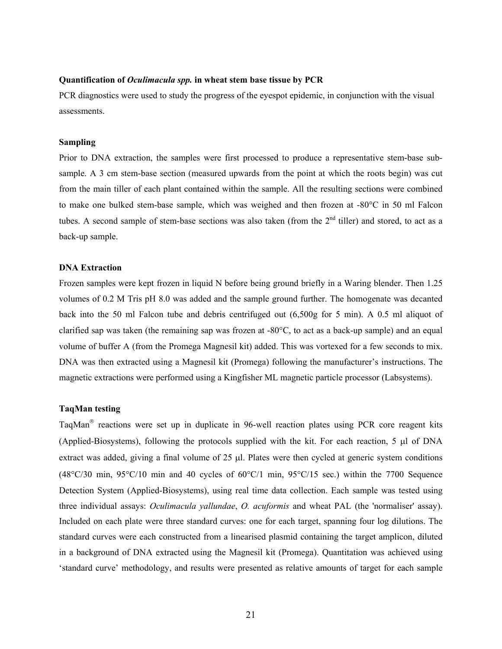#### **Quantification of** *Oculimacula spp.* **in wheat stem base tissue by PCR**

PCR diagnostics were used to study the progress of the eyespot epidemic, in conjunction with the visual assessments.

#### **Sampling**

Prior to DNA extraction, the samples were first processed to produce a representative stem-base subsample. A 3 cm stem-base section (measured upwards from the point at which the roots begin) was cut from the main tiller of each plant contained within the sample. All the resulting sections were combined to make one bulked stem-base sample, which was weighed and then frozen at -80°C in 50 ml Falcon tubes. A second sample of stem-base sections was also taken (from the  $2<sup>nd</sup>$  tiller) and stored, to act as a back-up sample.

#### **DNA Extraction**

Frozen samples were kept frozen in liquid N before being ground briefly in a Waring blender. Then 1.25 volumes of 0.2 M Tris pH 8.0 was added and the sample ground further. The homogenate was decanted back into the 50 ml Falcon tube and debris centrifuged out (6,500g for 5 min). A 0.5 ml aliquot of clarified sap was taken (the remaining sap was frozen at  $-80^{\circ}$ C, to act as a back-up sample) and an equal volume of buffer A (from the Promega Magnesil kit) added. This was vortexed for a few seconds to mix. DNA was then extracted using a Magnesil kit (Promega) following the manufacturer's instructions. The magnetic extractions were performed using a Kingfisher ML magnetic particle processor (Labsystems).

#### **TaqMan testing**

TaqMan $^{\circ}$  reactions were set up in duplicate in 96-well reaction plates using PCR core reagent kits (Applied-Biosystems), following the protocols supplied with the kit. For each reaction, 5 µl of DNA extract was added, giving a final volume of 25 µl. Plates were then cycled at generic system conditions  $(48^{\circ}C/30 \text{ min}, 95^{\circ}C/10 \text{ min}$  and 40 cycles of  $60^{\circ}C/1 \text{ min}, 95^{\circ}C/15 \text{ sec.})$  within the 7700 Sequence Detection System (Applied-Biosystems), using real time data collection. Each sample was tested using three individual assays: *Oculimacula yallundae*, *O. acuformis* and wheat PAL (the 'normaliser' assay). Included on each plate were three standard curves: one for each target, spanning four log dilutions. The standard curves were each constructed from a linearised plasmid containing the target amplicon, diluted in a background of DNA extracted using the Magnesil kit (Promega). Quantitation was achieved using 'standard curve' methodology, and results were presented as relative amounts of target for each sample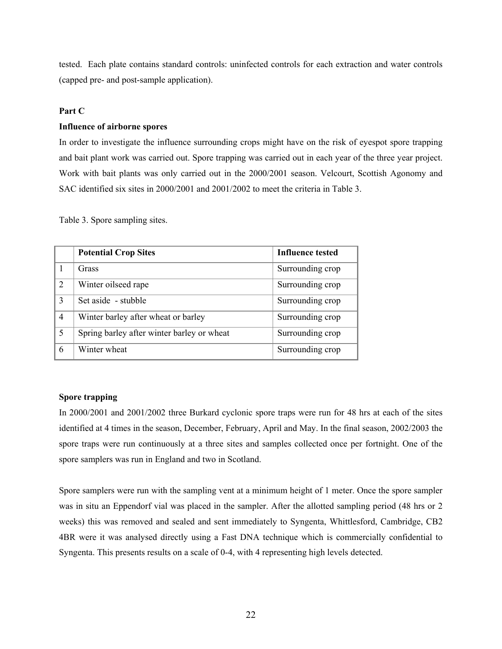tested. Each plate contains standard controls: uninfected controls for each extraction and water controls (capped pre- and post-sample application).

### **Part C**

### **Influence of airborne spores**

In order to investigate the influence surrounding crops might have on the risk of eyespot spore trapping and bait plant work was carried out. Spore trapping was carried out in each year of the three year project. Work with bait plants was only carried out in the 2000/2001 season. Velcourt, Scottish Agonomy and SAC identified six sites in 2000/2001 and 2001/2002 to meet the criteria in Table 3.

Table 3. Spore sampling sites.

|                | <b>Potential Crop Sites</b>                | Influence tested |
|----------------|--------------------------------------------|------------------|
|                | Grass                                      | Surrounding crop |
| 2              | Winter oilseed rape                        | Surrounding crop |
| 3              | Set aside - stubble                        | Surrounding crop |
| $\overline{4}$ | Winter barley after wheat or barley        | Surrounding crop |
| 5              | Spring barley after winter barley or wheat | Surrounding crop |
| 6              | Winter wheat                               | Surrounding crop |

### **Spore trapping**

In 2000/2001 and 2001/2002 three Burkard cyclonic spore traps were run for 48 hrs at each of the sites identified at 4 times in the season, December, February, April and May. In the final season, 2002/2003 the spore traps were run continuously at a three sites and samples collected once per fortnight. One of the spore samplers was run in England and two in Scotland.

Spore samplers were run with the sampling vent at a minimum height of 1 meter. Once the spore sampler was in situ an Eppendorf vial was placed in the sampler. After the allotted sampling period (48 hrs or 2 weeks) this was removed and sealed and sent immediately to Syngenta, Whittlesford, Cambridge, CB2 4BR were it was analysed directly using a Fast DNA technique which is commercially confidential to Syngenta. This presents results on a scale of 0-4, with 4 representing high levels detected.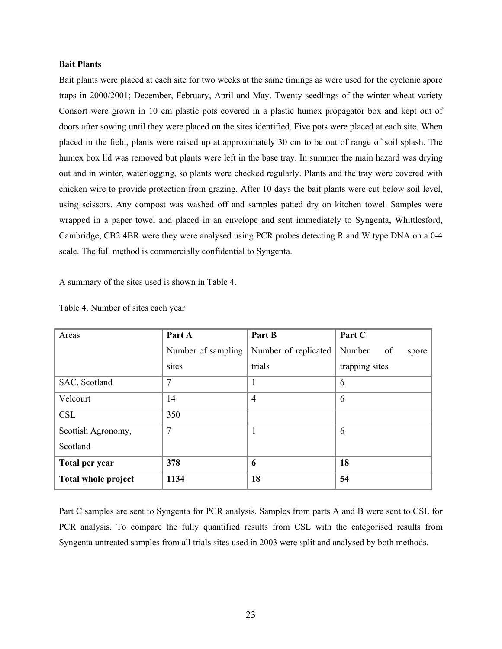### **Bait Plants**

Bait plants were placed at each site for two weeks at the same timings as were used for the cyclonic spore traps in 2000/2001; December, February, April and May. Twenty seedlings of the winter wheat variety Consort were grown in 10 cm plastic pots covered in a plastic humex propagator box and kept out of doors after sowing until they were placed on the sites identified. Five pots were placed at each site. When placed in the field, plants were raised up at approximately 30 cm to be out of range of soil splash. The humex box lid was removed but plants were left in the base tray. In summer the main hazard was drying out and in winter, waterlogging, so plants were checked regularly. Plants and the tray were covered with chicken wire to provide protection from grazing. After 10 days the bait plants were cut below soil level, using scissors. Any compost was washed off and samples patted dry on kitchen towel. Samples were wrapped in a paper towel and placed in an envelope and sent immediately to Syngenta, Whittlesford, Cambridge, CB2 4BR were they were analysed using PCR probes detecting R and W type DNA on a 0-4 scale. The full method is commercially confidential to Syngenta.

A summary of the sites used is shown in Table 4.

| Areas                      | Part A             | Part B               | Part C                |
|----------------------------|--------------------|----------------------|-----------------------|
|                            | Number of sampling | Number of replicated | Number<br>of<br>spore |
|                            | sites              | trials               | trapping sites        |
| SAC, Scotland              | $\overline{7}$     | п                    | 6                     |
| Velcourt                   | 14                 | $\overline{4}$       | 6                     |
| <b>CSL</b>                 | 350                |                      |                       |
| Scottish Agronomy,         | $\overline{7}$     | ш                    | 6                     |
| Scotland                   |                    |                      |                       |
| Total per year             | 378                | 6                    | 18                    |
| <b>Total whole project</b> | 1134               | 18                   | 54                    |

Table 4. Number of sites each year

Part C samples are sent to Syngenta for PCR analysis. Samples from parts A and B were sent to CSL for PCR analysis. To compare the fully quantified results from CSL with the categorised results from Syngenta untreated samples from all trials sites used in 2003 were split and analysed by both methods.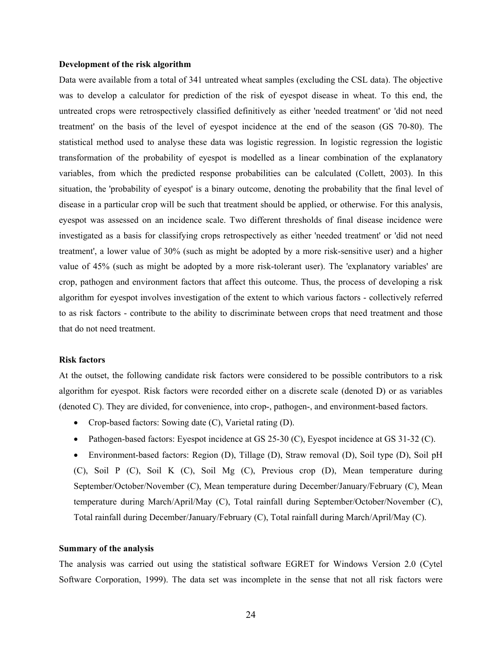#### **Development of the risk algorithm**

Data were available from a total of 341 untreated wheat samples (excluding the CSL data). The objective was to develop a calculator for prediction of the risk of eyespot disease in wheat. To this end, the untreated crops were retrospectively classified definitively as either 'needed treatment' or 'did not need treatment' on the basis of the level of eyespot incidence at the end of the season (GS 70-80). The statistical method used to analyse these data was logistic regression. In logistic regression the logistic transformation of the probability of eyespot is modelled as a linear combination of the explanatory variables, from which the predicted response probabilities can be calculated (Collett, 2003). In this situation, the 'probability of eyespot' is a binary outcome, denoting the probability that the final level of disease in a particular crop will be such that treatment should be applied, or otherwise. For this analysis, eyespot was assessed on an incidence scale. Two different thresholds of final disease incidence were investigated as a basis for classifying crops retrospectively as either 'needed treatment' or 'did not need treatment', a lower value of 30% (such as might be adopted by a more risk-sensitive user) and a higher value of 45% (such as might be adopted by a more risk-tolerant user). The 'explanatory variables' are crop, pathogen and environment factors that affect this outcome. Thus, the process of developing a risk algorithm for eyespot involves investigation of the extent to which various factors - collectively referred to as risk factors - contribute to the ability to discriminate between crops that need treatment and those that do not need treatment.

#### **Risk factors**

At the outset, the following candidate risk factors were considered to be possible contributors to a risk algorithm for eyespot. Risk factors were recorded either on a discrete scale (denoted D) or as variables (denoted C). They are divided, for convenience, into crop-, pathogen-, and environment-based factors.

- Crop-based factors: Sowing date (C), Varietal rating (D).
- Pathogen-based factors: Eyespot incidence at GS 25-30 (C), Eyespot incidence at GS 31-32 (C).

• Environment-based factors: Region (D), Tillage (D), Straw removal (D), Soil type (D), Soil pH (C), Soil P (C), Soil K (C), Soil Mg (C), Previous crop (D), Mean temperature during September/October/November (C), Mean temperature during December/January/February (C), Mean temperature during March/April/May (C), Total rainfall during September/October/November (C), Total rainfall during December/January/February (C), Total rainfall during March/April/May (C).

#### **Summary of the analysis**

The analysis was carried out using the statistical software EGRET for Windows Version 2.0 (Cytel Software Corporation, 1999). The data set was incomplete in the sense that not all risk factors were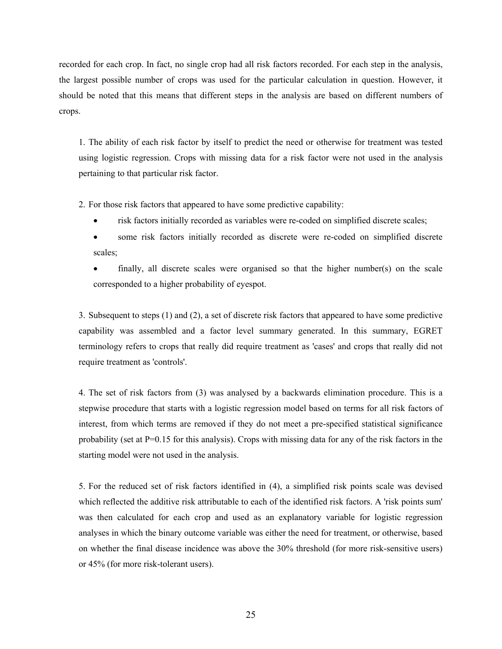recorded for each crop. In fact, no single crop had all risk factors recorded. For each step in the analysis, the largest possible number of crops was used for the particular calculation in question. However, it should be noted that this means that different steps in the analysis are based on different numbers of crops.

1. The ability of each risk factor by itself to predict the need or otherwise for treatment was tested using logistic regression. Crops with missing data for a risk factor were not used in the analysis pertaining to that particular risk factor.

2. For those risk factors that appeared to have some predictive capability:

- risk factors initially recorded as variables were re-coded on simplified discrete scales;
- some risk factors initially recorded as discrete were re-coded on simplified discrete scales;
- finally, all discrete scales were organised so that the higher number(s) on the scale corresponded to a higher probability of eyespot.

3. Subsequent to steps (1) and (2), a set of discrete risk factors that appeared to have some predictive capability was assembled and a factor level summary generated. In this summary, EGRET terminology refers to crops that really did require treatment as 'cases' and crops that really did not require treatment as 'controls'.

4. The set of risk factors from (3) was analysed by a backwards elimination procedure. This is a stepwise procedure that starts with a logistic regression model based on terms for all risk factors of interest, from which terms are removed if they do not meet a pre-specified statistical significance probability (set at  $P=0.15$  for this analysis). Crops with missing data for any of the risk factors in the starting model were not used in the analysis.

5. For the reduced set of risk factors identified in (4), a simplified risk points scale was devised which reflected the additive risk attributable to each of the identified risk factors. A 'risk points sum' was then calculated for each crop and used as an explanatory variable for logistic regression analyses in which the binary outcome variable was either the need for treatment, or otherwise, based on whether the final disease incidence was above the 30% threshold (for more risk-sensitive users) or 45% (for more risk-tolerant users).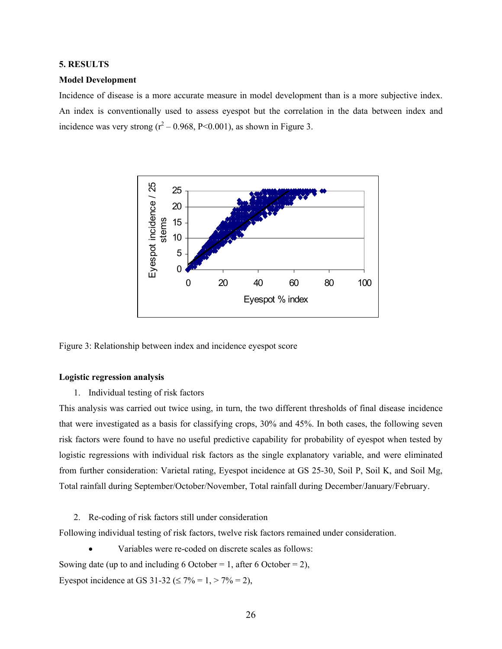### **5. RESULTS**

#### **Model Development**

Incidence of disease is a more accurate measure in model development than is a more subjective index. An index is conventionally used to assess eyespot but the correlation in the data between index and incidence was very strong  $(r^2 - 0.968, P \le 0.001)$ , as shown in Figure 3.



Figure 3: Relationship between index and incidence eyespot score

#### **Logistic regression analysis**

#### 1. Individual testing of risk factors

This analysis was carried out twice using, in turn, the two different thresholds of final disease incidence that were investigated as a basis for classifying crops, 30% and 45%. In both cases, the following seven risk factors were found to have no useful predictive capability for probability of eyespot when tested by logistic regressions with individual risk factors as the single explanatory variable, and were eliminated from further consideration: Varietal rating, Eyespot incidence at GS 25-30, Soil P, Soil K, and Soil Mg, Total rainfall during September/October/November, Total rainfall during December/January/February.

2. Re-coding of risk factors still under consideration

Following individual testing of risk factors, twelve risk factors remained under consideration.

• Variables were re-coded on discrete scales as follows:

Sowing date (up to and including 6 October = 1, after 6 October = 2),

Eyespot incidence at GS 31-32 ( $\leq$  7% = 1,  $>$  7% = 2),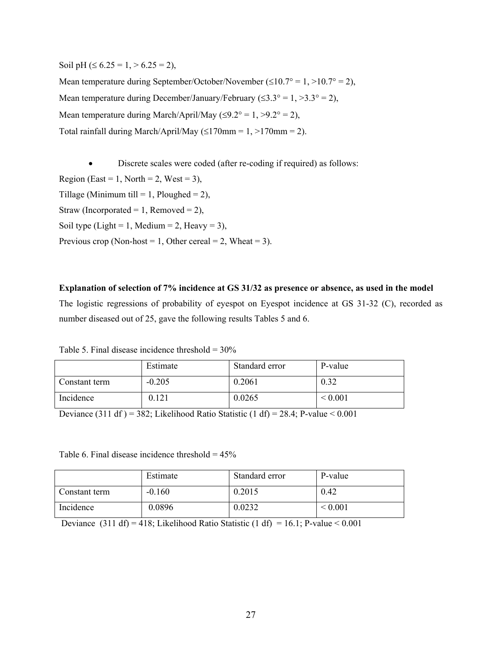Soil pH (≤  $6.25 = 1$ , >  $6.25 = 2$ ),

Mean temperature during September/October/November ( $\leq 10.7$ ° = 1, >10.7° = 2), Mean temperature during December/January/February ( $\leq$ 3.3° = 1, >3.3° = 2), Mean temperature during March/April/May ( $\leq 9.2^{\circ} = 1, >9.2^{\circ} = 2$ ), Total rainfall during March/April/May  $(\leq 170$ mm = 1, >170mm = 2).

• Discrete scales were coded (after re-coding if required) as follows: Region (East = 1, North = 2, West = 3), Tillage (Minimum till = 1, Ploughed = 2), Straw (Incorporated = 1, Removed = 2), Soil type (Light = 1, Medium = 2, Heavy = 3), Previous crop (Non-host = 1, Other cereal = 2, Wheat = 3).

**Explanation of selection of 7% incidence at GS 31/32 as presence or absence, as used in the model**  The logistic regressions of probability of eyespot on Eyespot incidence at GS 31-32 (C), recorded as number diseased out of 25, gave the following results Tables 5 and 6.

Table 5. Final disease incidence threshold  $= 30\%$ 

|               | Estimate | Standard error | P-value      |
|---------------|----------|----------------|--------------|
| Constant term | $-0.205$ | 0.2061         | 0.32         |
| Incidence     | 0.121    | 0.0265         | ${}_{0.001}$ |

Deviance (311 df ) = 382; Likelihood Ratio Statistic (1 df) = 28.4; P-value  $< 0.001$ 

Table 6. Final disease incidence threshold  $= 45\%$ 

|               | Estimate | Standard error | P-value           |
|---------------|----------|----------------|-------------------|
| Constant term | $-0.160$ | 0.2015         | 0.42              |
| Incidence     | 0.0896   | 0.0232         | ${}_{\leq 0.001}$ |

Deviance (311 df) = 418; Likelihood Ratio Statistic (1 df) = 16.1; P-value  $< 0.001$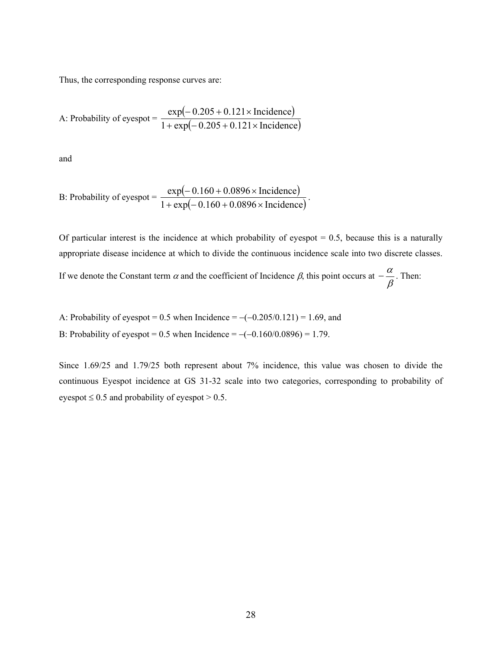Thus, the corresponding response curves are:

A: Probability of eyespot = 
$$
\frac{\exp(-0.205 + 0.121 \times \text{Incidence})}{1 + \exp(-0.205 + 0.121 \times \text{Incidence})}
$$

and

B: Probability of eyespot = 
$$
\frac{\exp(-0.160 + 0.0896 \times \text{Incidence})}{1 + \exp(-0.160 + 0.0896 \times \text{Incidence})}.
$$

Of particular interest is the incidence at which probability of eyespot  $= 0.5$ , because this is a naturally appropriate disease incidence at which to divide the continuous incidence scale into two discrete classes.

If we denote the Constant term  $\alpha$  and the coefficient of Incidence  $\beta$ , this point occurs at  $-\frac{\alpha}{\beta}$ . Then:

A: Probability of eyespot = 0.5 when Incidence =  $-(-0.205/0.121) = 1.69$ , and B: Probability of eyespot = 0.5 when Incidence =  $-(-0.160/0.0896) = 1.79$ .

Since 1.69/25 and 1.79/25 both represent about 7% incidence, this value was chosen to divide the continuous Eyespot incidence at GS 31-32 scale into two categories, corresponding to probability of eyespot  $\leq 0.5$  and probability of eyespot  $> 0.5$ .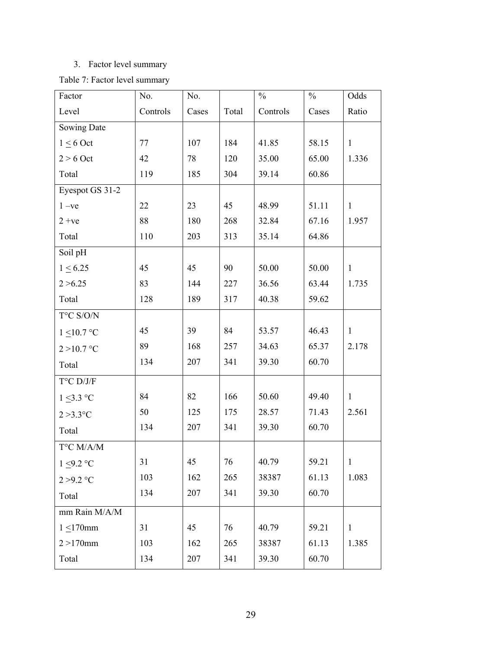# 3. Factor level summary

Table 7: Factor level summary

| Factor             | No.      | No.   |       | $\frac{0}{0}$ | $\frac{0}{0}$ | Odds         |
|--------------------|----------|-------|-------|---------------|---------------|--------------|
| Level              | Controls | Cases | Total | Controls      | Cases         | Ratio        |
| Sowing Date        |          |       |       |               |               |              |
| $1 \leq 6$ Oct     | 77       | 107   | 184   | 41.85         | 58.15         | $\mathbf{1}$ |
| $2 > 6$ Oct        | 42       | 78    | 120   | 35.00         | 65.00         | 1.336        |
| Total              | 119      | 185   | 304   | 39.14         | 60.86         |              |
| Eyespot GS 31-2    |          |       |       |               |               |              |
| $1 - ve$           | 22       | 23    | 45    | 48.99         | 51.11         | $\mathbf{1}$ |
| $2 +ve$            | 88       | 180   | 268   | 32.84         | 67.16         | 1.957        |
| Total              | 110      | 203   | 313   | 35.14         | 64.86         |              |
| Soil pH            |          |       |       |               |               |              |
| $1 \le 6.25$       | 45       | 45    | 90    | 50.00         | 50.00         | $\mathbf{1}$ |
| 2 > 6.25           | 83       | 144   | 227   | 36.56         | 63.44         | 1.735        |
| Total              | 128      | 189   | 317   | 40.38         | 59.62         |              |
| $T^{\circ}C$ S/O/N |          |       |       |               |               |              |
| $1 \leq 10.7$ °C   | 45       | 39    | 84    | 53.57         | 46.43         | $\mathbf{1}$ |
| $2 > 10.7$ °C      | 89       | 168   | 257   | 34.63         | 65.37         | 2.178        |
| Total              | 134      | 207   | 341   | 39.30         | 60.70         |              |
| $T^{\circ}C$ D/J/F |          |       |       |               |               |              |
| $1 \leq 3.3$ °C    | 84       | 82    | 166   | 50.60         | 49.40         | $\mathbf{1}$ |
| $2 > 3.3$ °C       | 50       | 125   | 175   | 28.57         | 71.43         | 2.561        |
| Total              | 134      | 207   | 341   | 39.30         | 60.70         |              |
| $T^{\circ}C$ M/A/M |          |       |       |               |               |              |
| $1 \leq 9.2$ °C    | 31       | 45    | 76    | 40.79         | 59.21         | $\mathbf{1}$ |
| $2 > 9.2$ °C       | 103      | 162   | 265   | 38387         | 61.13         | 1.083        |
| Total              | 134      | 207   | 341   | 39.30         | 60.70         |              |
| mm Rain M/A/M      |          |       |       |               |               |              |
| $1 < 170$ mm       | 31       | 45    | 76    | 40.79         | 59.21         | $\mathbf{1}$ |
| $2 > 170$ mm       | 103      | 162   | 265   | 38387         | 61.13         | 1.385        |
| Total              | 134      | 207   | 341   | 39.30         | 60.70         |              |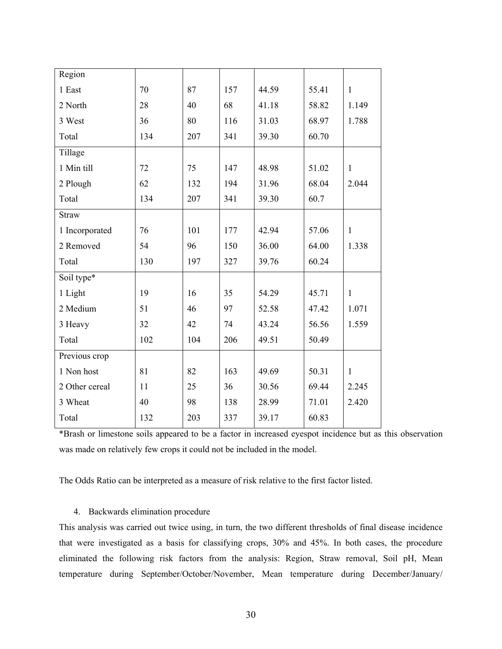| Region         |     |     |     |       |       |              |
|----------------|-----|-----|-----|-------|-------|--------------|
| 1 East         | 70  | 87  | 157 | 44.59 | 55.41 | $\mathbf{1}$ |
| 2 North        | 28  | 40  | 68  | 41.18 | 58.82 | 1.149        |
| 3 West         | 36  | 80  | 116 | 31.03 | 68.97 | 1.788        |
| Total          | 134 | 207 | 341 | 39.30 | 60.70 |              |
| Tillage        |     |     |     |       |       |              |
| 1 Min till     | 72  | 75  | 147 | 48.98 | 51.02 | $\mathbf{1}$ |
| 2 Plough       | 62  | 132 | 194 | 31.96 | 68.04 | 2.044        |
| Total          | 134 | 207 | 341 | 39.30 | 60.7  |              |
| <b>Straw</b>   |     |     |     |       |       |              |
| 1 Incorporated | 76  | 101 | 177 | 42.94 | 57.06 | $\mathbf{1}$ |
| 2 Removed      | 54  | 96  | 150 | 36.00 | 64.00 | 1.338        |
| Total          | 130 | 197 | 327 | 39.76 | 60.24 |              |
| Soil type*     |     |     |     |       |       |              |
| 1 Light        | 19  | 16  | 35  | 54.29 | 45.71 | $\mathbf{1}$ |
| 2 Medium       | 51  | 46  | 97  | 52.58 | 47.42 | 1.071        |
| 3 Heavy        | 32  | 42  | 74  | 43.24 | 56.56 | 1.559        |
| Total          | 102 | 104 | 206 | 49.51 | 50.49 |              |
| Previous crop  |     |     |     |       |       |              |
| 1 Non host     | 81  | 82  | 163 | 49.69 | 50.31 | $\mathbf{1}$ |
| 2 Other cereal | 11  | 25  | 36  | 30.56 | 69.44 | 2.245        |
| 3 Wheat        | 40  | 98  | 138 | 28.99 | 71.01 | 2.420        |
| Total          | 132 | 203 | 337 | 39.17 | 60.83 |              |

\*Brash or limestone soils appeared to be a factor in increased eyespot incidence but as this observation was made on relatively few crops it could not be included in the model.

The Odds Ratio can be interpreted as a measure of risk relative to the first factor listed.

### 4. Backwards elimination procedure

This analysis was carried out twice using, in turn, the two different thresholds of final disease incidence that were investigated as a basis for classifying crops, 30% and 45%. In both cases, the procedure eliminated the following risk factors from the analysis: Region, Straw removal, Soil pH, Mean temperature during September/October/November, Mean temperature during December/January/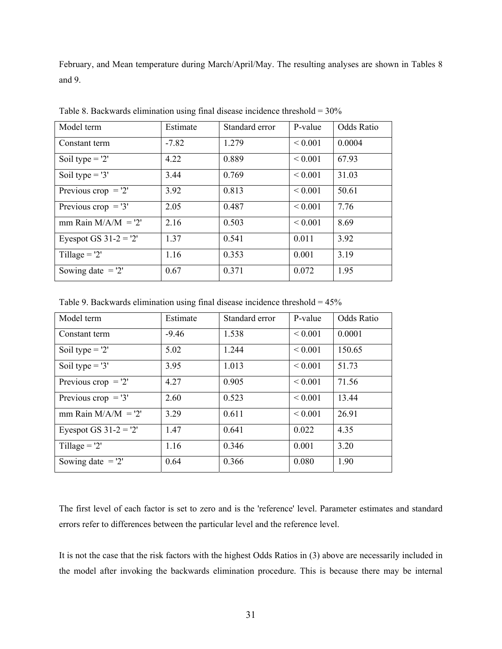February, and Mean temperature during March/April/May. The resulting analyses are shown in Tables 8 and 9.

| Model term              | Estimate | Standard error | P-value      | <b>Odds Ratio</b> |
|-------------------------|----------|----------------|--------------|-------------------|
| Constant term           | $-7.82$  | 1.279          | ${}< 0.001$  | 0.0004            |
| Soil type $=$ '2'       | 4.22     | 0.889          | ${}_{0.001}$ | 67.93             |
| Soil type $=$ '3'       | 3.44     | 0.769          | ${}_{0.001}$ | 31.03             |
| Previous crop = $2'$    | 3.92     | 0.813          | ${}< 0.001$  | 50.61             |
| Previous crop $=$ '3'   | 2.05     | 0.487          | ${}< 0.001$  | 7.76              |
| mm Rain $M/A/M = '2'$   | 2.16     | 0.503          | ${}_{0.001}$ | 8.69              |
| Eyespot GS $31-2 = '2'$ | 1.37     | 0.541          | 0.011        | 3.92              |
| Tillage = $2'$          | 1.16     | 0.353          | 0.001        | 3.19              |
| Sowing date $= '2'$     | 0.67     | 0.371          | 0.072        | 1.95              |

Table 8. Backwards elimination using final disease incidence threshold = 30%

Table 9. Backwards elimination using final disease incidence threshold = 45%

| Model term              | Estimate | Standard error | P-value      | Odds Ratio |
|-------------------------|----------|----------------|--------------|------------|
| Constant term           | $-9.46$  | 1.538          | ${}_{0.001}$ | 0.0001     |
| Soil type $=$ '2'       | 5.02     | 1.244          | ${}_{0.001}$ | 150.65     |
| Soil type $=$ '3'       | 3.95     | 1.013          | ${}_{0.001}$ | 51.73      |
| Previous crop $=$ '2'   | 4.27     | 0.905          | ${}< 0.001$  | 71.56      |
| Previous crop = $'3'$   | 2.60     | 0.523          | ${}_{0.001}$ | 13.44      |
| mm Rain $M/A/M = '2'$   | 3 2 9    | 0.611          | ${}_{0.001}$ | 26.91      |
| Eyespot GS $31-2 = '2'$ | 1.47     | 0.641          | 0.022        | 4.35       |
| Tillage = $'2'$         | 1.16     | 0.346          | 0.001        | 3.20       |
| Sowing date $= '2'$     | 0.64     | 0.366          | 0.080        | 1.90       |

The first level of each factor is set to zero and is the 'reference' level. Parameter estimates and standard errors refer to differences between the particular level and the reference level.

It is not the case that the risk factors with the highest Odds Ratios in (3) above are necessarily included in the model after invoking the backwards elimination procedure. This is because there may be internal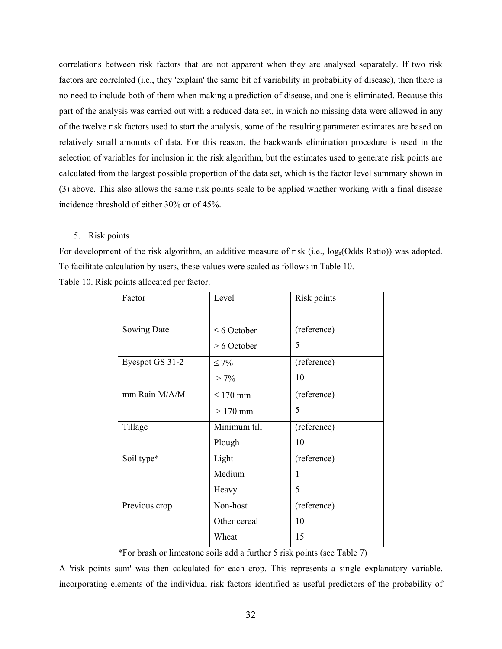correlations between risk factors that are not apparent when they are analysed separately. If two risk factors are correlated (i.e., they 'explain' the same bit of variability in probability of disease), then there is no need to include both of them when making a prediction of disease, and one is eliminated. Because this part of the analysis was carried out with a reduced data set, in which no missing data were allowed in any of the twelve risk factors used to start the analysis, some of the resulting parameter estimates are based on relatively small amounts of data. For this reason, the backwards elimination procedure is used in the selection of variables for inclusion in the risk algorithm, but the estimates used to generate risk points are calculated from the largest possible proportion of the data set, which is the factor level summary shown in (3) above. This also allows the same risk points scale to be applied whether working with a final disease incidence threshold of either 30% or of 45%.

### 5. Risk points

For development of the risk algorithm, an additive measure of risk (i.e.,  $log_e(Odds Ratio)$ ) was adopted. To facilitate calculation by users, these values were scaled as follows in Table 10.

| Factor          | Level            | Risk points |
|-----------------|------------------|-------------|
|                 |                  |             |
| Sowing Date     | $\leq 6$ October | (reference) |
|                 | $> 6$ October    | 5           |
| Eyespot GS 31-2 | $\leq 7\%$       | (reference) |
|                 | $> 7\%$          | 10          |
| mm Rain M/A/M   | $\leq 170$ mm    | (reference) |
|                 | $>170$ mm        | 5           |
| Tillage         | Minimum till     | (reference) |
|                 | Plough           | 10          |
| Soil type*      | Light            | (reference) |
|                 | Medium           | 1           |
|                 | Heavy            | 5           |
| Previous crop   | Non-host         | (reference) |
|                 | Other cereal     | 10          |
|                 | Wheat            | 15          |

Table 10. Risk points allocated per factor.

\*For brash or limestone soils add a further 5 risk points (see Table 7)

A 'risk points sum' was then calculated for each crop. This represents a single explanatory variable, incorporating elements of the individual risk factors identified as useful predictors of the probability of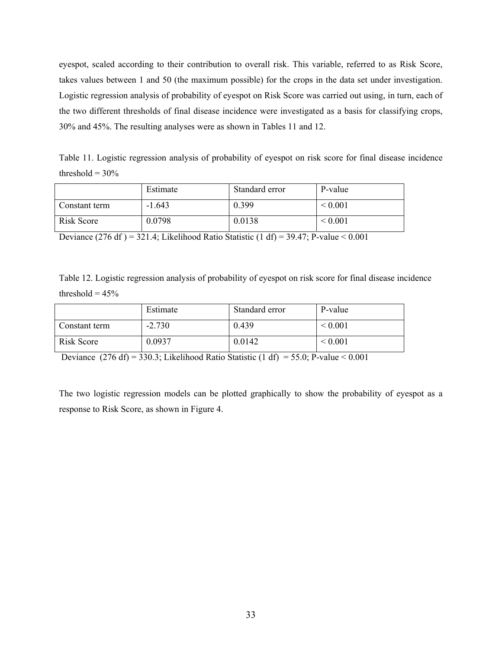eyespot, scaled according to their contribution to overall risk. This variable, referred to as Risk Score, takes values between 1 and 50 (the maximum possible) for the crops in the data set under investigation. Logistic regression analysis of probability of eyespot on Risk Score was carried out using, in turn, each of the two different thresholds of final disease incidence were investigated as a basis for classifying crops, 30% and 45%. The resulting analyses were as shown in Tables 11 and 12.

Table 11. Logistic regression analysis of probability of eyespot on risk score for final disease incidence threshold  $= 30\%$ 

|               | Estimate | Standard error | P-value           |
|---------------|----------|----------------|-------------------|
| Constant term | $-1.643$ | 0.399          | ${}_{0.001}$      |
| Risk Score    | 0.0798   | 0.0138         | ${}_{\leq 0.001}$ |

Deviance (276 df ) = 321.4; Likelihood Ratio Statistic (1 df) = 39.47; P-value <  $0.001$ 

Table 12. Logistic regression analysis of probability of eyespot on risk score for final disease incidence threshold  $= 45\%$ 

|               | Estimate | Standard error | P-value           |
|---------------|----------|----------------|-------------------|
| Constant term | $-2.730$ | 0.439          | ${}_{\leq 0.001}$ |
| Risk Score    | 0.0937   | 0.0142         | ${}_{\leq 0.001}$ |

Deviance  $(276 \text{ df}) = 330.3$ ; Likelihood Ratio Statistic  $(1 \text{ df}) = 55.0$ ; P-value  $\le 0.001$ 

The two logistic regression models can be plotted graphically to show the probability of eyespot as a response to Risk Score, as shown in Figure 4.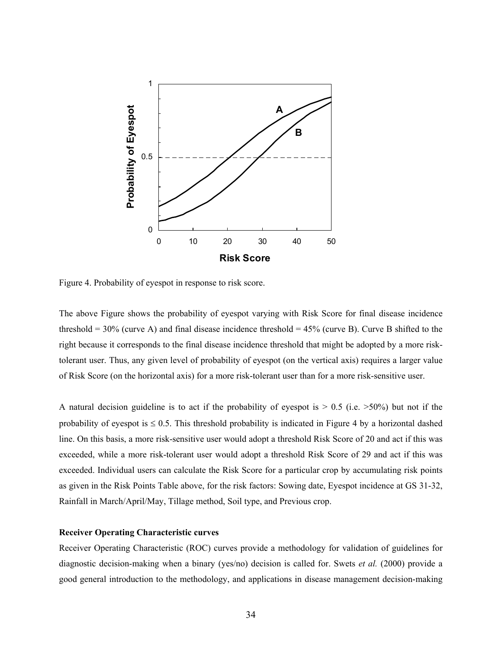

Figure 4. Probability of eyespot in response to risk score.

The above Figure shows the probability of eyespot varying with Risk Score for final disease incidence threshold  $= 30\%$  (curve A) and final disease incidence threshold  $= 45\%$  (curve B). Curve B shifted to the right because it corresponds to the final disease incidence threshold that might be adopted by a more risktolerant user. Thus, any given level of probability of eyespot (on the vertical axis) requires a larger value of Risk Score (on the horizontal axis) for a more risk-tolerant user than for a more risk-sensitive user.

A natural decision guideline is to act if the probability of eyespot is  $> 0.5$  (i.e.  $> 50\%$ ) but not if the probability of eyespot is  $\leq 0.5$ . This threshold probability is indicated in Figure 4 by a horizontal dashed line. On this basis, a more risk-sensitive user would adopt a threshold Risk Score of 20 and act if this was exceeded, while a more risk-tolerant user would adopt a threshold Risk Score of 29 and act if this was exceeded. Individual users can calculate the Risk Score for a particular crop by accumulating risk points as given in the Risk Points Table above, for the risk factors: Sowing date, Eyespot incidence at GS 31-32, Rainfall in March/April/May, Tillage method, Soil type, and Previous crop.

### **Receiver Operating Characteristic curves**

Receiver Operating Characteristic (ROC) curves provide a methodology for validation of guidelines for diagnostic decision-making when a binary (yes/no) decision is called for. Swets *et al.* (2000) provide a good general introduction to the methodology, and applications in disease management decision-making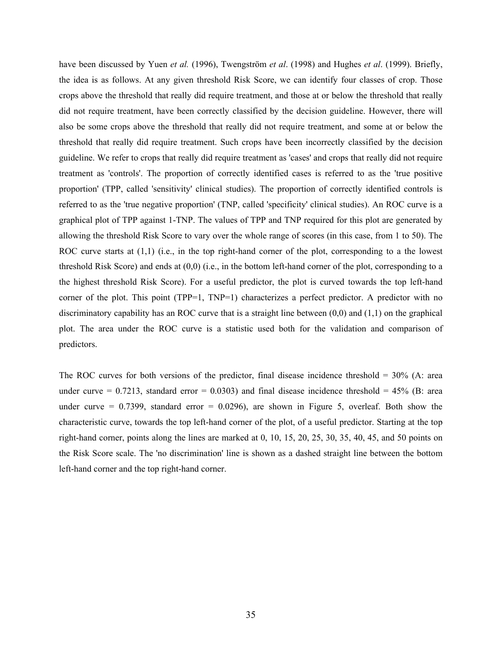have been discussed by Yuen *et al.* (1996), Twengström *et al*. (1998) and Hughes *et al*. (1999). Briefly, the idea is as follows. At any given threshold Risk Score, we can identify four classes of crop. Those crops above the threshold that really did require treatment, and those at or below the threshold that really did not require treatment, have been correctly classified by the decision guideline. However, there will also be some crops above the threshold that really did not require treatment, and some at or below the threshold that really did require treatment. Such crops have been incorrectly classified by the decision guideline. We refer to crops that really did require treatment as 'cases' and crops that really did not require treatment as 'controls'. The proportion of correctly identified cases is referred to as the 'true positive proportion' (TPP, called 'sensitivity' clinical studies). The proportion of correctly identified controls is referred to as the 'true negative proportion' (TNP, called 'specificity' clinical studies). An ROC curve is a graphical plot of TPP against 1-TNP. The values of TPP and TNP required for this plot are generated by allowing the threshold Risk Score to vary over the whole range of scores (in this case, from 1 to 50). The ROC curve starts at  $(1,1)$  (i.e., in the top right-hand corner of the plot, corresponding to a the lowest threshold Risk Score) and ends at (0,0) (i.e., in the bottom left-hand corner of the plot, corresponding to a the highest threshold Risk Score). For a useful predictor, the plot is curved towards the top left-hand corner of the plot. This point (TPP=1, TNP=1) characterizes a perfect predictor. A predictor with no discriminatory capability has an ROC curve that is a straight line between  $(0,0)$  and  $(1,1)$  on the graphical plot. The area under the ROC curve is a statistic used both for the validation and comparison of predictors.

The ROC curves for both versions of the predictor, final disease incidence threshold  $= 30\%$  (A: area under curve  $= 0.7213$ , standard error  $= 0.0303$ ) and final disease incidence threshold  $= 45\%$  (B: area under curve  $= 0.7399$ , standard error  $= 0.0296$ ), are shown in Figure 5, overleaf. Both show the characteristic curve, towards the top left-hand corner of the plot, of a useful predictor. Starting at the top right-hand corner, points along the lines are marked at 0, 10, 15, 20, 25, 30, 35, 40, 45, and 50 points on the Risk Score scale. The 'no discrimination' line is shown as a dashed straight line between the bottom left-hand corner and the top right-hand corner.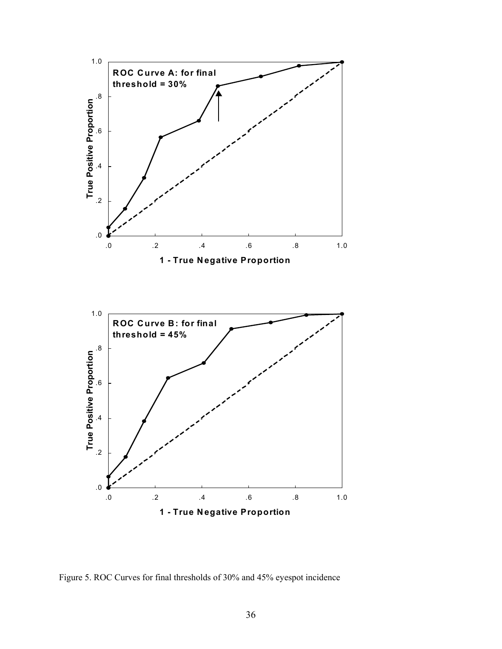

Figure 5. ROC Curves for final thresholds of 30% and 45% eyespot incidence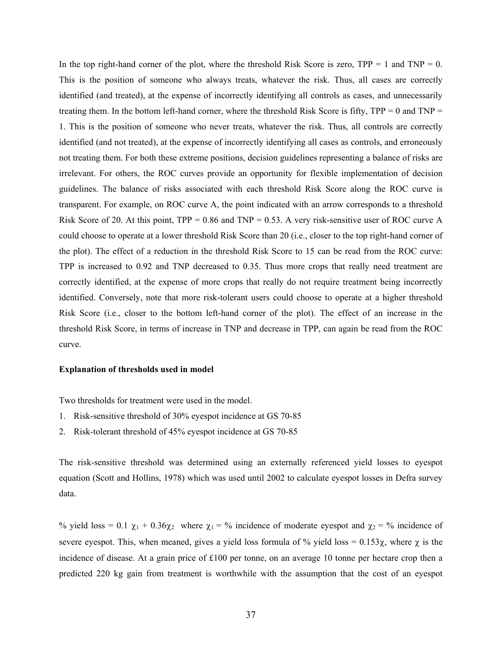In the top right-hand corner of the plot, where the threshold Risk Score is zero,  $TPP = 1$  and  $TNP = 0$ . This is the position of someone who always treats, whatever the risk. Thus, all cases are correctly identified (and treated), at the expense of incorrectly identifying all controls as cases, and unnecessarily treating them. In the bottom left-hand corner, where the threshold Risk Score is fifty,  $TPP = 0$  and  $TNP =$ 1. This is the position of someone who never treats, whatever the risk. Thus, all controls are correctly identified (and not treated), at the expense of incorrectly identifying all cases as controls, and erroneously not treating them. For both these extreme positions, decision guidelines representing a balance of risks are irrelevant. For others, the ROC curves provide an opportunity for flexible implementation of decision guidelines. The balance of risks associated with each threshold Risk Score along the ROC curve is transparent. For example, on ROC curve A, the point indicated with an arrow corresponds to a threshold Risk Score of 20. At this point,  $TPP = 0.86$  and  $TNP = 0.53$ . A very risk-sensitive user of ROC curve A could choose to operate at a lower threshold Risk Score than 20 (i.e., closer to the top right-hand corner of the plot). The effect of a reduction in the threshold Risk Score to 15 can be read from the ROC curve: TPP is increased to 0.92 and TNP decreased to 0.35. Thus more crops that really need treatment are correctly identified, at the expense of more crops that really do not require treatment being incorrectly identified. Conversely, note that more risk-tolerant users could choose to operate at a higher threshold Risk Score (i.e., closer to the bottom left-hand corner of the plot). The effect of an increase in the threshold Risk Score, in terms of increase in TNP and decrease in TPP, can again be read from the ROC curve.

### **Explanation of thresholds used in model**

Two thresholds for treatment were used in the model.

- 1. Risk-sensitive threshold of 30% eyespot incidence at GS 70-85
- 2. Risk-tolerant threshold of 45% eyespot incidence at GS 70-85

The risk-sensitive threshold was determined using an externally referenced yield losses to eyespot equation (Scott and Hollins, 1978) which was used until 2002 to calculate eyespot losses in Defra survey data.

% yield loss = 0.1  $\chi_1$  + 0.36 $\chi_2$  where  $\chi_1$  = % incidence of moderate eyespot and  $\chi_2$  = % incidence of severe eyespot. This, when meaned, gives a yield loss formula of % yield loss =  $0.153\chi$ , where  $\chi$  is the incidence of disease. At a grain price of £100 per tonne, on an average 10 tonne per hectare crop then a predicted 220 kg gain from treatment is worthwhile with the assumption that the cost of an eyespot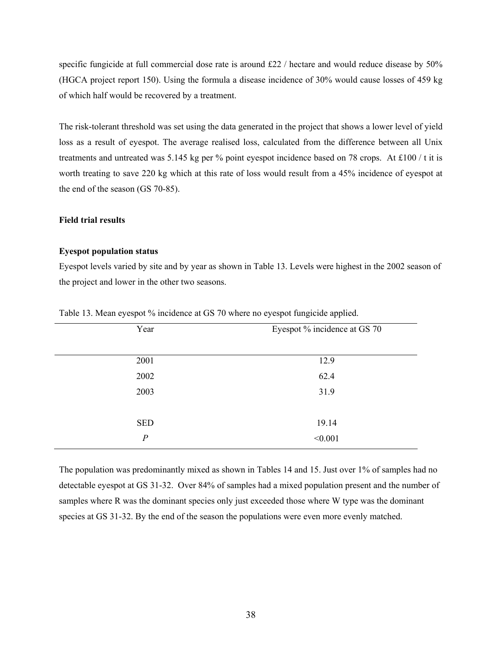specific fungicide at full commercial dose rate is around £22 / hectare and would reduce disease by 50% (HGCA project report 150). Using the formula a disease incidence of 30% would cause losses of 459 kg of which half would be recovered by a treatment.

The risk-tolerant threshold was set using the data generated in the project that shows a lower level of yield loss as a result of eyespot. The average realised loss, calculated from the difference between all Unix treatments and untreated was 5.145 kg per % point eyespot incidence based on 78 crops. At £100 / t it is worth treating to save 220 kg which at this rate of loss would result from a 45% incidence of eyespot at the end of the season (GS 70-85).

### **Field trial results**

### **Eyespot population status**

Eyespot levels varied by site and by year as shown in Table 13. Levels were highest in the 2002 season of the project and lower in the other two seasons.

| Year                           | Eyespot % incidence at GS 70 |
|--------------------------------|------------------------------|
| 2001                           | 12.9                         |
| 2002                           | 62.4                         |
| 2003                           | 31.9                         |
|                                |                              |
| <b>SED</b><br>$\boldsymbol{P}$ | 19.14<br>< 0.001             |
|                                |                              |

Table 13. Mean eyespot % incidence at GS 70 where no eyespot fungicide applied.

The population was predominantly mixed as shown in Tables 14 and 15. Just over 1% of samples had no detectable eyespot at GS 31-32. Over 84% of samples had a mixed population present and the number of samples where R was the dominant species only just exceeded those where W type was the dominant species at GS 31-32. By the end of the season the populations were even more evenly matched.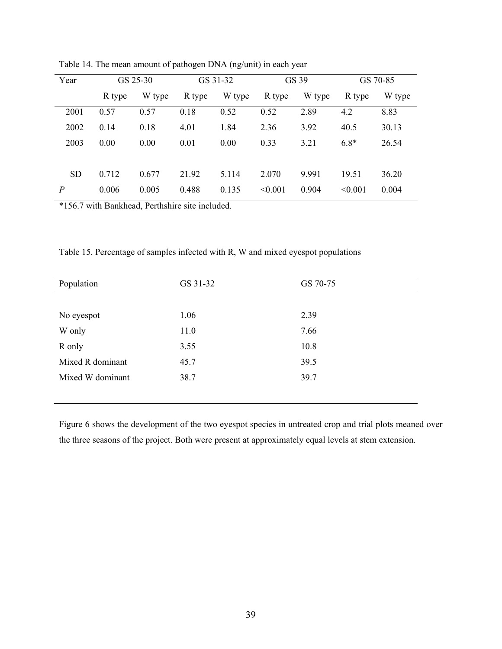| Year           |        | GS 25-30 |        | GS 31-32 |         | GS 39  |         | GS 70-85 |
|----------------|--------|----------|--------|----------|---------|--------|---------|----------|
|                | R type | W type   | R type | W type   | R type  | W type | R type  | W type   |
| 2001           | 0.57   | 0.57     | 0.18   | 0.52     | 0.52    | 2.89   | 4.2     | 8.83     |
| 2002           | 0.14   | 0.18     | 4.01   | 1.84     | 2.36    | 3.92   | 40.5    | 30.13    |
| 2003           | 0.00   | 0.00     | 0.01   | 0.00     | 0.33    | 3.21   | $6.8*$  | 26.54    |
|                |        |          |        |          |         |        |         |          |
| <b>SD</b>      | 0.712  | 0.677    | 21.92  | 5.114    | 2.070   | 9.991  | 19.51   | 36.20    |
| $\overline{P}$ | 0.006  | 0.005    | 0.488  | 0.135    | < 0.001 | 0.904  | < 0.001 | 0.004    |

Table 14. The mean amount of pathogen DNA (ng/unit) in each year

\*156.7 with Bankhead, Perthshire site included.

Table 15. Percentage of samples infected with R, W and mixed eyespot populations

| Population       | GS 31-32 | GS 70-75 |
|------------------|----------|----------|
|                  |          |          |
| No eyespot       | 1.06     | 2.39     |
| W only           | 11.0     | 7.66     |
| R only           | 3.55     | 10.8     |
| Mixed R dominant | 45.7     | 39.5     |
| Mixed W dominant | 38.7     | 39.7     |
|                  |          |          |

Figure 6 shows the development of the two eyespot species in untreated crop and trial plots meaned over the three seasons of the project. Both were present at approximately equal levels at stem extension.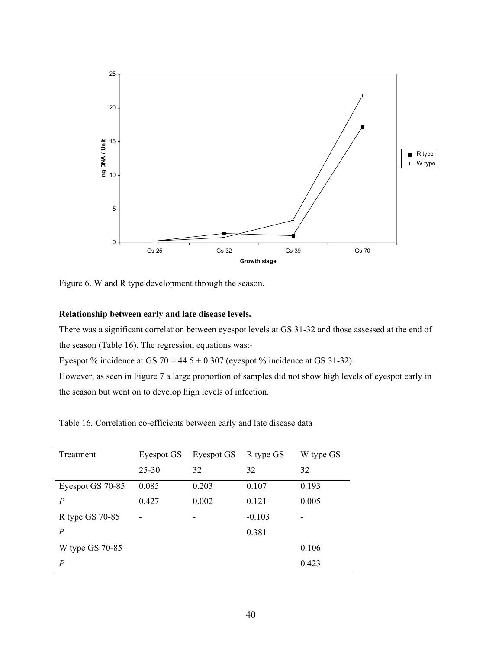

Figure 6. W and R type development through the season.

## **Relationship between early and late disease levels.**

There was a significant correlation between eyespot levels at GS 31-32 and those assessed at the end of the season (Table 16). The regression equations was:-

Eyespot % incidence at GS  $70 = 44.5 + 0.307$  (eyespot % incidence at GS 31-32).

However, as seen in Figure 7 a large proportion of samples did not show high levels of eyespot early in the season but went on to develop high levels of infection.

Table 16. Correlation co-efficients between early and late disease data

| Treatment        | Eyespot GS | Eyespot GS | R type GS | W type GS |
|------------------|------------|------------|-----------|-----------|
|                  | 25-30      | 32         | 32        | 32        |
| Eyespot GS 70-85 | 0.085      | 0.203      | 0.107     | 0.193     |
| $\boldsymbol{P}$ | 0.427      | 0.002      | 0.121     | 0.005     |
| R type GS 70-85  |            |            | $-0.103$  | ۰         |
| P                |            |            | 0.381     |           |
| W type GS 70-85  |            |            |           | 0.106     |
| P                |            |            |           | 0.423     |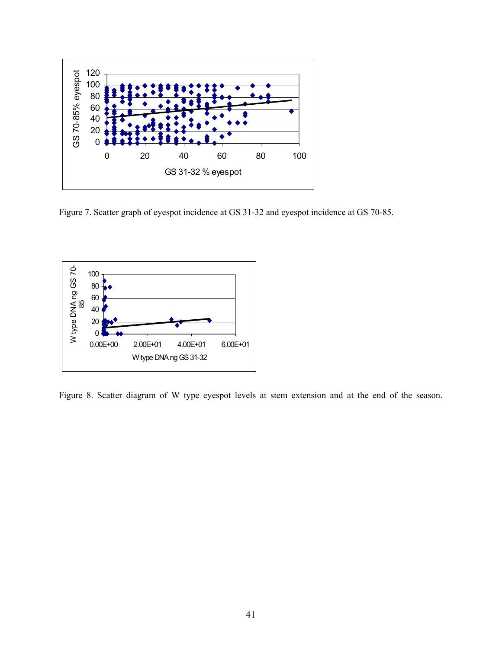

Figure 7. Scatter graph of eyespot incidence at GS 31-32 and eyespot incidence at GS 70-85.



Figure 8. Scatter diagram of W type eyespot levels at stem extension and at the end of the season.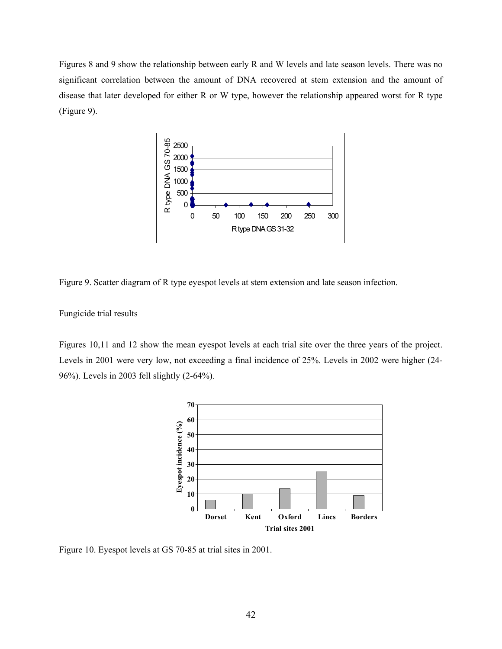Figures 8 and 9 show the relationship between early R and W levels and late season levels. There was no significant correlation between the amount of DNA recovered at stem extension and the amount of disease that later developed for either R or W type, however the relationship appeared worst for R type (Figure 9).



Figure 9. Scatter diagram of R type eyespot levels at stem extension and late season infection.

Fungicide trial results

Figures 10,11 and 12 show the mean eyespot levels at each trial site over the three years of the project. Levels in 2001 were very low, not exceeding a final incidence of 25%. Levels in 2002 were higher (24- 96%). Levels in 2003 fell slightly (2-64%).



Figure 10. Eyespot levels at GS 70-85 at trial sites in 2001.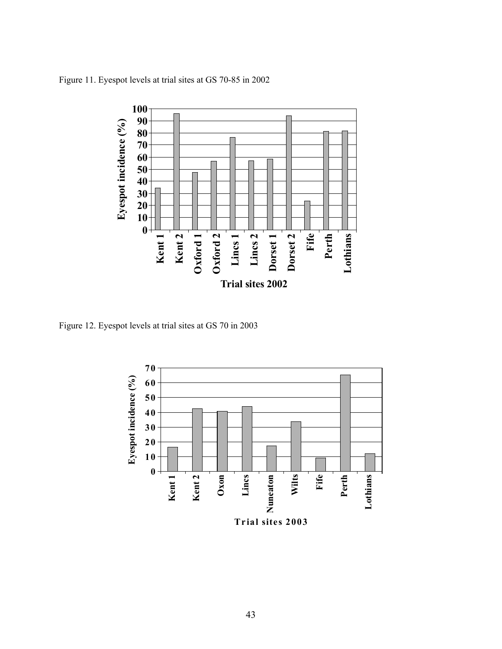



Figure 12. Eyespot levels at trial sites at GS 70 in 2003

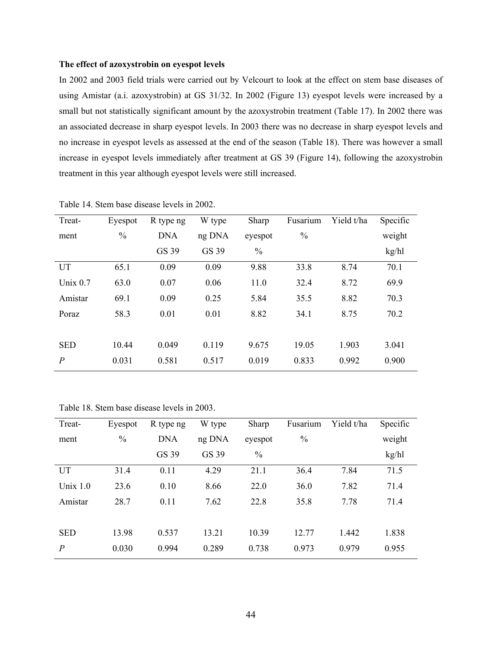### **The effect of azoxystrobin on eyespot levels**

In 2002 and 2003 field trials were carried out by Velcourt to look at the effect on stem base diseases of using Amistar (a.i. azoxystrobin) at GS 31/32. In 2002 (Figure 13) eyespot levels were increased by a small but not statistically significant amount by the azoxystrobin treatment (Table 17). In 2002 there was an associated decrease in sharp eyespot levels. In 2003 there was no decrease in sharp eyespot levels and no increase in eyespot levels as assessed at the end of the season (Table 18). There was however a small increase in eyespot levels immediately after treatment at GS 39 (Figure 14), following the azoxystrobin treatment in this year although eyespot levels were still increased.

| Treat-         | Eyespot       | R type ng    | W type | Sharp         | Fusarium      | Yield t/ha | Specific |
|----------------|---------------|--------------|--------|---------------|---------------|------------|----------|
| ment           | $\frac{0}{0}$ | <b>DNA</b>   | ng DNA | eyespot       | $\frac{0}{0}$ |            | weight   |
|                |               | <b>GS 39</b> | GS 39  | $\frac{0}{0}$ |               |            | kg/hl    |
| UT             | 65.1          | 0.09         | 0.09   | 9.88          | 33.8          | 8.74       | 70.1     |
| Unix $0.7$     | 63.0          | 0.07         | 0.06   | 11.0          | 32.4          | 8.72       | 69.9     |
| Amistar        | 69.1          | 0.09         | 0.25   | 5.84          | 35.5          | 8.82       | 70.3     |
| Poraz          | 58.3          | 0.01         | 0.01   | 8.82          | 34.1          | 8.75       | 70.2     |
|                |               |              |        |               |               |            |          |
| <b>SED</b>     | 10.44         | 0.049        | 0.119  | 9.675         | 19.05         | 1.903      | 3.041    |
| $\overline{P}$ | 0.031         | 0.581        | 0.517  | 0.019         | 0.833         | 0.992      | 0.900    |

Table 14. Stem base disease levels in 2002.

Table 18. Stem base disease levels in 2003.

| Treat-         | Eyespot       | R type ng  | W type | Sharp         | Fusarium | Yield t/ha | Specific |
|----------------|---------------|------------|--------|---------------|----------|------------|----------|
| ment           | $\frac{0}{0}$ | <b>DNA</b> | ng DNA | eyespot       | $\%$     |            | weight   |
|                |               | GS 39      | GS 39  | $\frac{0}{0}$ |          |            | kg/hl    |
| UT             | 31.4          | 0.11       | 4.29   | 21.1          | 36.4     | 7.84       | 71.5     |
| Unix $1.0$     | 23.6          | 0.10       | 8.66   | 22.0          | 36.0     | 7.82       | 71.4     |
| Amistar        | 28.7          | 0.11       | 7.62   | 22.8          | 35.8     | 7.78       | 71.4     |
|                |               |            |        |               |          |            |          |
| <b>SED</b>     | 13.98         | 0.537      | 13.21  | 10.39         | 12.77    | 1.442      | 1.838    |
| $\overline{P}$ | 0.030         | 0.994      | 0.289  | 0.738         | 0.973    | 0.979      | 0.955    |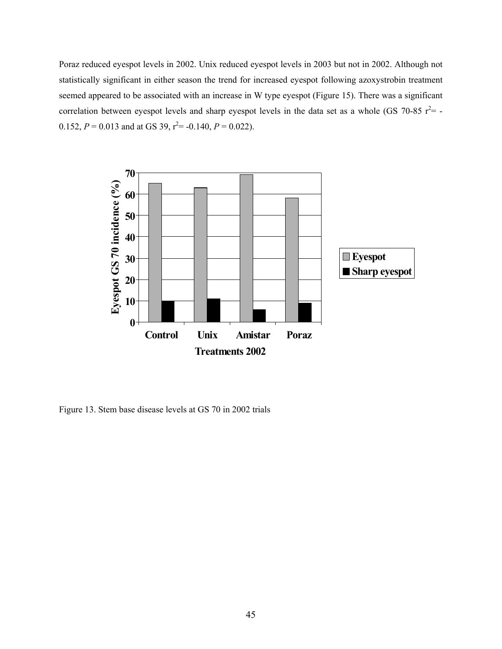Poraz reduced eyespot levels in 2002. Unix reduced eyespot levels in 2003 but not in 2002. Although not statistically significant in either season the trend for increased eyespot following azoxystrobin treatment seemed appeared to be associated with an increase in W type eyespot (Figure 15). There was a significant correlation between eyespot levels and sharp eyespot levels in the data set as a whole (GS 70-85  $r^2$  = -0.152,  $P = 0.013$  and at GS 39,  $r^2 = -0.140$ ,  $P = 0.022$ ).



Figure 13. Stem base disease levels at GS 70 in 2002 trials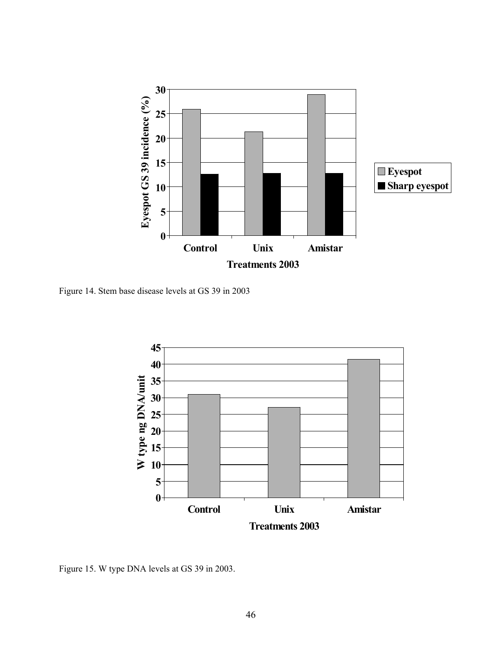

Figure 14. Stem base disease levels at GS 39 in 2003



Figure 15. W type DNA levels at GS 39 in 2003.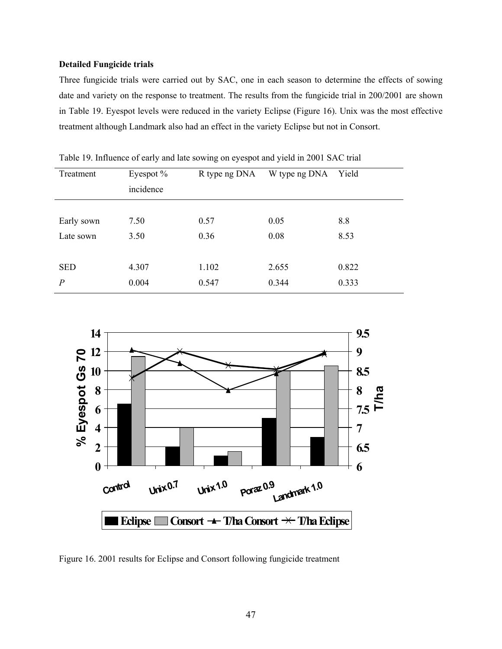## **Detailed Fungicide trials**

Three fungicide trials were carried out by SAC, one in each season to determine the effects of sowing date and variety on the response to treatment. The results from the fungicide trial in 200/2001 are shown in Table 19. Eyespot levels were reduced in the variety Eclipse (Figure 16). Unix was the most effective treatment although Landmark also had an effect in the variety Eclipse but not in Consort.

| Treatment        | Eyespot $%$ | R type ng DNA | W type ng DNA | Yield |
|------------------|-------------|---------------|---------------|-------|
|                  | incidence   |               |               |       |
|                  |             |               |               |       |
| Early sown       | 7.50        | 0.57          | 0.05          | 8.8   |
| Late sown        | 3.50        | 0.36          | 0.08          | 8.53  |
|                  |             |               |               |       |
| <b>SED</b>       | 4.307       | 1.102         | 2.655         | 0.822 |
| $\boldsymbol{P}$ | 0.004       | 0.547         | 0.344         | 0.333 |
|                  |             |               |               |       |

Table 19. Influence of early and late sowing on eyespot and yield in 2001 SAC trial



Figure 16. 2001 results for Eclipse and Consort following fungicide treatment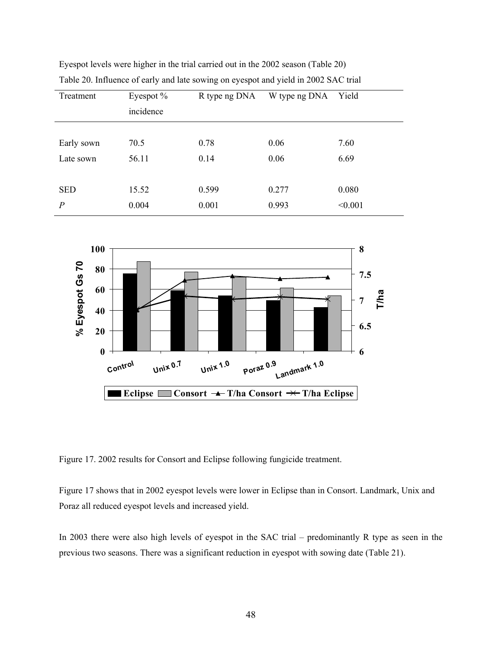| Treatment  | Eyespot $%$<br>incidence | R type ng DNA | W type ng DNA | Yield   |
|------------|--------------------------|---------------|---------------|---------|
|            |                          |               |               |         |
| Early sown | 70.5                     | 0.78          | 0.06          | 7.60    |
| Late sown  | 56.11                    | 0.14          | 0.06          | 6.69    |
| <b>SED</b> | 15.52                    | 0.599         | 0.277         | 0.080   |
| P          | 0.004                    | 0.001         | 0.993         | < 0.001 |

Eyespot levels were higher in the trial carried out in the 2002 season (Table 20) Table 20. Influence of early and late sowing on eyespot and yield in 2002 SAC trial



Figure 17. 2002 results for Consort and Eclipse following fungicide treatment.

Figure 17 shows that in 2002 eyespot levels were lower in Eclipse than in Consort. Landmark, Unix and Poraz all reduced eyespot levels and increased yield.

In 2003 there were also high levels of eyespot in the SAC trial – predominantly R type as seen in the previous two seasons. There was a significant reduction in eyespot with sowing date (Table 21).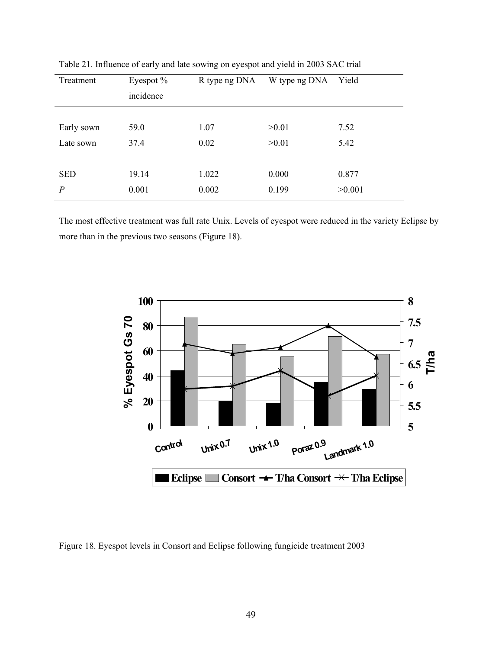| Treatment      | Eyespot $%$<br>incidence | R type ng DNA | W type ng DNA | Yield  |
|----------------|--------------------------|---------------|---------------|--------|
|                |                          |               |               |        |
| Early sown     | 59.0                     | 1.07          | >0.01         | 7.52   |
| Late sown      | 37.4                     | 0.02          | >0.01         | 5.42   |
|                |                          |               |               |        |
| <b>SED</b>     | 19.14                    | 1.022         | 0.000         | 0.877  |
| $\overline{P}$ | 0.001                    | 0.002         | 0.199         | >0.001 |

Table 21. Influence of early and late sowing on eyespot and yield in 2003 SAC trial

The most effective treatment was full rate Unix. Levels of eyespot were reduced in the variety Eclipse by more than in the previous two seasons (Figure 18).



Figure 18. Eyespot levels in Consort and Eclipse following fungicide treatment 2003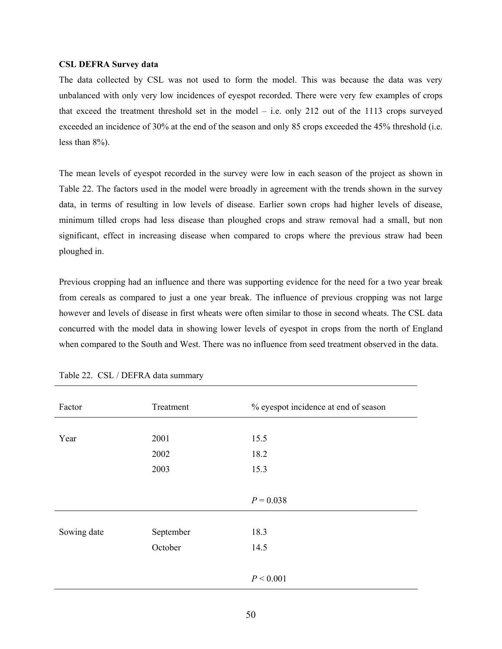#### **CSL DEFRA Survey data**

The data collected by CSL was not used to form the model. This was because the data was very unbalanced with only very low incidences of eyespot recorded. There were very few examples of crops that exceed the treatment threshold set in the model – i.e. only 212 out of the 1113 crops surveyed exceeded an incidence of 30% at the end of the season and only 85 crops exceeded the 45% threshold (i.e. less than 8%).

The mean levels of eyespot recorded in the survey were low in each season of the project as shown in Table 22. The factors used in the model were broadly in agreement with the trends shown in the survey data, in terms of resulting in low levels of disease. Earlier sown crops had higher levels of disease, minimum tilled crops had less disease than ploughed crops and straw removal had a small, but non significant, effect in increasing disease when compared to crops where the previous straw had been ploughed in.

Previous cropping had an influence and there was supporting evidence for the need for a two year break from cereals as compared to just a one year break. The influence of previous cropping was not large however and levels of disease in first wheats were often similar to those in second wheats. The CSL data concurred with the model data in showing lower levels of eyespot in crops from the north of England when compared to the South and West. There was no influence from seed treatment observed in the data.

| Factor      | Treatment | % eyespot incidence at end of season |
|-------------|-----------|--------------------------------------|
|             |           |                                      |
| Year        | 2001      | 15.5                                 |
|             | 2002      | 18.2                                 |
|             | 2003      | 15.3                                 |
|             |           |                                      |
|             |           | $P = 0.038$                          |
|             |           |                                      |
|             |           |                                      |
| Sowing date | September | 18.3                                 |
|             | October   | 14.5                                 |
|             |           |                                      |

|  |  |  |  | Table 22. CSL / DEFRA data summary |
|--|--|--|--|------------------------------------|
|--|--|--|--|------------------------------------|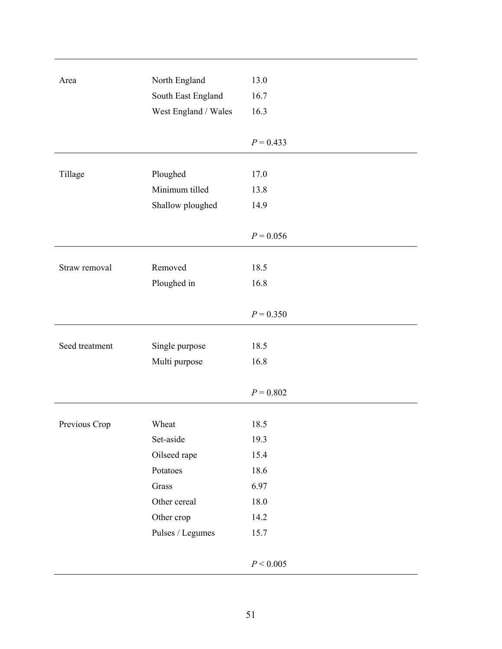| Area           | North England        | 13.0          |
|----------------|----------------------|---------------|
|                | South East England   | 16.7          |
|                | West England / Wales | 16.3          |
|                |                      |               |
|                |                      | $P = 0.433$   |
|                |                      |               |
| Tillage        | Ploughed             | 17.0          |
|                | Minimum tilled       | 13.8          |
|                | Shallow ploughed     | 14.9          |
|                |                      |               |
|                |                      | $P = 0.056$   |
|                |                      |               |
| Straw removal  | Removed              | 18.5          |
|                | Ploughed in          | 16.8          |
|                |                      |               |
|                |                      | $P = 0.350$   |
|                |                      |               |
| Seed treatment | Single purpose       | 18.5          |
|                | Multi purpose        | 16.8          |
|                |                      |               |
|                |                      | $P = 0.802$   |
|                |                      |               |
| Previous Crop  | Wheat                | 18.5          |
|                | Set-aside            | 19.3          |
|                | Oilseed rape         | 15.4          |
|                | Potatoes             | 18.6          |
|                | Grass                | 6.97          |
|                | Other cereal         | 18.0          |
|                | Other crop           | 14.2          |
|                | Pulses / Legumes     | 15.7          |
|                |                      |               |
|                |                      | $P\leq 0.005$ |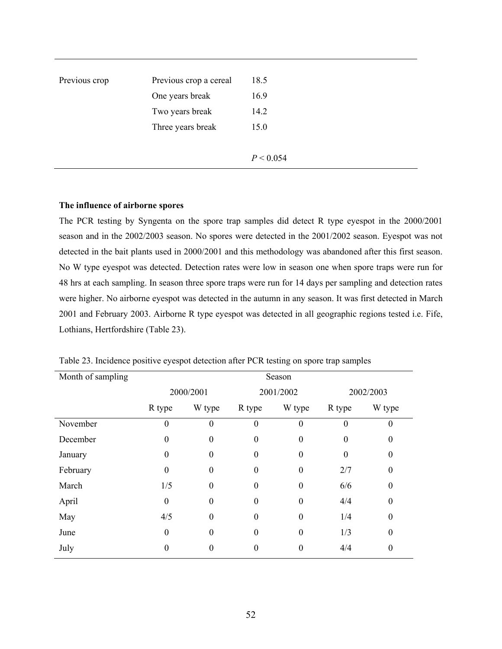|                   | 18.5                                                         |
|-------------------|--------------------------------------------------------------|
|                   |                                                              |
|                   | 16.9                                                         |
|                   | 14.2                                                         |
| Three years break | 15.0                                                         |
|                   |                                                              |
|                   | P < 0.054                                                    |
|                   | Previous crop a cereal<br>One years break<br>Two years break |

### **The influence of airborne spores**

The PCR testing by Syngenta on the spore trap samples did detect R type eyespot in the 2000/2001 season and in the 2002/2003 season. No spores were detected in the 2001/2002 season. Eyespot was not detected in the bait plants used in 2000/2001 and this methodology was abandoned after this first season. No W type eyespot was detected. Detection rates were low in season one when spore traps were run for 48 hrs at each sampling. In season three spore traps were run for 14 days per sampling and detection rates were higher. No airborne eyespot was detected in the autumn in any season. It was first detected in March 2001 and February 2003. Airborne R type eyespot was detected in all geographic regions tested i.e. Fife, Lothians, Hertfordshire (Table 23).

| Month of sampling | Season   |                  |                |                  |          |                  |
|-------------------|----------|------------------|----------------|------------------|----------|------------------|
|                   |          | 2000/2001        |                | 2001/2002        |          | 2002/2003        |
|                   | R type   | W type           | R type         | W type           | R type   | W type           |
| November          | 0        | $\boldsymbol{0}$ | $\overline{0}$ | 0                | $\theta$ | $\overline{0}$   |
| December          | $\theta$ | $\boldsymbol{0}$ | $\theta$       | $\boldsymbol{0}$ | $\theta$ | $\boldsymbol{0}$ |
| January           | $\theta$ | $\boldsymbol{0}$ | $\theta$       | $\boldsymbol{0}$ | $\theta$ | $\boldsymbol{0}$ |
| February          | $\theta$ | $\boldsymbol{0}$ | $\theta$       | $\boldsymbol{0}$ | 2/7      | $\boldsymbol{0}$ |
| March             | 1/5      | $\boldsymbol{0}$ | $\theta$       | $\theta$         | 6/6      | $\boldsymbol{0}$ |
| April             | $\theta$ | $\theta$         | $\Omega$       | $\theta$         | 4/4      | $\boldsymbol{0}$ |
| May               | 4/5      | $\boldsymbol{0}$ | $\Omega$       | $\theta$         | 1/4      | $\boldsymbol{0}$ |
| June              | $\theta$ | $\boldsymbol{0}$ | $\Omega$       | $\theta$         | 1/3      | $\boldsymbol{0}$ |
| July              | 0        | $\boldsymbol{0}$ | $\Omega$       | $\theta$         | 4/4      | $\boldsymbol{0}$ |

Table 23. Incidence positive eyespot detection after PCR testing on spore trap samples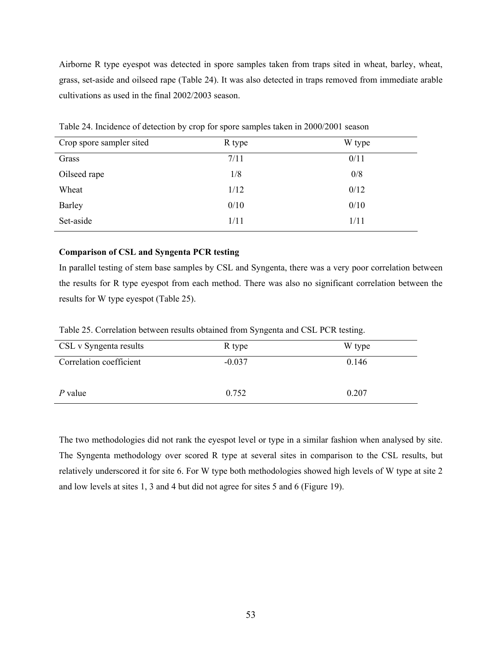Airborne R type eyespot was detected in spore samples taken from traps sited in wheat, barley, wheat, grass, set-aside and oilseed rape (Table 24). It was also detected in traps removed from immediate arable cultivations as used in the final 2002/2003 season.

| Crop spore sampler sited | R type | W type |  |
|--------------------------|--------|--------|--|
| Grass                    | 7/11   | 0/11   |  |
| Oilseed rape             | 1/8    | 0/8    |  |
| Wheat                    | 1/12   | 0/12   |  |
| Barley                   | 0/10   | 0/10   |  |
| Set-aside                | 1/11   | 1/11   |  |

Table 24. Incidence of detection by crop for spore samples taken in 2000/2001 season

# **Comparison of CSL and Syngenta PCR testing**

In parallel testing of stem base samples by CSL and Syngenta, there was a very poor correlation between the results for R type eyespot from each method. There was also no significant correlation between the results for W type eyespot (Table 25).

Table 25. Correlation between results obtained from Syngenta and CSL PCR testing.

| CSL v Syngenta results  | R type   | W type |
|-------------------------|----------|--------|
| Correlation coefficient | $-0.037$ | 0.146  |
| $P$ value               | 0.752    | 0.207  |

The two methodologies did not rank the eyespot level or type in a similar fashion when analysed by site. The Syngenta methodology over scored R type at several sites in comparison to the CSL results, but relatively underscored it for site 6. For W type both methodologies showed high levels of W type at site 2 and low levels at sites 1, 3 and 4 but did not agree for sites 5 and 6 (Figure 19).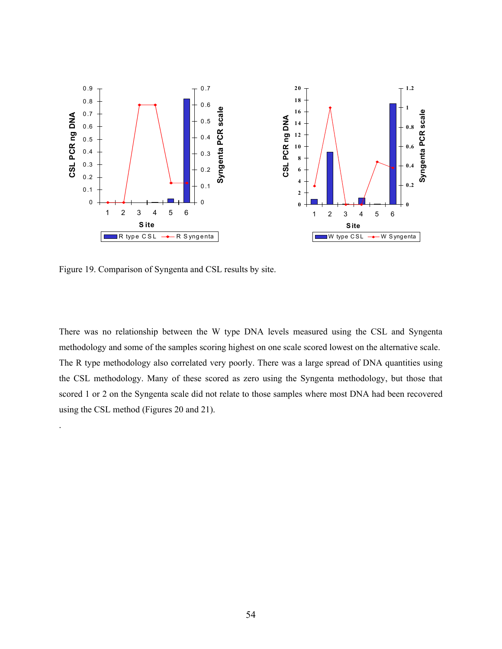

Figure 19. Comparison of Syngenta and CSL results by site.

.

There was no relationship between the W type DNA levels measured using the CSL and Syngenta methodology and some of the samples scoring highest on one scale scored lowest on the alternative scale. The R type methodology also correlated very poorly. There was a large spread of DNA quantities using the CSL methodology. Many of these scored as zero using the Syngenta methodology, but those that scored 1 or 2 on the Syngenta scale did not relate to those samples where most DNA had been recovered using the CSL method (Figures 20 and 21).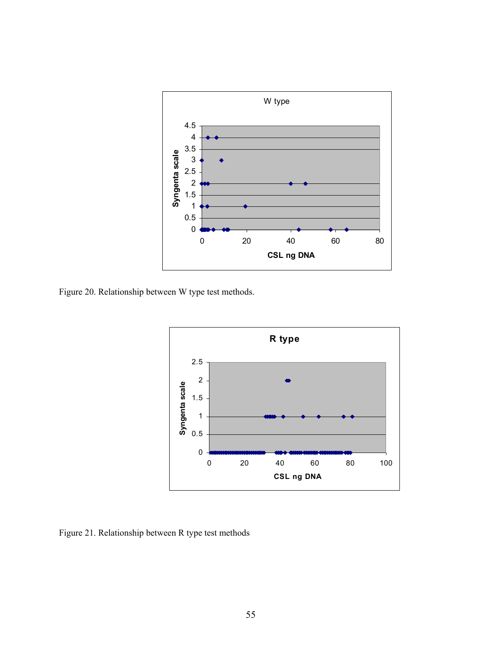

Figure 20. Relationship between W type test methods.



Figure 21. Relationship between R type test methods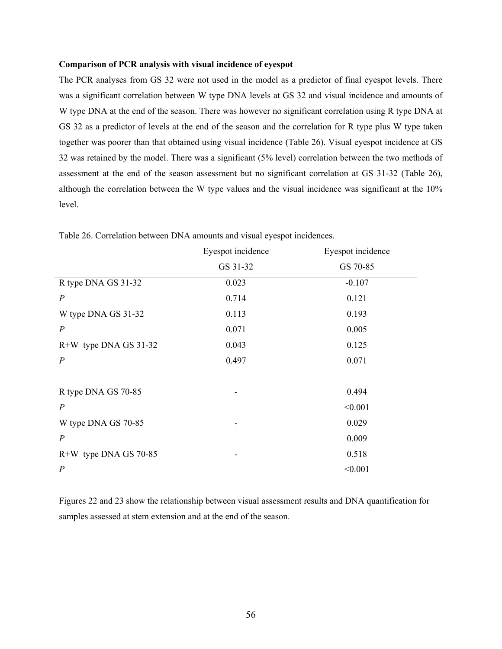### **Comparison of PCR analysis with visual incidence of eyespot**

The PCR analyses from GS 32 were not used in the model as a predictor of final eyespot levels. There was a significant correlation between W type DNA levels at GS 32 and visual incidence and amounts of W type DNA at the end of the season. There was however no significant correlation using R type DNA at GS 32 as a predictor of levels at the end of the season and the correlation for R type plus W type taken together was poorer than that obtained using visual incidence (Table 26). Visual eyespot incidence at GS 32 was retained by the model. There was a significant (5% level) correlation between the two methods of assessment at the end of the season assessment but no significant correlation at GS 31-32 (Table 26), although the correlation between the W type values and the visual incidence was significant at the 10% level.

|                         | Eyespot incidence | Eyespot incidence |
|-------------------------|-------------------|-------------------|
|                         | GS 31-32          | GS 70-85          |
| R type DNA GS 31-32     | 0.023             | $-0.107$          |
| $\boldsymbol{P}$        | 0.714             | 0.121             |
| W type DNA GS 31-32     | 0.113             | 0.193             |
| $\boldsymbol{P}$        | 0.071             | 0.005             |
| $R+W$ type DNA GS 31-32 | 0.043             | 0.125             |
| $\overline{P}$          | 0.497             | 0.071             |
| R type DNA GS 70-85     |                   | 0.494             |
| $\overline{P}$          |                   | < 0.001           |
| W type DNA GS 70-85     |                   | 0.029             |
| $\boldsymbol{P}$        |                   | 0.009             |
| $R+W$ type DNA GS 70-85 |                   | 0.518             |
| $\overline{P}$          |                   | < 0.001           |
|                         |                   |                   |

Table 26. Correlation between DNA amounts and visual eyespot incidences.

Figures 22 and 23 show the relationship between visual assessment results and DNA quantification for samples assessed at stem extension and at the end of the season.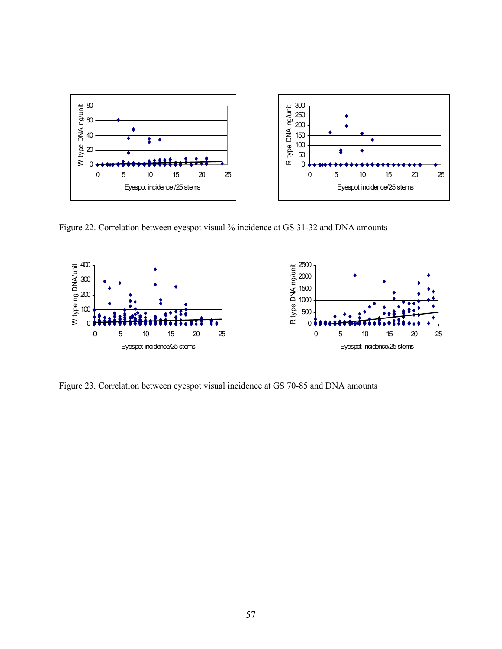

Figure 22. Correlation between eyespot visual % incidence at GS 31-32 and DNA amounts



Figure 23. Correlation between eyespot visual incidence at GS 70-85 and DNA amounts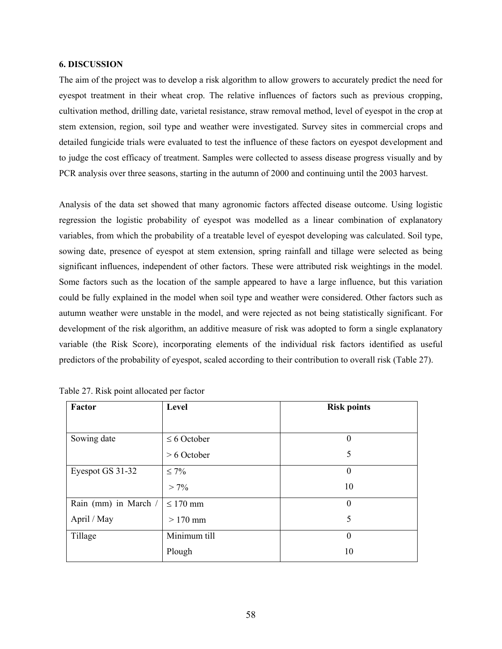#### **6. DISCUSSION**

The aim of the project was to develop a risk algorithm to allow growers to accurately predict the need for eyespot treatment in their wheat crop. The relative influences of factors such as previous cropping, cultivation method, drilling date, varietal resistance, straw removal method, level of eyespot in the crop at stem extension, region, soil type and weather were investigated. Survey sites in commercial crops and detailed fungicide trials were evaluated to test the influence of these factors on eyespot development and to judge the cost efficacy of treatment. Samples were collected to assess disease progress visually and by PCR analysis over three seasons, starting in the autumn of 2000 and continuing until the 2003 harvest.

Analysis of the data set showed that many agronomic factors affected disease outcome. Using logistic regression the logistic probability of eyespot was modelled as a linear combination of explanatory variables, from which the probability of a treatable level of eyespot developing was calculated. Soil type, sowing date, presence of eyespot at stem extension, spring rainfall and tillage were selected as being significant influences, independent of other factors. These were attributed risk weightings in the model. Some factors such as the location of the sample appeared to have a large influence, but this variation could be fully explained in the model when soil type and weather were considered. Other factors such as autumn weather were unstable in the model, and were rejected as not being statistically significant. For development of the risk algorithm, an additive measure of risk was adopted to form a single explanatory variable (the Risk Score), incorporating elements of the individual risk factors identified as useful predictors of the probability of eyespot, scaled according to their contribution to overall risk (Table 27).

| Factor               | Level            | <b>Risk points</b> |
|----------------------|------------------|--------------------|
|                      |                  |                    |
| Sowing date          | $\leq 6$ October | $\theta$           |
|                      | $> 6$ October    | 5                  |
| Eyespot GS 31-32     | $\leq 7\%$       | $\boldsymbol{0}$   |
|                      | $> 7\%$          | 10                 |
| Rain (mm) in March / | $\leq 170$ mm    | $\theta$           |
| April / May          | $>170$ mm        | 5                  |
| Tillage              | Minimum till     | $\boldsymbol{0}$   |
|                      | Plough           | 10                 |

Table 27. Risk point allocated per factor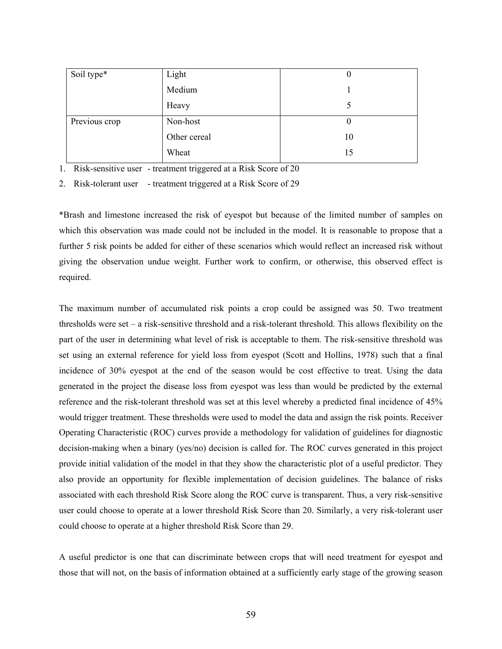| Soil type*    | Light        | v  |
|---------------|--------------|----|
|               | Medium       |    |
|               | Heavy        |    |
| Previous crop | Non-host     | U  |
|               | Other cereal | 10 |
|               | Wheat        | 15 |

1. Risk-sensitive user - treatment triggered at a Risk Score of 20

2. Risk-tolerant user - treatment triggered at a Risk Score of 29

\*Brash and limestone increased the risk of eyespot but because of the limited number of samples on which this observation was made could not be included in the model. It is reasonable to propose that a further 5 risk points be added for either of these scenarios which would reflect an increased risk without giving the observation undue weight. Further work to confirm, or otherwise, this observed effect is required.

The maximum number of accumulated risk points a crop could be assigned was 50. Two treatment thresholds were set – a risk-sensitive threshold and a risk-tolerant threshold. This allows flexibility on the part of the user in determining what level of risk is acceptable to them. The risk-sensitive threshold was set using an external reference for yield loss from eyespot (Scott and Hollins, 1978) such that a final incidence of 30% eyespot at the end of the season would be cost effective to treat. Using the data generated in the project the disease loss from eyespot was less than would be predicted by the external reference and the risk-tolerant threshold was set at this level whereby a predicted final incidence of 45% would trigger treatment. These thresholds were used to model the data and assign the risk points. Receiver Operating Characteristic (ROC) curves provide a methodology for validation of guidelines for diagnostic decision-making when a binary (yes/no) decision is called for. The ROC curves generated in this project provide initial validation of the model in that they show the characteristic plot of a useful predictor. They also provide an opportunity for flexible implementation of decision guidelines. The balance of risks associated with each threshold Risk Score along the ROC curve is transparent. Thus, a very risk-sensitive user could choose to operate at a lower threshold Risk Score than 20. Similarly, a very risk-tolerant user could choose to operate at a higher threshold Risk Score than 29.

A useful predictor is one that can discriminate between crops that will need treatment for eyespot and those that will not, on the basis of information obtained at a sufficiently early stage of the growing season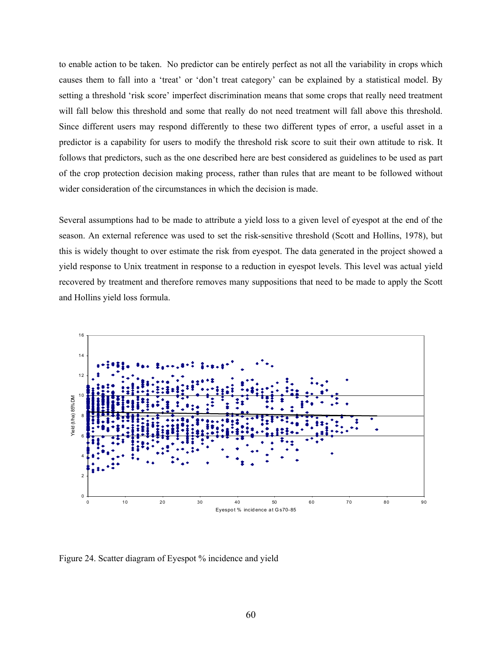to enable action to be taken. No predictor can be entirely perfect as not all the variability in crops which causes them to fall into a 'treat' or 'don't treat category' can be explained by a statistical model. By setting a threshold 'risk score' imperfect discrimination means that some crops that really need treatment will fall below this threshold and some that really do not need treatment will fall above this threshold. Since different users may respond differently to these two different types of error, a useful asset in a predictor is a capability for users to modify the threshold risk score to suit their own attitude to risk. It follows that predictors, such as the one described here are best considered as guidelines to be used as part of the crop protection decision making process, rather than rules that are meant to be followed without wider consideration of the circumstances in which the decision is made.

Several assumptions had to be made to attribute a yield loss to a given level of eyespot at the end of the season. An external reference was used to set the risk-sensitive threshold (Scott and Hollins, 1978), but this is widely thought to over estimate the risk from eyespot. The data generated in the project showed a yield response to Unix treatment in response to a reduction in eyespot levels. This level was actual yield recovered by treatment and therefore removes many suppositions that need to be made to apply the Scott and Hollins yield loss formula.



Figure 24. Scatter diagram of Eyespot % incidence and yield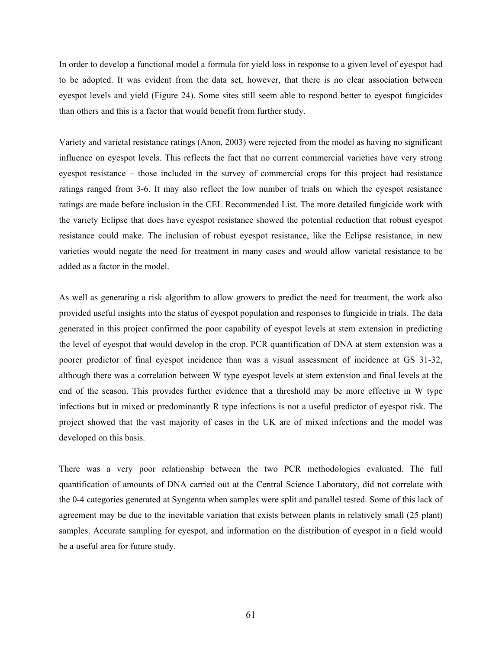In order to develop a functional model a formula for yield loss in response to a given level of eyespot had to be adopted. It was evident from the data set, however, that there is no clear association between eyespot levels and yield (Figure 24). Some sites still seem able to respond better to eyespot fungicides than others and this is a factor that would benefit from further study.

Variety and varietal resistance ratings (Anon, 2003) were rejected from the model as having no significant influence on eyespot levels. This reflects the fact that no current commercial varieties have very strong eyespot resistance – those included in the survey of commercial crops for this project had resistance ratings ranged from 3-6. It may also reflect the low number of trials on which the eyespot resistance ratings are made before inclusion in the CEL Recommended List. The more detailed fungicide work with the variety Eclipse that does have eyespot resistance showed the potential reduction that robust eyespot resistance could make. The inclusion of robust eyespot resistance, like the Eclipse resistance, in new varieties would negate the need for treatment in many cases and would allow varietal resistance to be added as a factor in the model.

As well as generating a risk algorithm to allow growers to predict the need for treatment, the work also provided useful insights into the status of eyespot population and responses to fungicide in trials. The data generated in this project confirmed the poor capability of eyespot levels at stem extension in predicting the level of eyespot that would develop in the crop. PCR quantification of DNA at stem extension was a poorer predictor of final eyespot incidence than was a visual assessment of incidence at GS 31-32, although there was a correlation between W type eyespot levels at stem extension and final levels at the end of the season. This provides further evidence that a threshold may be more effective in W type infections but in mixed or predominantly R type infections is not a useful predictor of eyespot risk. The project showed that the vast majority of cases in the UK are of mixed infections and the model was developed on this basis.

There was a very poor relationship between the two PCR methodologies evaluated. The full quantification of amounts of DNA carried out at the Central Science Laboratory, did not correlate with the 0-4 categories generated at Syngenta when samples were split and parallel tested. Some of this lack of agreement may be due to the inevitable variation that exists between plants in relatively small (25 plant) samples. Accurate sampling for eyespot, and information on the distribution of eyespot in a field would be a useful area for future study.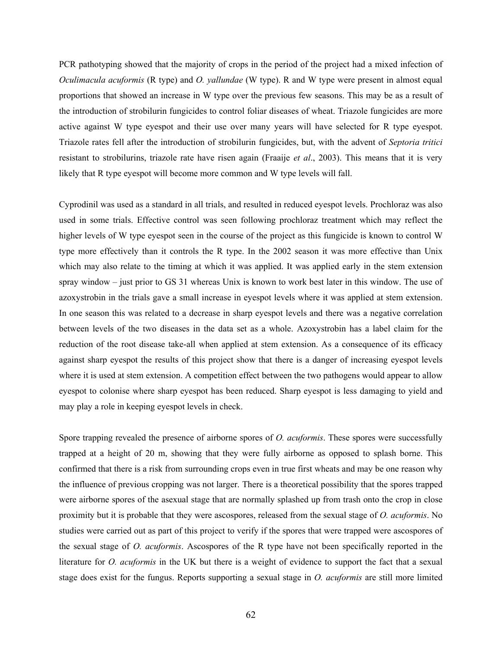PCR pathotyping showed that the majority of crops in the period of the project had a mixed infection of *Oculimacula acuformis* (R type) and *O. yallundae* (W type). R and W type were present in almost equal proportions that showed an increase in W type over the previous few seasons. This may be as a result of the introduction of strobilurin fungicides to control foliar diseases of wheat. Triazole fungicides are more active against W type eyespot and their use over many years will have selected for R type eyespot. Triazole rates fell after the introduction of strobilurin fungicides, but, with the advent of *Septoria tritici*  resistant to strobilurins, triazole rate have risen again (Fraaije *et al*., 2003). This means that it is very likely that R type eyespot will become more common and W type levels will fall.

Cyprodinil was used as a standard in all trials, and resulted in reduced eyespot levels. Prochloraz was also used in some trials. Effective control was seen following prochloraz treatment which may reflect the higher levels of W type eyespot seen in the course of the project as this fungicide is known to control W type more effectively than it controls the R type. In the 2002 season it was more effective than Unix which may also relate to the timing at which it was applied. It was applied early in the stem extension spray window – just prior to GS 31 whereas Unix is known to work best later in this window. The use of azoxystrobin in the trials gave a small increase in eyespot levels where it was applied at stem extension. In one season this was related to a decrease in sharp eyespot levels and there was a negative correlation between levels of the two diseases in the data set as a whole. Azoxystrobin has a label claim for the reduction of the root disease take-all when applied at stem extension. As a consequence of its efficacy against sharp eyespot the results of this project show that there is a danger of increasing eyespot levels where it is used at stem extension. A competition effect between the two pathogens would appear to allow eyespot to colonise where sharp eyespot has been reduced. Sharp eyespot is less damaging to yield and may play a role in keeping eyespot levels in check.

Spore trapping revealed the presence of airborne spores of *O. acuformis*. These spores were successfully trapped at a height of 20 m, showing that they were fully airborne as opposed to splash borne. This confirmed that there is a risk from surrounding crops even in true first wheats and may be one reason why the influence of previous cropping was not larger. There is a theoretical possibility that the spores trapped were airborne spores of the asexual stage that are normally splashed up from trash onto the crop in close proximity but it is probable that they were ascospores, released from the sexual stage of *O. acuformis*. No studies were carried out as part of this project to verify if the spores that were trapped were ascospores of the sexual stage of *O. acuformis*. Ascospores of the R type have not been specifically reported in the literature for *O. acuformis* in the UK but there is a weight of evidence to support the fact that a sexual stage does exist for the fungus. Reports supporting a sexual stage in *O. acuformis* are still more limited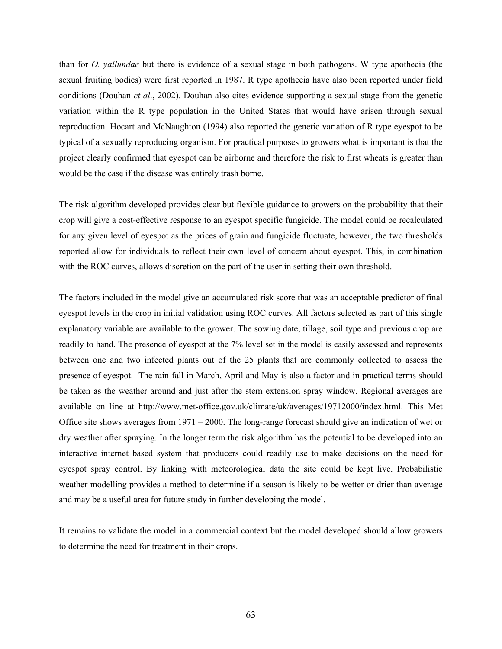than for *O. yallundae* but there is evidence of a sexual stage in both pathogens. W type apothecia (the sexual fruiting bodies) were first reported in 1987. R type apothecia have also been reported under field conditions (Douhan *et al*., 2002). Douhan also cites evidence supporting a sexual stage from the genetic variation within the R type population in the United States that would have arisen through sexual reproduction. Hocart and McNaughton (1994) also reported the genetic variation of R type eyespot to be typical of a sexually reproducing organism. For practical purposes to growers what is important is that the project clearly confirmed that eyespot can be airborne and therefore the risk to first wheats is greater than would be the case if the disease was entirely trash borne.

The risk algorithm developed provides clear but flexible guidance to growers on the probability that their crop will give a cost-effective response to an eyespot specific fungicide. The model could be recalculated for any given level of eyespot as the prices of grain and fungicide fluctuate, however, the two thresholds reported allow for individuals to reflect their own level of concern about eyespot. This, in combination with the ROC curves, allows discretion on the part of the user in setting their own threshold.

The factors included in the model give an accumulated risk score that was an acceptable predictor of final eyespot levels in the crop in initial validation using ROC curves. All factors selected as part of this single explanatory variable are available to the grower. The sowing date, tillage, soil type and previous crop are readily to hand. The presence of eyespot at the 7% level set in the model is easily assessed and represents between one and two infected plants out of the 25 plants that are commonly collected to assess the presence of eyespot. The rain fall in March, April and May is also a factor and in practical terms should be taken as the weather around and just after the stem extension spray window. Regional averages are available on line at http://www.met-office.gov.uk/climate/uk/averages/19712000/index.html. This Met Office site shows averages from 1971 – 2000. The long-range forecast should give an indication of wet or dry weather after spraying. In the longer term the risk algorithm has the potential to be developed into an interactive internet based system that producers could readily use to make decisions on the need for eyespot spray control. By linking with meteorological data the site could be kept live. Probabilistic weather modelling provides a method to determine if a season is likely to be wetter or drier than average and may be a useful area for future study in further developing the model.

It remains to validate the model in a commercial context but the model developed should allow growers to determine the need for treatment in their crops.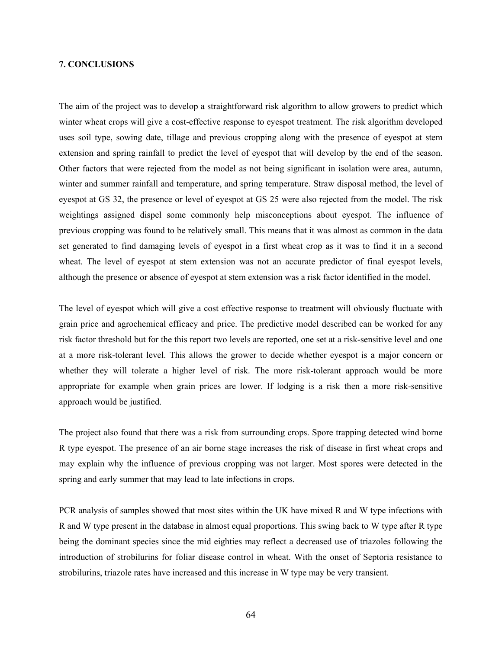### **7. CONCLUSIONS**

The aim of the project was to develop a straightforward risk algorithm to allow growers to predict which winter wheat crops will give a cost-effective response to eyespot treatment. The risk algorithm developed uses soil type, sowing date, tillage and previous cropping along with the presence of eyespot at stem extension and spring rainfall to predict the level of eyespot that will develop by the end of the season. Other factors that were rejected from the model as not being significant in isolation were area, autumn, winter and summer rainfall and temperature, and spring temperature. Straw disposal method, the level of eyespot at GS 32, the presence or level of eyespot at GS 25 were also rejected from the model. The risk weightings assigned dispel some commonly help misconceptions about eyespot. The influence of previous cropping was found to be relatively small. This means that it was almost as common in the data set generated to find damaging levels of eyespot in a first wheat crop as it was to find it in a second wheat. The level of eyespot at stem extension was not an accurate predictor of final eyespot levels, although the presence or absence of eyespot at stem extension was a risk factor identified in the model.

The level of eyespot which will give a cost effective response to treatment will obviously fluctuate with grain price and agrochemical efficacy and price. The predictive model described can be worked for any risk factor threshold but for the this report two levels are reported, one set at a risk-sensitive level and one at a more risk-tolerant level. This allows the grower to decide whether eyespot is a major concern or whether they will tolerate a higher level of risk. The more risk-tolerant approach would be more appropriate for example when grain prices are lower. If lodging is a risk then a more risk-sensitive approach would be justified.

The project also found that there was a risk from surrounding crops. Spore trapping detected wind borne R type eyespot. The presence of an air borne stage increases the risk of disease in first wheat crops and may explain why the influence of previous cropping was not larger. Most spores were detected in the spring and early summer that may lead to late infections in crops.

PCR analysis of samples showed that most sites within the UK have mixed R and W type infections with R and W type present in the database in almost equal proportions. This swing back to W type after R type being the dominant species since the mid eighties may reflect a decreased use of triazoles following the introduction of strobilurins for foliar disease control in wheat. With the onset of Septoria resistance to strobilurins, triazole rates have increased and this increase in W type may be very transient.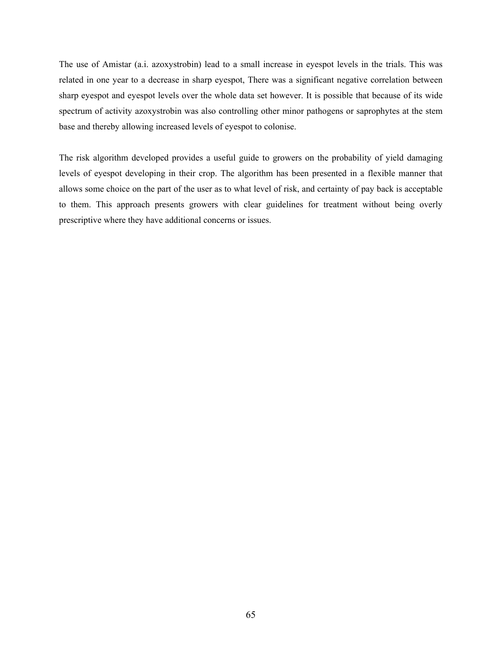The use of Amistar (a.i. azoxystrobin) lead to a small increase in eyespot levels in the trials. This was related in one year to a decrease in sharp eyespot, There was a significant negative correlation between sharp eyespot and eyespot levels over the whole data set however. It is possible that because of its wide spectrum of activity azoxystrobin was also controlling other minor pathogens or saprophytes at the stem base and thereby allowing increased levels of eyespot to colonise.

The risk algorithm developed provides a useful guide to growers on the probability of yield damaging levels of eyespot developing in their crop. The algorithm has been presented in a flexible manner that allows some choice on the part of the user as to what level of risk, and certainty of pay back is acceptable to them. This approach presents growers with clear guidelines for treatment without being overly prescriptive where they have additional concerns or issues.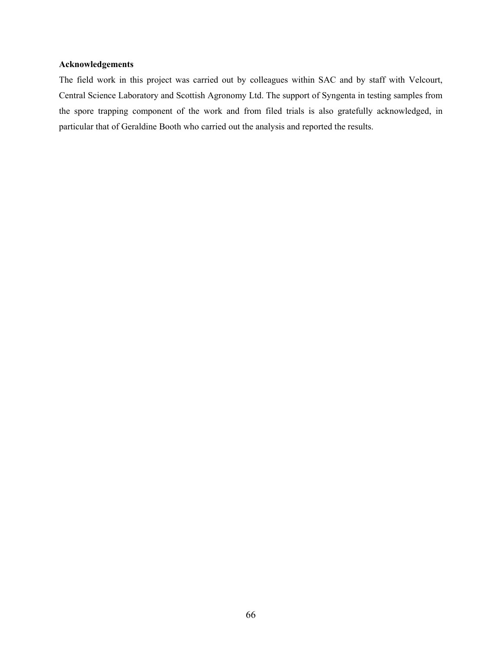# **Acknowledgements**

The field work in this project was carried out by colleagues within SAC and by staff with Velcourt, Central Science Laboratory and Scottish Agronomy Ltd. The support of Syngenta in testing samples from the spore trapping component of the work and from filed trials is also gratefully acknowledged, in particular that of Geraldine Booth who carried out the analysis and reported the results.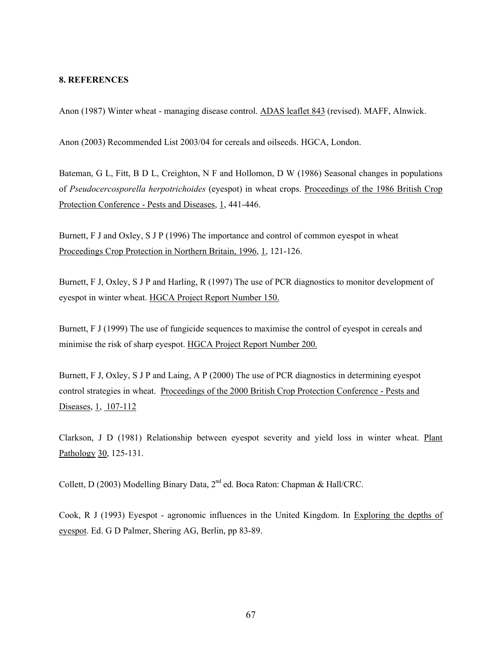### **8. REFERENCES**

Anon (1987) Winter wheat - managing disease control. ADAS leaflet 843 (revised). MAFF, Alnwick.

Anon (2003) Recommended List 2003/04 for cereals and oilseeds. HGCA, London.

Bateman, G L, Fitt, B D L, Creighton, N F and Hollomon, D W (1986) Seasonal changes in populations of *Pseudocercosporella herpotrichoides* (eyespot) in wheat crops. Proceedings of the 1986 British Crop Protection Conference - Pests and Diseases, 1, 441-446.

Burnett, F J and Oxley, S J P (1996) The importance and control of common eyespot in wheat Proceedings Crop Protection in Northern Britain, 1996, 1, 121-126.

Burnett, F J, Oxley, S J P and Harling, R (1997) The use of PCR diagnostics to monitor development of eyespot in winter wheat. HGCA Project Report Number 150.

Burnett, F J (1999) The use of fungicide sequences to maximise the control of eyespot in cereals and minimise the risk of sharp eyespot. HGCA Project Report Number 200.

Burnett, F J, Oxley, S J P and Laing, A P (2000) The use of PCR diagnostics in determining eyespot control strategies in wheat. Proceedings of the 2000 British Crop Protection Conference - Pests and Diseases, 1, 107-112

Clarkson, J D (1981) Relationship between eyespot severity and yield loss in winter wheat. Plant Pathology 30, 125-131.

Collett, D (2003) Modelling Binary Data, 2<sup>nd</sup> ed. Boca Raton: Chapman & Hall/CRC.

Cook, R J (1993) Eyespot - agronomic influences in the United Kingdom. In Exploring the depths of eyespot. Ed. G D Palmer, Shering AG, Berlin, pp 83-89.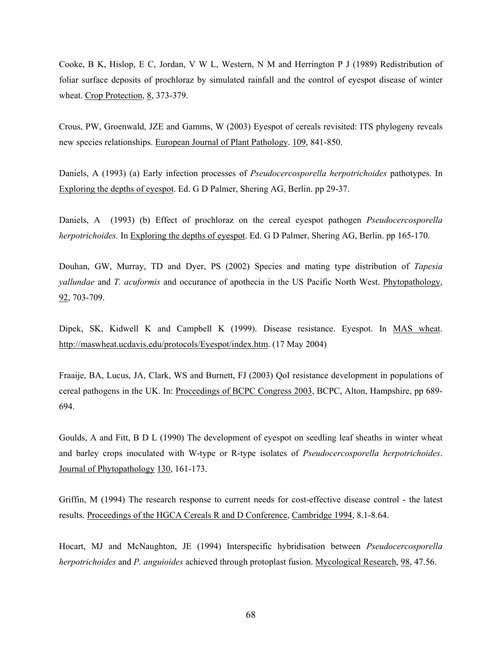Cooke, B K, Hislop, E C, Jordan, V W L, Western, N M and Herrington P J (1989) Redistribution of foliar surface deposits of prochloraz by simulated rainfall and the control of eyespot disease of winter wheat. Crop Protection, 8, 373-379.

Crous, PW, Groenwald, JZE and Gamms, W (2003) Eyespot of cereals revisited: ITS phylogeny reveals new species relationships. European Journal of Plant Pathology. 109, 841-850.

Daniels, A (1993) (a) Early infection processes of *Pseudocercosporella herpotrichoides* pathotypes. In Exploring the depths of eyespot. Ed. G D Palmer, Shering AG, Berlin. pp 29-37.

Daniels, A (1993) (b) Effect of prochloraz on the cereal eyespot pathogen *Pseudocercosporella herpotrichoides.* In Exploring the depths of eyespot. Ed. G D Palmer, Shering AG, Berlin. pp 165-170.

Douhan, GW, Murray, TD and Dyer, PS (2002) Species and mating type distribution of *Tapesia yallundae* and *T. acuformis* and occurance of apothecia in the US Pacific North West. Phytopathology, 92, 703-709.

Dipek, SK, Kidwell K and Campbell K (1999). Disease resistance. Eyespot. In MAS wheat. http://maswheat.ucdavis.edu/protocols/Eyespot/index.htm. (17 May 2004)

Fraaije, BA, Lucus, JA, Clark, WS and Burnett, FJ (2003) QoI resistance development in populations of cereal pathogens in the UK. In: Proceedings of BCPC Congress 2003, BCPC, Alton, Hampshire, pp 689- 694.

Goulds, A and Fitt, B D L (1990) The development of eyespot on seedling leaf sheaths in winter wheat and barley crops inoculated with W-type or R-type isolates of *Pseudocercosporella herpotrichoides*. Journal of Phytopathology 130, 161-173.

Griffin, M (1994) The research response to current needs for cost-effective disease control - the latest results. Proceedings of the HGCA Cereals R and D Conference, Cambridge 1994, 8.1-8.64.

Hocart, MJ and McNaughton, JE (1994) Interspecific hybridisation between *Pseudocercosporella herpotrichoides* and *P. anguioides* achieved through protoplast fusion. Mycological Research, 98, 47.56.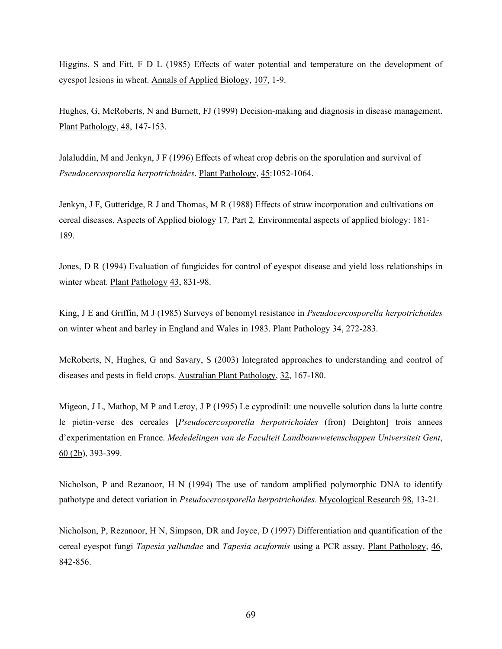Higgins, S and Fitt, F D L (1985) Effects of water potential and temperature on the development of eyespot lesions in wheat. Annals of Applied Biology, 107, 1-9.

Hughes, G, McRoberts, N and Burnett, FJ (1999) Decision-making and diagnosis in disease management. Plant Pathology, 48, 147-153.

Jalaluddin, M and Jenkyn, J F (1996) Effects of wheat crop debris on the sporulation and survival of *Pseudocercosporella herpotrichoides*. Plant Pathology, 45:1052-1064.

Jenkyn, J F, Gutteridge, R J and Thomas, M R (1988) Effects of straw incorporation and cultivations on cereal diseases. Aspects of Applied biology 17*,* Part 2*,* Environmental aspects of applied biology: 181- 189.

Jones, D R (1994) Evaluation of fungicides for control of eyespot disease and yield loss relationships in winter wheat. Plant Pathology 43, 831-98.

King, J E and Griffin, M J (1985) Surveys of benomyl resistance in *Pseudocercosporella herpotrichoides* on winter wheat and barley in England and Wales in 1983. Plant Pathology 34, 272-283.

McRoberts, N, Hughes, G and Savary, S (2003) Integrated approaches to understanding and control of diseases and pests in field crops. Australian Plant Pathology, 32, 167-180.

Migeon, J L, Mathop, M P and Leroy, J P (1995) Le cyprodinil: une nouvelle solution dans la lutte contre le pietin-verse des cereales [*Pseudocercosporella herpotrichoides* (fron) Deighton] trois annees d'experimentation en France. *Mededelingen van de Faculteit Landbouwwetenschappen Universiteit Gent*, 60 (2b), 393-399.

Nicholson, P and Rezanoor, H N (1994) The use of random amplified polymorphic DNA to identify pathotype and detect variation in *Pseudocercosporella herpotrichoides*. Mycological Research 98, 13-21.

Nicholson, P, Rezanoor, H N, Simpson, DR and Joyce, D (1997) Differentiation and quantification of the cereal eyespot fungi *Tapesia yallundae* and *Tapesia acuformis* using a PCR assay. Plant Pathology, 46, 842-856.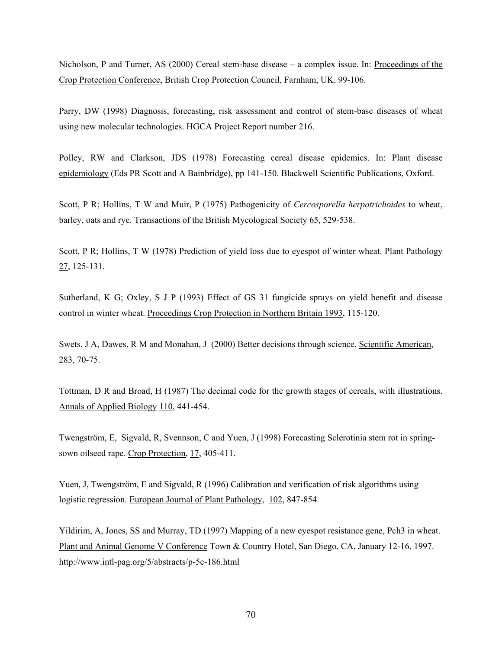Nicholson, P and Turner, AS (2000) Cereal stem-base disease – a complex issue. In: Proceedings of the Crop Protection Conference, British Crop Protection Council, Farnham, UK. 99-106.

Parry, DW (1998) Diagnosis, forecasting, risk assessment and control of stem-base diseases of wheat using new molecular technologies. HGCA Project Report number 216.

Polley, RW and Clarkson, JDS (1978) Forecasting cereal disease epidemics. In: Plant disease epidemiology (Eds PR Scott and A Bainbridge), pp 141-150. Blackwell Scientific Publications, Oxford.

Scott, P R; Hollins, T W and Muir, P (1975) Pathogenicity of *Cercosporella herpotrichoides* to wheat, barley, oats and rye. Transactions of the British Mycological Society 65, 529-538.

Scott, P R; Hollins, T W (1978) Prediction of yield loss due to eyespot of winter wheat. Plant Pathology 27, 125-131.

Sutherland, K G; Oxley, S J P (1993) Effect of GS 31 fungicide sprays on yield benefit and disease control in winter wheat. Proceedings Crop Protection in Northern Britain 1993, 115-120.

Swets, J A, Dawes, R M and Monahan, J (2000) Better decisions through science. Scientific American, 283, 70-75.

Tottman, D R and Broad, H (1987) The decimal code for the growth stages of cereals, with illustrations. Annals of Applied Biology 110, 441-454.

Twengström, E, Sigvald, R, Svennson, C and Yuen, J (1998) Forecasting Sclerotinia stem rot in springsown oilseed rape. Crop Protection, 17, 405-411.

Yuen, J, Twengström, E and Sigvald, R (1996) Calibration and verification of risk algorithms using logistic regression. European Journal of Plant Pathology, 102, 847-854.

Yildirim, A, Jones, SS and Murray, TD (1997) Mapping of a new eyespot resistance gene, Pch3 in wheat. Plant and Animal Genome V Conference Town & Country Hotel, San Diego, CA, January 12-16, 1997. http://www.intl-pag.org/5/abstracts/p-5c-186.html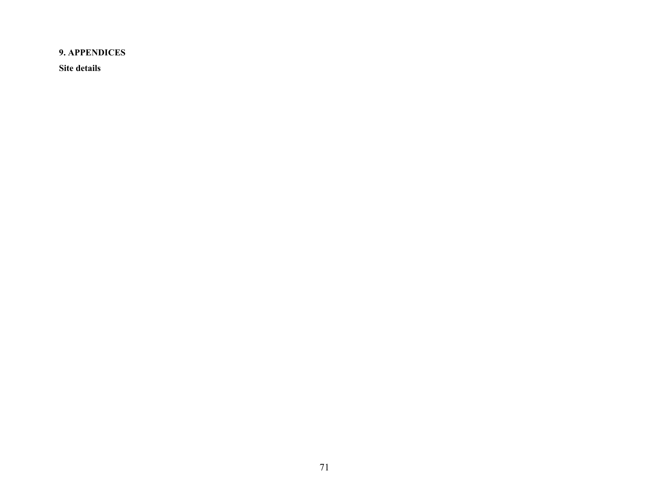## **9. APPENDICES**

**Site details**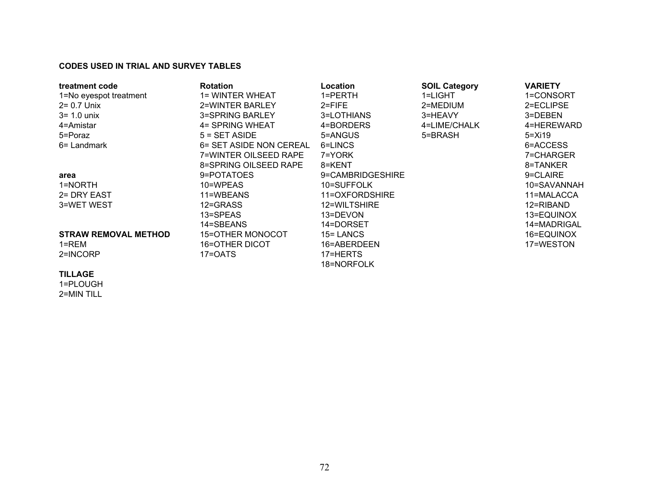## **CODES USED IN TRIAL AND SURVEY TABLES**

| treatment code<br>1=No eyespot treatment | <b>Rotation</b><br>1= WINTER WHEAT | Location<br>1=PERTH | <b>SOIL Category</b><br>1=LIGHT | <b>VARIETY</b><br>1=CONSORT |
|------------------------------------------|------------------------------------|---------------------|---------------------------------|-----------------------------|
| $2 = 0.7$ Unix                           | 2=WINTER BARLEY                    | $2 =$ FIFE          | 2=MEDIUM                        | 2=ECLIPSE                   |
| $3 = 1.0$ unix                           | 3=SPRING BARLEY                    | 3=LOTHIANS          | 3=HEAVY                         | 3=DEBEN                     |
| 4=Amistar                                | 4= SPRING WHEAT                    | 4=BORDERS           | 4=LIME/CHALK                    | 4=HEREWARD                  |
| 5=Poraz                                  | $5 = SET ASIDE$                    | 5=ANGUS             | 5=BRASH                         | $5 = Xi19$                  |
| 6= Landmark                              | 6= SET ASIDE NON CEREAL            | 6=LINCS             |                                 | 6=ACCESS                    |
|                                          | 7=WINTER OILSEED RAPE              | 7=YORK              |                                 | 7=CHARGER                   |
|                                          | 8=SPRING OILSEED RAPE              | 8=KENT              |                                 | 8=TANKER                    |
| area                                     | 9=POTATOES                         | 9=CAMBRIDGESHIRE    |                                 | 9=CLAIRE                    |
| 1=NORTH                                  | 10=WPEAS                           | 10=SUFFOLK          |                                 | 10=SAVANNAH                 |
| 2 = DRY EAST                             | 11=WBEANS                          | 11=OXFORDSHIRE      |                                 | 11=MALACCA                  |
| 3=WET WEST                               | 12=GRASS                           | 12=WILTSHIRE        |                                 | 12=RIBAND                   |
|                                          | 13=SPEAS                           | 13=DEVON            |                                 | 13=EQUINOX                  |
|                                          | 14=SBEANS                          | 14=DORSET           |                                 | 14=MADRIGAL                 |
| <b>STRAW REMOVAL METHOD</b>              | 15=OTHER MONOCOT                   | 15 = LANCS          |                                 | 16=EQUINOX                  |
| 1=REM                                    | <b>16=OTHER DICOT</b>              | 16=ABERDEEN         |                                 | 17=WESTON                   |
| 2=INCORP                                 | 17=OATS                            | 17=HERTS            |                                 |                             |
|                                          |                                    | 18=NORFOLK          |                                 |                             |

## **TILLAGE**

1=PLOUGH 2=MIN TILL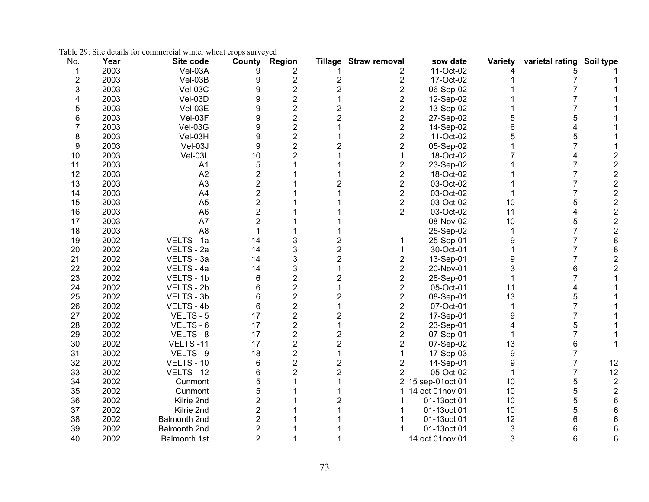|  |  | Table 29: Site details for commercial winter wheat crops surveyed |
|--|--|-------------------------------------------------------------------|
|  |  |                                                                   |

| No.            | Year | Site code      | <b>County</b>  | Region                  |                | Tillage Straw removal | sow date           | <b>Variety</b> | varietal rating | Soil type               |
|----------------|------|----------------|----------------|-------------------------|----------------|-----------------------|--------------------|----------------|-----------------|-------------------------|
| 1              | 2003 | Vel-03A        | 9              | 2                       |                | 2                     | 11-Oct-02          |                | 5               |                         |
| $\mathbf{2}$   | 2003 | Vel-03B        | 9              | 2                       | 2              | 2                     | 17-Oct-02          |                | 7               |                         |
| 3              | 2003 | Vel-03C        | 9              | $\overline{2}$          | $\overline{2}$ | $\overline{2}$        | 06-Sep-02          |                |                 |                         |
| 4              | 2003 | Vel-03D        | 9              | $\overline{2}$          |                | $\overline{2}$        | 12-Sep-02          |                |                 |                         |
| 5              | 2003 | Vel-03E        | 9              | $\overline{c}$          | 2              | $\overline{2}$        | 13-Sep-02          |                | 7               |                         |
| 6              | 2003 | Vel-03F        | 9              | 2                       | 2              | $\overline{2}$        | 27-Sep-02          | 5              | 5               |                         |
| $\overline{7}$ | 2003 | Vel-03G        | 9              | $\overline{\mathbf{c}}$ |                | 2                     | 14-Sep-02          | 6              | 4               |                         |
| 8              | 2003 | Vel-03H        | 9              | $\overline{2}$          |                | $\overline{2}$        | 11-Oct-02          |                | 5               |                         |
| 9              | 2003 | Vel-03J        | 9              | $\overline{2}$          | 2              | 2                     | 05-Sep-02          |                |                 |                         |
| 10             | 2003 | Vel-03L        | 10             | $\overline{2}$          |                | 1                     | 18-Oct-02          |                | 4               | 2                       |
| 11             | 2003 | A1             | 5              |                         |                | 2                     | 23-Sep-02          |                |                 | $\overline{c}$          |
| 12             | 2003 | A2             | $\overline{2}$ |                         |                | $\overline{2}$        | 18-Oct-02          |                | 7               | $\overline{\mathbf{c}}$ |
| 13             | 2003 | A <sub>3</sub> | 2              |                         | 2              | 2                     | 03-Oct-02          |                | 7               | $\overline{\mathbf{c}}$ |
| 14             | 2003 | A4             | $\overline{2}$ |                         |                | $\overline{2}$        | 03-Oct-02          |                | 7               | $\overline{c}$          |
| 15             | 2003 | A <sub>5</sub> | $\overline{2}$ |                         |                | 2                     | 03-Oct-02          | 10             | 5               | $\overline{\mathbf{c}}$ |
| 16             | 2003 | A <sub>6</sub> | $\overline{2}$ |                         |                | $\overline{2}$        | 03-Oct-02          | 11             | 4               | $\overline{\mathbf{c}}$ |
| 17             | 2003 | A7             | $\overline{2}$ |                         |                |                       | 08-Nov-02          | 10             | 5               | $\overline{c}$          |
| 18             | 2003 | A <sub>8</sub> |                |                         |                |                       | 25-Sep-02          | 1              | 7               | $\overline{\mathbf{c}}$ |
| 19             | 2002 | VELTS - 1a     | 14             | 3                       | 2              | 1                     | 25-Sep-01          | 9              | 7               | 8                       |
| 20             | 2002 | VELTS - 2a     | 14             | 3                       | 2              |                       | 30-Oct-01          |                | 7               | 8                       |
| 21             | 2002 | VELTS - 3a     | 14             | 3                       | $\overline{2}$ | 2                     | 13-Sep-01          | 9              | 7               | $\overline{\mathbf{c}}$ |
| 22             | 2002 | VELTS - 4a     | 14             | 3                       |                | $\overline{2}$        | 20-Nov-01          | 3              | 6               | $\overline{2}$          |
| 23             | 2002 | VELTS - 1b     | 6              | $\overline{2}$          | 2              | 2                     | 28-Sep-01          |                | 7               |                         |
| 24             | 2002 | VELTS - 2b     | 6              | $\overline{c}$          |                | 2                     | 05-Oct-01          | 11             |                 |                         |
| 25             | 2002 | VELTS - 3b     | 6              | $\overline{2}$          | 2              | $\overline{2}$        | 08-Sep-01          | 13             | 5               |                         |
| 26             | 2002 | VELTS - 4b     | 6              | $\overline{c}$          |                | 2                     | 07-Oct-01          | 1              |                 |                         |
| 27             | 2002 | VELTS - 5      | 17             | $\overline{\mathbf{c}}$ | 2              | 2                     | 17-Sep-01          | 9              |                 |                         |
| 28             | 2002 | VELTS - 6      | 17             | $\overline{c}$          |                | $\overline{2}$        | 23-Sep-01          |                | 5               |                         |
| 29             | 2002 | VELTS - 8      | 17             | $\overline{c}$          | 2              | $\overline{2}$        | 07-Sep-01          |                | 7               |                         |
| 30             | 2002 | VELTS-11       | 17             | $\overline{2}$          | $\overline{2}$ | 2                     | 07-Sep-02          | 13             | 6               |                         |
| 31             | 2002 | VELTS - 9      | 18             | $\overline{2}$          |                |                       | 17-Sep-03          | 9              |                 |                         |
| 32             | 2002 | VELTS - 10     | 6              | $\overline{2}$          | 2              | 2                     | 14-Sep-01          | 9              | 7               | 12                      |
| 33             | 2002 | VELTS - 12     | 6              | $\overline{2}$          | $\overline{2}$ | $\overline{2}$        | 05-Oct-02          | 1              | 7               | 12                      |
| 34             | 2002 | Cunmont        | 5              |                         |                |                       | 2 15 sep-01 oct 01 | 10             | 5               | $\overline{2}$          |
| 35             | 2002 | Cunmont        | 5              |                         |                | 1.                    | 14 oct 01nov 01    | 10             | 5               | $\overline{\mathbf{c}}$ |
| 36             | 2002 | Kilrie 2nd     | 2              |                         |                |                       | 01-13oct 01        | 10             | 5               | 6                       |
| 37             | 2002 | Kilrie 2nd     | $\overline{2}$ |                         |                |                       | 01-13oct 01        | 10             | 5               | 6                       |
| 38             | 2002 | Balmonth 2nd   | 2              |                         |                |                       | 01-13oct 01        | 12             | 6               | 6                       |
| 39             | 2002 | Balmonth 2nd   | 2              |                         |                |                       | 01-13oct 01        | 3              | 6               | 6                       |
| 40             | 2002 | Balmonth 1st   | $\overline{2}$ | 1                       |                |                       | 14 oct 01nov 01    | 3              | 6               | 6                       |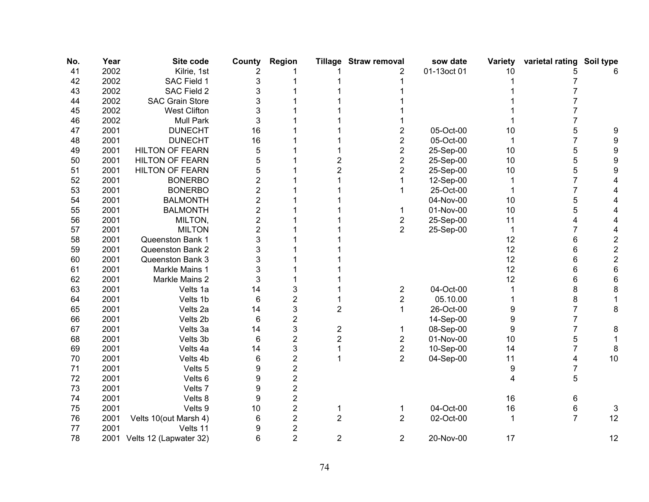| No. | Year | Site code               | County         | Region                  | <b>Tillage</b> | <b>Straw removal</b> | sow date    | <b>Variety</b> | varietal rating | Soil type               |
|-----|------|-------------------------|----------------|-------------------------|----------------|----------------------|-------------|----------------|-----------------|-------------------------|
| 41  | 2002 | Kilrie, 1st             | 2              |                         |                | 2                    | 01-13oct 01 | 10             | 5               | 6                       |
| 42  | 2002 | SAC Field 1             | 3              |                         |                |                      |             |                |                 |                         |
| 43  | 2002 | SAC Field 2             | 3              |                         |                |                      |             |                |                 |                         |
| 44  | 2002 | <b>SAC Grain Store</b>  | 3              |                         |                |                      |             |                |                 |                         |
| 45  | 2002 | <b>West Clifton</b>     | 3              |                         |                |                      |             |                |                 |                         |
| 46  | 2002 | <b>Mull Park</b>        | 3              |                         |                |                      |             |                |                 |                         |
| 47  | 2001 | <b>DUNECHT</b>          | 16             |                         |                | 2                    | 05-Oct-00   | 10             | 5               | 9                       |
| 48  | 2001 | <b>DUNECHT</b>          | 16             |                         |                | $\overline{2}$       | 05-Oct-00   | 1              | 7               | 9                       |
| 49  | 2001 | <b>HILTON OF FEARN</b>  | 5              |                         |                | $\overline{2}$       | 25-Sep-00   | 10             | 5               | 9                       |
| 50  | 2001 | <b>HILTON OF FEARN</b>  | 5              |                         | 2              | $\overline{2}$       | 25-Sep-00   | 10             | 5               | 9                       |
| 51  | 2001 | <b>HILTON OF FEARN</b>  | 5              |                         | 2              | $\overline{2}$       | 25-Sep-00   | 10             | 5               | 9                       |
| 52  | 2001 | <b>BONERBO</b>          | $\overline{c}$ |                         |                |                      | 12-Sep-00   |                | 7               | 4                       |
| 53  | 2001 | <b>BONERBO</b>          | $\overline{2}$ |                         |                |                      | 25-Oct-00   | 1              | 7               | 4                       |
| 54  | 2001 | <b>BALMONTH</b>         | 2              |                         |                |                      | 04-Nov-00   | 10             | 5               | 4                       |
| 55  | 2001 | <b>BALMONTH</b>         | $\overline{2}$ |                         |                | 1                    | 01-Nov-00   | 10             | 5               | 4                       |
| 56  | 2001 | MILTON,                 | $\overline{2}$ |                         |                | $\overline{2}$       | 25-Sep-00   | 11             | 4               | 4                       |
| 57  | 2001 | <b>MILTON</b>           | $\overline{2}$ |                         |                | $\overline{2}$       | 25-Sep-00   | 1              | 7               | 4                       |
| 58  | 2001 | Queenston Bank 1        | 3              |                         |                |                      |             | 12             | 6               | 2                       |
| 59  | 2001 | Queenston Bank 2        | 3              |                         |                |                      |             | 12             | 6               | $\overline{\mathbf{c}}$ |
| 60  | 2001 | <b>Queenston Bank 3</b> | 3              |                         |                |                      |             | 12             | 6               | $\overline{c}$          |
| 61  | 2001 | Markle Mains 1          | 3              |                         |                |                      |             | 12             | 6               | 6                       |
| 62  | 2001 | Markle Mains 2          | 3              |                         |                |                      |             | 12             | 6               | 6                       |
| 63  | 2001 | Velts 1a                | 14             | 3                       |                | $\overline{2}$       | 04-Oct-00   |                | 8               | 8                       |
| 64  | 2001 | Velts 1b                | 6              | 2                       |                | $\overline{2}$       | 05.10.00    |                | 8               |                         |
| 65  | 2001 | Velts 2a                | 14             | 3                       | 2              | 1                    | 26-Oct-00   | 9              | 7               | 8                       |
| 66  | 2001 | Velts 2b                | 6              | 2                       |                |                      | 14-Sep-00   | 9              | 7               |                         |
| 67  | 2001 | Velts 3a                | 14             | 3                       | 2              | 1                    | 08-Sep-00   | 9              | 7               | 8                       |
| 68  | 2001 | Velts 3b                | 6              | 2                       | 2              | $\overline{2}$       | 01-Nov-00   | 10             | 5               |                         |
| 69  | 2001 | Velts 4a                | 14             | 3                       |                | $\overline{2}$       | 10-Sep-00   | 14             | 7               | 8                       |
| 70  | 2001 | Velts 4b                | 6              | $\overline{2}$          | 1              | $\overline{2}$       | 04-Sep-00   | 11             | 4               | 10                      |
| 71  | 2001 | Velts 5                 | 9              | 2                       |                |                      |             | 9              | 7               |                         |
| 72  | 2001 | Velts 6                 | 9              | $\overline{\mathbf{c}}$ |                |                      |             | 4              | 5               |                         |
| 73  | 2001 | Velts 7                 | 9              | $\overline{2}$          |                |                      |             |                |                 |                         |
| 74  | 2001 | Velts 8                 | 9              | $\overline{\mathbf{c}}$ |                |                      |             | 16             | 6               |                         |
| 75  | 2001 | Velts 9                 | 10             | $\overline{\mathbf{c}}$ |                | 1                    | 04-Oct-00   | 16             | 6               | 3                       |
| 76  | 2001 | Velts 10(out Marsh 4)   | 6              | $\overline{\mathbf{c}}$ | $\overline{2}$ | $\overline{2}$       | 02-Oct-00   | 1              | $\overline{7}$  | 12                      |
| 77  | 2001 | Velts 11                | 9              | 2                       |                |                      |             |                |                 |                         |
| 78  | 2001 | Velts 12 (Lapwater 32)  | 6              | $\overline{2}$          | 2              | $\overline{2}$       | 20-Nov-00   | 17             |                 | 12                      |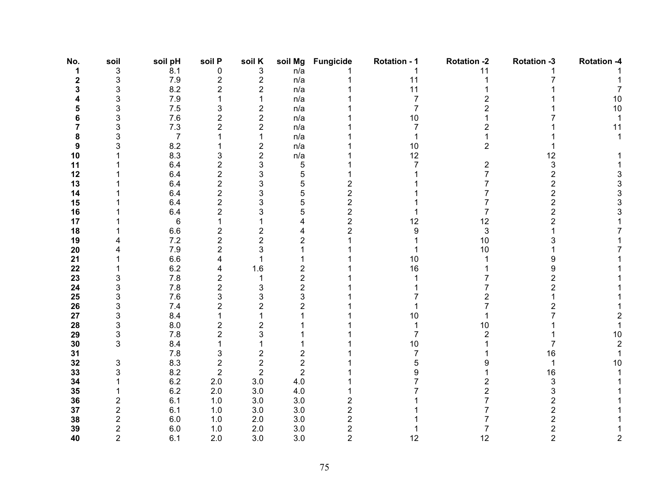| No. | soil                    | soil pH        | soil P                  | soil K                    | soil Mg                 | <b>Fungicide</b>        | <b>Rotation - 1</b> | <b>Rotation -2</b> | <b>Rotation -3</b> | <b>Rotation -4</b> |
|-----|-------------------------|----------------|-------------------------|---------------------------|-------------------------|-------------------------|---------------------|--------------------|--------------------|--------------------|
| 1   | 3                       | 8.1            | 0                       | $\ensuremath{\mathsf{3}}$ | n/a                     |                         |                     | 11                 |                    |                    |
| 2   | 3                       | 7.9            | $\mathbf{2}$            | $\mathbf 2$               | n/a                     |                         | 11                  |                    | 7                  |                    |
| 3   | 3                       | 8.2            | $\overline{\mathbf{c}}$ | $\overline{2}$            | n/a                     |                         | 11                  |                    |                    | 7                  |
|     | 3                       | 7.9            |                         | 1                         | n/a                     |                         | $\overline{7}$      |                    |                    | 10                 |
| 5   | 3                       | $7.5$          | 3                       | $\overline{2}$            | n/a                     |                         | $\overline{7}$      | 2                  |                    | 10                 |
| 6   | 3                       | $7.6$          | $\overline{c}$          | $\overline{c}$            | n/a                     |                         | $10$                |                    |                    |                    |
| 7   | 3                       | $7.3$          | $\overline{\mathbf{c}}$ | $\mathbf 2$               | n/a                     |                         | 7                   |                    |                    | 11                 |
| 8   | 3                       | $\overline{7}$ | 1                       | 1                         | n/a                     |                         |                     |                    |                    | $\mathbf{1}$       |
| 9   | 3                       | 8.2            |                         | $\boldsymbol{2}$          | n/a                     |                         | 10                  | 2                  |                    |                    |
| 10  |                         | 8.3            | 3                       | $\overline{2}$            | n/a                     |                         | 12                  |                    | 12                 |                    |
| 11  |                         | 6.4            | $\overline{\mathbf{c}}$ | $\ensuremath{\mathsf{3}}$ | $\mathbf 5$             |                         | $\overline{7}$      | 2                  | 3                  |                    |
| 12  |                         | 6.4            | $\overline{c}$          | $\mathbf 3$               | 5                       |                         |                     |                    | $\overline{c}$     | 3                  |
| 13  |                         | 6.4            | $\overline{\mathbf{c}}$ | 3                         | 5                       | $\overline{c}$          |                     |                    | $\mathbf{2}$       | 3                  |
| 14  |                         | 6.4            | $\overline{c}$          | 3                         | 5                       | $\overline{2}$          |                     |                    | $\overline{2}$     | 3                  |
| 15  |                         | 6.4            | $\overline{c}$          | 3                         | 5                       | 2                       |                     |                    | $\overline{2}$     | 3                  |
| 16  |                         | 6.4            | $\overline{\mathbf{c}}$ | 3                         | 5                       | $\overline{\mathbf{c}}$ |                     |                    | $\overline{2}$     | 3                  |
| 17  |                         | 6              | 1                       |                           | 4                       | $\overline{\mathbf{c}}$ | 12                  | 12                 | $\overline{2}$     |                    |
| 18  |                         | 6.6            | $\overline{\mathbf{c}}$ | $\mathbf 2$               | 4                       | $\overline{2}$          | 9                   | 3                  |                    |                    |
| 19  | 4                       | 7.2            | $\overline{c}$          | $\mathbf 2$               | $\overline{2}$          |                         |                     | 10                 |                    |                    |
| 20  | 4                       | 7.9            | $\overline{2}$          | 3                         |                         |                         |                     | 10                 |                    |                    |
| 21  |                         | 6.6            | 4                       | 1                         |                         |                         | 10                  |                    | 9                  |                    |
| 22  |                         | 6.2            | 4                       | 1.6                       | $\overline{c}$          |                         | 16                  |                    | 9                  |                    |
| 23  | 3                       | $7.8$          | $\overline{\mathbf{c}}$ | $\mathbf 1$               | $\overline{\mathbf{c}}$ |                         |                     |                    | 2                  |                    |
| 24  | 3                       | 7.8            | $\overline{\mathbf{c}}$ | 3                         | $\overline{c}$          |                         |                     |                    | $\overline{2}$     |                    |
| 25  | 3                       | 7.6            | 3                       | 3                         | 3                       |                         |                     | 2                  |                    |                    |
| 26  | 3                       | 7.4            | $\overline{2}$          | $\overline{2}$            | $\overline{2}$          |                         |                     |                    | 2                  |                    |
| 27  | 3                       | 8.4            |                         | 1                         |                         |                         | 10                  |                    |                    |                    |
| 28  | 3                       | 8.0            | $\overline{\mathbf{c}}$ | $\boldsymbol{2}$          |                         |                         |                     | 10                 |                    |                    |
| 29  | 3                       | $7.8$          | $\overline{\mathbf{c}}$ | 3                         |                         |                         | 7                   | $\overline{2}$     |                    | 10                 |
| 30  | 3                       | 8.4            |                         |                           |                         |                         | $10$                |                    |                    | $\overline{2}$     |
| 31  |                         | 7.8            | 3                       | $\mathbf 2$               | $\overline{c}$          |                         | 7                   |                    | 16                 |                    |
| 32  | 3                       | 8.3            | $\overline{\mathbf{c}}$ | $\overline{c}$            | $\overline{2}$          |                         | 5                   |                    | 1                  | 10                 |
| 33  | 3                       | 8.2            | $\overline{c}$          | $\overline{2}$            | $\mathbf 2$             |                         | 9                   |                    | 16                 |                    |
| 34  |                         | 6.2            | $2.0\,$                 | 3.0                       | $4.0$                   |                         |                     |                    | 3                  |                    |
| 35  |                         | 6.2            | $2.0\,$                 | 3.0                       | 4.0                     |                         |                     |                    | 3                  |                    |
| 36  | 2                       | 6.1            | $1.0$                   | 3.0                       | 3.0                     | 2                       |                     |                    | $\mathbf{2}$       |                    |
| 37  | 2                       | 6.1            | 1.0                     | 3.0                       | 3.0                     | 2                       |                     |                    | $\overline{2}$     |                    |
| 38  | $\overline{2}$          | $6.0\,$        | 1.0                     | 2.0                       | 3.0                     | 2                       |                     |                    | 2                  |                    |
| 39  | $\overline{\mathbf{c}}$ | $6.0\,$        | 1.0                     | 2.0                       | 3.0                     | $\overline{\mathbf{c}}$ |                     |                    | $\boldsymbol{2}$   |                    |
| 40  | $\overline{2}$          | 6.1            | 2.0                     | 3.0                       | 3.0                     | 2                       | 12                  | 12                 | $\overline{2}$     | 2                  |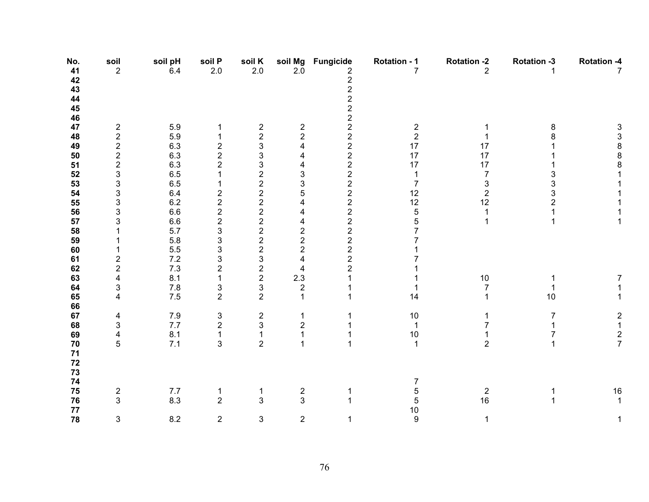| No.<br>41  | soil<br>$\boldsymbol{2}$ | soil pH<br>$6.4\,$ | soil P<br>$2.0\,$       | soil K<br>$2.0\,$                                 | soil Mg<br>2.0                             | <b>Fungicide</b> | <b>Rotation - 1</b><br>$\overline{7}$ | <b>Rotation -2</b><br>$\overline{2}$ | <b>Rotation -3</b> | <b>Rotation -4</b><br>$\overline{7}$   |
|------------|--------------------------|--------------------|-------------------------|---------------------------------------------------|--------------------------------------------|------------------|---------------------------------------|--------------------------------------|--------------------|----------------------------------------|
| 42         |                          |                    |                         |                                                   |                                            |                  |                                       |                                      |                    |                                        |
| 43         |                          |                    |                         |                                                   |                                            |                  |                                       |                                      |                    |                                        |
| 44         |                          |                    |                         |                                                   |                                            |                  |                                       |                                      |                    |                                        |
| 45         |                          |                    |                         |                                                   |                                            |                  |                                       |                                      |                    |                                        |
| 46         |                          |                    |                         |                                                   |                                            |                  |                                       |                                      |                    |                                        |
| 47         | $\overline{\mathbf{c}}$  | 5.9                | 1                       |                                                   |                                            |                  |                                       |                                      | 8                  |                                        |
| 48         | $\overline{c}$           | 5.9                | 1                       | $\frac{2}{2}$                                     | $\frac{2}{2}$                              |                  | $\frac{2}{2}$                         |                                      | 8                  | 338881                                 |
| 49         | $\overline{\mathbf{c}}$  | 6.3                | $\overline{\mathbf{c}}$ |                                                   | 4                                          |                  | $17\,$                                | 17                                   |                    |                                        |
| ${\bf 50}$ | $\overline{\mathbf{c}}$  | 6.3                | $\overline{\mathbf{c}}$ | $\begin{array}{c} 3 \\ 3 \\ 3 \end{array}$        | 4                                          |                  | 17                                    | 17                                   |                    |                                        |
| 51         |                          | 6.3                | $\overline{\mathbf{c}}$ |                                                   | 4                                          |                  | 17                                    | 17                                   |                    |                                        |
| 52         | $\frac{2}{3}$            | 6.5                | $\mathbf{1}$            | $\overline{c}$                                    | 3                                          |                  | $\mathbf{1}$                          | $\overline{7}$                       | 3                  |                                        |
| 53         | 3                        | 6.5                | 1                       | $\frac{2}{2}$                                     | 3                                          |                  | $\boldsymbol{7}$                      | $\frac{3}{2}$                        | 3                  | $\mathbf{1}$                           |
| 54         | 3                        | 6.4                | $\overline{\mathbf{c}}$ |                                                   | 5                                          |                  | 12                                    |                                      | 3                  | $\mathbf{1}$                           |
| 55         | 3                        | $6.2\,$            | $\frac{2}{2}$           | $22222$<br>$222$                                  | 4                                          |                  | 12                                    | 12                                   | $\overline{c}$     |                                        |
| 56         | 3                        | $6.6\,$            |                         |                                                   | 4                                          |                  | 5                                     | $\mathbf{1}$                         |                    |                                        |
| 57         | 3                        | 6.6                | $\overline{\mathbf{c}}$ |                                                   | 4                                          |                  | 5                                     | 1                                    |                    | 1                                      |
| 58         |                          | 5.7                | 3                       |                                                   |                                            |                  | $\overline{7}$                        |                                      |                    |                                        |
| 59         |                          | 5.8                | 3                       |                                                   | $\begin{array}{c} 2 \\ 2 \\ 2 \end{array}$ |                  | 7                                     |                                      |                    |                                        |
| 60         |                          | $5.5\,$            | 3                       |                                                   |                                            |                  |                                       |                                      |                    |                                        |
| 61         | $\overline{\mathbf{c}}$  | $7.2\,$            | 3                       |                                                   | 4                                          |                  |                                       |                                      |                    |                                        |
| 62         | $\boldsymbol{2}$         | 7.3                | $\overline{\mathbf{c}}$ |                                                   | 4                                          |                  |                                       |                                      |                    |                                        |
| 63         | 4                        | 8.1                | 1                       | $\begin{array}{c}\n3 \\ 2 \\ 3 \\ 2\n\end{array}$ | $2.3\,$                                    | 1                |                                       | 10                                   |                    | 7                                      |
| 64         | 3                        | $7.8\,$            | 3                       |                                                   | $\mathbf 2$                                |                  |                                       | $\overline{7}$                       |                    | 1                                      |
| 65         | 4                        | 7.5                | $\overline{2}$          |                                                   | $\mathbf{1}$                               |                  | 14                                    |                                      | $10$               | $\mathbf 1$                            |
| 66         |                          |                    |                         |                                                   |                                            |                  |                                       |                                      |                    |                                        |
| 67         | 4                        | $7.9\,$            | 3                       | $\mathbf{2}$                                      | 1                                          |                  | $10$                                  | 1                                    | $\overline{7}$     | $\begin{array}{c} 2 \\ 1 \end{array}$  |
| 68         | 3                        | 7.7                | $\overline{\mathbf{c}}$ | $\ensuremath{\mathsf{3}}$                         | $\overline{\mathbf{c}}$                    |                  | 1                                     | 7                                    |                    |                                        |
| 69         | 4                        | 8.1                | 1                       | $\mathbf 1$                                       | 1                                          |                  | $10$                                  |                                      | $\overline{7}$     | $\frac{2}{7}$                          |
| $70\,$     | 5                        | $7.1$              | 3                       | $\overline{2}$                                    | $\mathbf{1}$                               |                  | $\mathbf{1}$                          | $\overline{2}$                       | 1                  |                                        |
| $\bf 71$   |                          |                    |                         |                                                   |                                            |                  |                                       |                                      |                    |                                        |
| $\bf 72$   |                          |                    |                         |                                                   |                                            |                  |                                       |                                      |                    |                                        |
| 73         |                          |                    |                         |                                                   |                                            |                  |                                       |                                      |                    |                                        |
| ${\bf 74}$ |                          |                    |                         |                                                   |                                            |                  | 7                                     |                                      |                    |                                        |
| ${\bf 75}$ | $\frac{2}{3}$            | 7.7                | 1                       | $\mathbf 1$                                       | $\frac{2}{3}$                              |                  | 5                                     | $\overline{\mathbf{c}}$              |                    | $\begin{array}{c} 16 \\ 1 \end{array}$ |
| ${\bf 76}$ |                          | 8.3                | $\overline{2}$          | 3                                                 |                                            |                  | 5                                     | 16                                   |                    |                                        |
| 77         |                          |                    |                         |                                                   |                                            |                  | $10$                                  |                                      |                    |                                        |
| 78         | 3                        | 8.2                | $\overline{c}$          | $\mathsf 3$                                       | $\overline{2}$                             |                  | $\boldsymbol{9}$                      | $\mathbf{1}$                         |                    | 1                                      |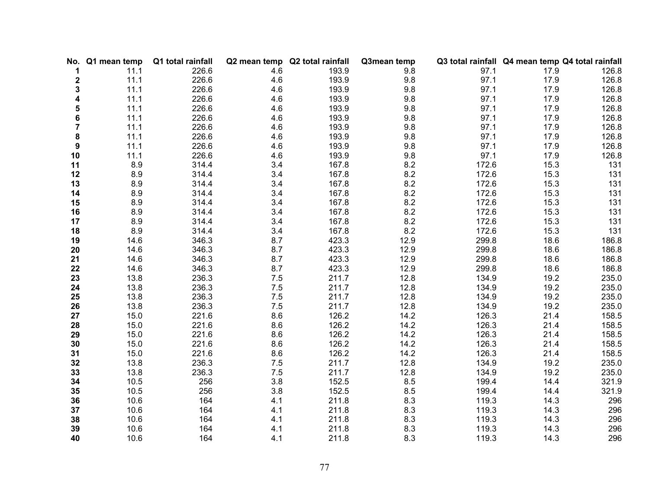| No. | Q1 mean temp | Q1 total rainfall |     | Q2 mean temp Q2 total rainfall | Q3mean temp | Q3 total rainfall Q4 mean temp Q4 total rainfall |      |       |
|-----|--------------|-------------------|-----|--------------------------------|-------------|--------------------------------------------------|------|-------|
| 1   | 11.1         | 226.6             | 4.6 | 193.9                          | 9.8         | 97.1                                             | 17.9 | 126.8 |
| 2   | 11.1         | 226.6             | 4.6 | 193.9                          | 9.8         | 97.1                                             | 17.9 | 126.8 |
| 3   | 11.1         | 226.6             | 4.6 | 193.9                          | 9.8         | 97.1                                             | 17.9 | 126.8 |
| 4   | 11.1         | 226.6             | 4.6 | 193.9                          | 9.8         | 97.1                                             | 17.9 | 126.8 |
| 5   | 11.1         | 226.6             | 4.6 | 193.9                          | 9.8         | 97.1                                             | 17.9 | 126.8 |
| 6   | 11.1         | 226.6             | 4.6 | 193.9                          | 9.8         | 97.1                                             | 17.9 | 126.8 |
| 7   | 11.1         | 226.6             | 4.6 | 193.9                          | 9.8         | 97.1                                             | 17.9 | 126.8 |
| 8   | 11.1         | 226.6             | 4.6 | 193.9                          | 9.8         | 97.1                                             | 17.9 | 126.8 |
| 9   | 11.1         | 226.6             | 4.6 | 193.9                          | 9.8         | 97.1                                             | 17.9 | 126.8 |
| 10  | 11.1         | 226.6             | 4.6 | 193.9                          | 9.8         | 97.1                                             | 17.9 | 126.8 |
| 11  | 8.9          | 314.4             | 3.4 | 167.8                          | 8.2         | 172.6                                            | 15.3 | 131   |
| 12  | 8.9          | 314.4             | 3.4 | 167.8                          | 8.2         | 172.6                                            | 15.3 | 131   |
| 13  | 8.9          | 314.4             | 3.4 | 167.8                          | 8.2         | 172.6                                            | 15.3 | 131   |
| 14  | 8.9          | 314.4             | 3.4 | 167.8                          | 8.2         | 172.6                                            | 15.3 | 131   |
| 15  | 8.9          | 314.4             | 3.4 | 167.8                          | 8.2         | 172.6                                            | 15.3 | 131   |
| 16  | 8.9          | 314.4             | 3.4 | 167.8                          | 8.2         | 172.6                                            | 15.3 | 131   |
| 17  | 8.9          | 314.4             | 3.4 | 167.8                          | 8.2         | 172.6                                            | 15.3 | 131   |
| 18  | 8.9          | 314.4             | 3.4 | 167.8                          | 8.2         | 172.6                                            | 15.3 | 131   |
| 19  | 14.6         | 346.3             | 8.7 | 423.3                          | 12.9        | 299.8                                            | 18.6 | 186.8 |
| 20  | 14.6         | 346.3             | 8.7 | 423.3                          | 12.9        | 299.8                                            | 18.6 | 186.8 |
| 21  | 14.6         | 346.3             | 8.7 | 423.3                          | 12.9        | 299.8                                            | 18.6 | 186.8 |
| 22  | 14.6         | 346.3             | 8.7 | 423.3                          | 12.9        | 299.8                                            | 18.6 | 186.8 |
| 23  | 13.8         | 236.3             | 7.5 | 211.7                          | 12.8        | 134.9                                            | 19.2 | 235.0 |
| 24  | 13.8         | 236.3             | 7.5 | 211.7                          | 12.8        | 134.9                                            | 19.2 | 235.0 |
| 25  | 13.8         | 236.3             | 7.5 | 211.7                          | 12.8        | 134.9                                            | 19.2 | 235.0 |
| 26  | 13.8         | 236.3             | 7.5 | 211.7                          | 12.8        | 134.9                                            | 19.2 | 235.0 |
| 27  | 15.0         | 221.6             | 8.6 | 126.2                          | 14.2        | 126.3                                            | 21.4 | 158.5 |
| 28  | 15.0         | 221.6             | 8.6 | 126.2                          | 14.2        | 126.3                                            | 21.4 | 158.5 |
| 29  | 15.0         | 221.6             | 8.6 | 126.2                          | 14.2        | 126.3                                            | 21.4 | 158.5 |
| 30  | 15.0         | 221.6             | 8.6 | 126.2                          | 14.2        | 126.3                                            | 21.4 | 158.5 |
| 31  | 15.0         | 221.6             | 8.6 | 126.2                          | 14.2        | 126.3                                            | 21.4 | 158.5 |
| 32  | 13.8         | 236.3             | 7.5 | 211.7                          | 12.8        | 134.9                                            | 19.2 | 235.0 |
| 33  | 13.8         | 236.3             | 7.5 | 211.7                          | 12.8        | 134.9                                            | 19.2 | 235.0 |
| 34  | 10.5         | 256               | 3.8 | 152.5                          | 8.5         | 199.4                                            | 14.4 | 321.9 |
| 35  | 10.5         | 256               | 3.8 | 152.5                          | 8.5         | 199.4                                            | 14.4 | 321.9 |
| 36  | 10.6         | 164               | 4.1 | 211.8                          | 8.3         | 119.3                                            | 14.3 | 296   |
| 37  | 10.6         | 164               | 4.1 | 211.8                          | 8.3         | 119.3                                            | 14.3 | 296   |
| 38  | 10.6         | 164               | 4.1 | 211.8                          | 8.3         | 119.3                                            | 14.3 | 296   |
| 39  | 10.6         | 164               | 4.1 | 211.8                          | 8.3         | 119.3                                            | 14.3 | 296   |
| 40  | 10.6         | 164               | 4.1 | 211.8                          | 8.3         | 119.3                                            | 14.3 | 296   |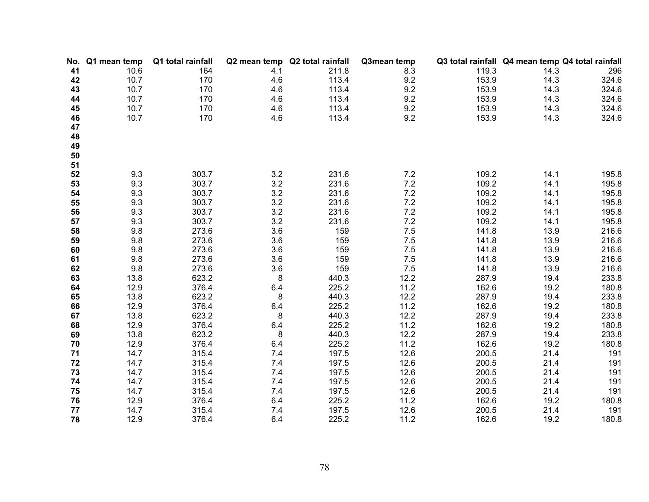| No. | Q1 mean temp | Q1 total rainfall |     | Q2 mean temp Q2 total rainfall | Q3mean temp | Q3 total rainfall Q4 mean temp Q4 total rainfall |      |       |
|-----|--------------|-------------------|-----|--------------------------------|-------------|--------------------------------------------------|------|-------|
| 41  | 10.6         | 164               | 4.1 | 211.8                          | 8.3         | 119.3                                            | 14.3 | 296   |
| 42  | 10.7         | 170               | 4.6 | 113.4                          | 9.2         | 153.9                                            | 14.3 | 324.6 |
| 43  | 10.7         | 170               | 4.6 | 113.4                          | 9.2         | 153.9                                            | 14.3 | 324.6 |
| 44  | 10.7         | 170               | 4.6 | 113.4                          | 9.2         | 153.9                                            | 14.3 | 324.6 |
| 45  | 10.7         | 170               | 4.6 | 113.4                          | 9.2         | 153.9                                            | 14.3 | 324.6 |
| 46  | 10.7         | 170               | 4.6 | 113.4                          | 9.2         | 153.9                                            | 14.3 | 324.6 |
| 47  |              |                   |     |                                |             |                                                  |      |       |
| 48  |              |                   |     |                                |             |                                                  |      |       |
| 49  |              |                   |     |                                |             |                                                  |      |       |
| 50  |              |                   |     |                                |             |                                                  |      |       |
| 51  |              |                   |     |                                |             |                                                  |      |       |
| 52  | 9.3          | 303.7             | 3.2 | 231.6                          | 7.2         | 109.2                                            | 14.1 | 195.8 |
| 53  | 9.3          | 303.7             | 3.2 | 231.6                          | 7.2         | 109.2                                            | 14.1 | 195.8 |
| 54  | 9.3          | 303.7             | 3.2 | 231.6                          | 7.2         | 109.2                                            | 14.1 | 195.8 |
| 55  | 9.3          | 303.7             | 3.2 | 231.6                          | 7.2         | 109.2                                            | 14.1 | 195.8 |
| 56  | 9.3          | 303.7             | 3.2 | 231.6                          | 7.2         | 109.2                                            | 14.1 | 195.8 |
| 57  | 9.3          | 303.7             | 3.2 | 231.6                          | 7.2         | 109.2                                            | 14.1 | 195.8 |
| 58  | 9.8          | 273.6             | 3.6 | 159                            | 7.5         | 141.8                                            | 13.9 | 216.6 |
| 59  | 9.8          | 273.6             | 3.6 | 159                            | 7.5         | 141.8                                            | 13.9 | 216.6 |
| 60  | 9.8          | 273.6             | 3.6 | 159                            | 7.5         | 141.8                                            | 13.9 | 216.6 |
| 61  | 9.8          | 273.6             | 3.6 | 159                            | 7.5         | 141.8                                            | 13.9 | 216.6 |
| 62  | 9.8          | 273.6             | 3.6 | 159                            | 7.5         | 141.8                                            | 13.9 | 216.6 |
| 63  | 13.8         | 623.2             | 8   | 440.3                          | 12.2        | 287.9                                            | 19.4 | 233.8 |
| 64  | 12.9         | 376.4             | 6.4 | 225.2                          | 11.2        | 162.6                                            | 19.2 | 180.8 |
| 65  | 13.8         | 623.2             | 8   | 440.3                          | 12.2        | 287.9                                            | 19.4 | 233.8 |
| 66  | 12.9         | 376.4             | 6.4 | 225.2                          | 11.2        | 162.6                                            | 19.2 | 180.8 |
| 67  | 13.8         | 623.2             | 8   | 440.3                          | 12.2        | 287.9                                            | 19.4 | 233.8 |
| 68  | 12.9         | 376.4             | 6.4 | 225.2                          | 11.2        | 162.6                                            | 19.2 | 180.8 |
| 69  | 13.8         | 623.2             | 8   | 440.3                          | 12.2        | 287.9                                            | 19.4 | 233.8 |
| 70  | 12.9         | 376.4             | 6.4 | 225.2                          | 11.2        | 162.6                                            | 19.2 | 180.8 |
| 71  | 14.7         | 315.4             | 7.4 | 197.5                          | 12.6        | 200.5                                            | 21.4 | 191   |
| 72  | 14.7         | 315.4             | 7.4 | 197.5                          | 12.6        | 200.5                                            | 21.4 | 191   |
| 73  | 14.7         | 315.4             | 7.4 | 197.5                          | 12.6        | 200.5                                            | 21.4 | 191   |
| 74  | 14.7         | 315.4             | 7.4 | 197.5                          | 12.6        | 200.5                                            | 21.4 | 191   |
| 75  | 14.7         | 315.4             | 7.4 | 197.5                          | 12.6        | 200.5                                            | 21.4 | 191   |
| 76  | 12.9         | 376.4             | 6.4 | 225.2                          | 11.2        | 162.6                                            | 19.2 | 180.8 |
| 77  | 14.7         | 315.4             | 7.4 | 197.5                          | 12.6        | 200.5                                            | 21.4 | 191   |
| 78  | 12.9         | 376.4             | 6.4 | 225.2                          | 11.2        | 162.6                                            | 19.2 | 180.8 |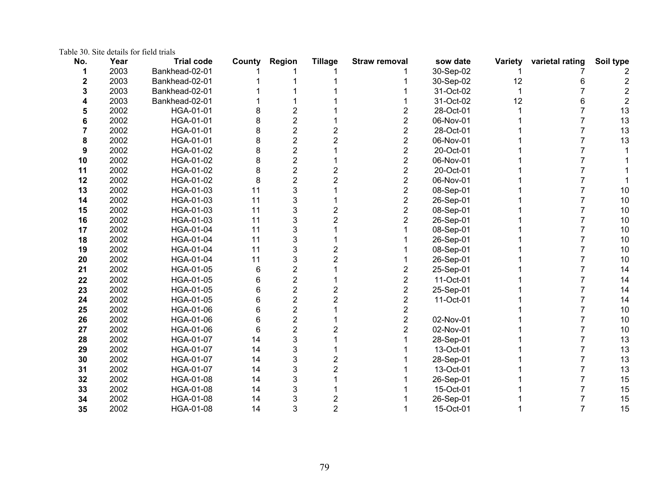Table 30. Site details for field trials

| No. | Year | <b>Trial code</b> | County | Region                  | <b>Tillage</b> | <b>Straw removal</b> | sow date  | Variety | varietal rating | Soil type |
|-----|------|-------------------|--------|-------------------------|----------------|----------------------|-----------|---------|-----------------|-----------|
|     | 2003 | Bankhead-02-01    |        |                         |                |                      | 30-Sep-02 |         |                 |           |
| 2   | 2003 | Bankhead-02-01    |        |                         |                |                      | 30-Sep-02 | 12      |                 |           |
| 3   | 2003 | Bankhead-02-01    |        |                         |                |                      | 31-Oct-02 |         |                 |           |
|     | 2003 | Bankhead-02-01    |        |                         |                |                      | 31-Oct-02 | 12      |                 |           |
|     | 2002 | HGA-01-01         |        |                         |                |                      | 28-Oct-01 |         |                 | 13        |
|     | 2002 | HGA-01-01         |        | $\overline{2}$          |                | 2                    | 06-Nov-01 |         |                 | 13        |
|     | 2002 | HGA-01-01         |        | $\overline{\mathbf{c}}$ |                | $\overline{c}$       | 28-Oct-01 |         |                 | 13        |
|     | 2002 | HGA-01-01         |        | $\overline{\mathbf{c}}$ |                | $\overline{c}$       | 06-Nov-01 |         |                 | 13        |
| 9   | 2002 | HGA-01-02         | 8      | $\overline{2}$          |                | 2                    | 20-Oct-01 |         |                 |           |
| 10  | 2002 | HGA-01-02         | 8      | 2                       |                | 2                    | 06-Nov-01 |         |                 |           |
| 11  | 2002 | HGA-01-02         | 8      | $\overline{2}$          |                | 2                    | 20-Oct-01 |         |                 |           |
| 12  | 2002 | HGA-01-02         | 8      | $\overline{2}$          |                | 2                    | 06-Nov-01 |         |                 |           |
| 13  | 2002 | HGA-01-03         | 11     | 3                       |                | 2                    | 08-Sep-01 |         |                 | 10        |
| 14  | 2002 | HGA-01-03         | 11     | 3                       |                | 2                    | 26-Sep-01 |         |                 | 10        |
| 15  | 2002 | HGA-01-03         | 11     | 3                       |                | 2                    | 08-Sep-01 |         |                 | 10        |
| 16  | 2002 | HGA-01-03         | 11     | 3                       |                |                      | 26-Sep-01 |         |                 | 10        |
| 17  | 2002 | HGA-01-04         | 11     | 3                       |                |                      | 08-Sep-01 |         |                 | 10        |
| 18  | 2002 | HGA-01-04         | 11     | 3                       |                |                      | 26-Sep-01 |         |                 | 10        |
| 19  | 2002 | HGA-01-04         | 11     | 3                       |                |                      | 08-Sep-01 |         |                 | 10        |
| 20  | 2002 | HGA-01-04         | 11     | 3                       |                |                      | 26-Sep-01 |         |                 | 10        |
| 21  | 2002 | HGA-01-05         | 6      | 2                       |                | 2                    | 25-Sep-01 |         |                 | 14        |
| 22  | 2002 | HGA-01-05         | 6      | $\overline{2}$          |                | 2                    | 11-Oct-01 |         |                 | 14        |
| 23  | 2002 | HGA-01-05         | 6      | $\overline{2}$          |                | 2                    | 25-Sep-01 |         |                 | 14        |
| 24  | 2002 | HGA-01-05         | 6      | $\overline{2}$          |                | 2                    | 11-Oct-01 |         |                 | 14        |
| 25  | 2002 | HGA-01-06         | 6      | $\overline{2}$          |                | 2                    |           |         |                 | 10        |
| 26  | 2002 | HGA-01-06         | 6      | $\overline{2}$          |                | 2                    | 02-Nov-01 |         |                 | 10        |
| 27  | 2002 | HGA-01-06         | 6      | $\overline{2}$          |                | 2                    | 02-Nov-01 |         |                 | 10        |
| 28  | 2002 | HGA-01-07         | 14     | 3                       |                |                      | 28-Sep-01 |         |                 | 13        |
| 29  | 2002 | HGA-01-07         | 14     | 3                       |                |                      | 13-Oct-01 |         |                 | 13        |
| 30  | 2002 | HGA-01-07         | 14     | 3                       |                |                      | 28-Sep-01 |         |                 | 13        |
| 31  | 2002 | HGA-01-07         | 14     | 3                       |                |                      | 13-Oct-01 |         |                 | 13        |
| 32  | 2002 | HGA-01-08         | 14     | 3                       |                |                      | 26-Sep-01 |         |                 | 15        |
| 33  | 2002 | HGA-01-08         | 14     | 3                       |                |                      | 15-Oct-01 |         |                 | 15        |
| 34  | 2002 | HGA-01-08         | 14     | 3                       |                |                      | 26-Sep-01 |         |                 | 15        |
| 35  | 2002 | HGA-01-08         | 14     | 3                       |                |                      | 15-Oct-01 |         |                 | 15        |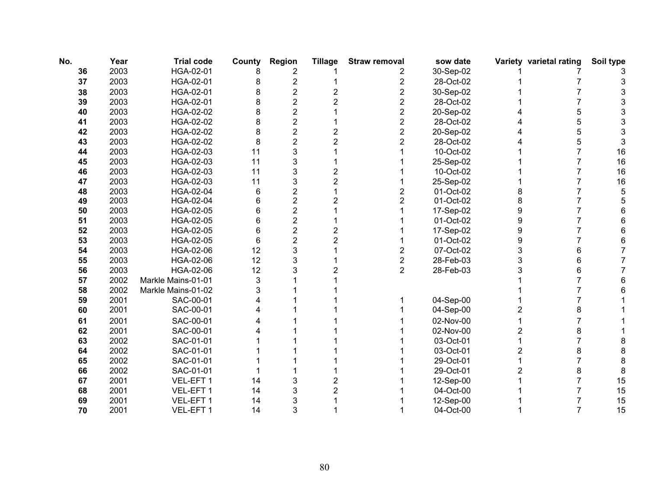| No. | Year | <b>Trial code</b>  | County | Region                  | <b>Tillage</b> | <b>Straw removal</b> | sow date  |   | Variety varietal rating | Soil type |
|-----|------|--------------------|--------|-------------------------|----------------|----------------------|-----------|---|-------------------------|-----------|
| 36  | 2003 | HGA-02-01          | 8      | 2                       |                | 2                    | 30-Sep-02 |   |                         |           |
| 37  | 2003 | HGA-02-01          | 8      | $\overline{2}$          |                | $\overline{2}$       | 28-Oct-02 |   |                         | 3         |
| 38  | 2003 | HGA-02-01          | 8      | $\overline{\mathbf{c}}$ |                | 2                    | 30-Sep-02 |   |                         | 3         |
| 39  | 2003 | HGA-02-01          | 8      | $\overline{c}$          |                | 2                    | 28-Oct-02 |   |                         | 3         |
| 40  | 2003 | HGA-02-02          | 8      | $\overline{c}$          |                | 2                    | 20-Sep-02 |   |                         | 3         |
| 41  | 2003 | HGA-02-02          | 8      | $\overline{2}$          |                | $\overline{2}$       | 28-Oct-02 |   | 5                       | 3         |
| 42  | 2003 | HGA-02-02          | 8      | $\overline{c}$          |                | 2                    | 20-Sep-02 |   | 5                       | 3         |
| 43  | 2003 | HGA-02-02          | 8      | $\overline{2}$          |                | $\overline{2}$       | 28-Oct-02 |   | 5                       | 3         |
| 44  | 2003 | HGA-02-03          | 11     | 3                       |                |                      | 10-Oct-02 |   |                         | 16        |
| 45  | 2003 | HGA-02-03          | 11     | 3                       |                |                      | 25-Sep-02 |   |                         | 16        |
| 46  | 2003 | HGA-02-03          | 11     | 3                       |                |                      | 10-Oct-02 |   |                         | 16        |
| 47  | 2003 | HGA-02-03          | 11     | 3                       |                |                      | 25-Sep-02 |   | 7                       | 16        |
| 48  | 2003 | HGA-02-04          | 6      | $\overline{2}$          |                | 2                    | 01-Oct-02 | 8 |                         | 5         |
| 49  | 2003 | HGA-02-04          | 6      | $\overline{2}$          |                | 2                    | 01-Oct-02 | 8 |                         | 5         |
| 50  | 2003 | HGA-02-05          | 6      | $\overline{2}$          |                |                      | 17-Sep-02 | 9 | 7                       | 6         |
| 51  | 2003 | HGA-02-05          | 6      | $\overline{2}$          |                |                      | 01-Oct-02 | 9 | 7                       | 6         |
| 52  | 2003 | HGA-02-05          | 6      | $\overline{2}$          |                |                      | 17-Sep-02 | 9 |                         | 6         |
| 53  | 2003 | HGA-02-05          | 6      | $\overline{c}$          |                |                      | 01-Oct-02 | 9 |                         | 6         |
| 54  | 2003 | HGA-02-06          | 12     | 3                       |                | 2                    | 07-Oct-02 | 3 | 6                       |           |
| 55  | 2003 | HGA-02-06          | 12     | 3                       |                | $\overline{c}$       | 28-Feb-03 | 3 | 6                       |           |
| 56  | 2003 | HGA-02-06          | 12     | 3                       |                | $\overline{2}$       | 28-Feb-03 |   | 6                       |           |
| 57  | 2002 | Markle Mains-01-01 | 3      |                         |                |                      |           |   |                         | 6         |
| 58  | 2002 | Markle Mains-01-02 |        |                         |                |                      |           |   |                         | 6         |
| 59  | 2001 | SAC-00-01          |        |                         |                |                      | 04-Sep-00 |   |                         |           |
| 60  | 2001 | SAC-00-01          |        |                         |                |                      | 04-Sep-00 |   | 8                       |           |
| 61  | 2001 | SAC-00-01          |        |                         |                |                      | 02-Nov-00 |   | 7                       |           |
| 62  | 2001 | SAC-00-01          |        |                         |                |                      | 02-Nov-00 |   | 8                       |           |
| 63  | 2002 | SAC-01-01          |        |                         |                |                      | 03-Oct-01 |   |                         | 8         |
| 64  | 2002 | SAC-01-01          |        |                         |                |                      | 03-Oct-01 |   | 8                       | 8         |
| 65  | 2002 | SAC-01-01          |        |                         |                |                      | 29-Oct-01 |   | 7                       | 8         |
| 66  | 2002 | SAC-01-01          |        |                         |                |                      | 29-Oct-01 |   | 8                       | 8         |
| 67  | 2001 | VEL-EFT 1          | 14     | 3                       |                |                      | 12-Sep-00 |   |                         | 15        |
| 68  | 2001 | VEL-EFT 1          | 14     | 3                       |                |                      | 04-Oct-00 |   |                         | 15        |
| 69  | 2001 | VEL-EFT 1          | 14     | 3                       |                |                      | 12-Sep-00 |   |                         | 15        |
| 70  | 2001 | VEL-EFT 1          | 14     | 3                       |                |                      | 04-Oct-00 |   | $\overline{7}$          | 15        |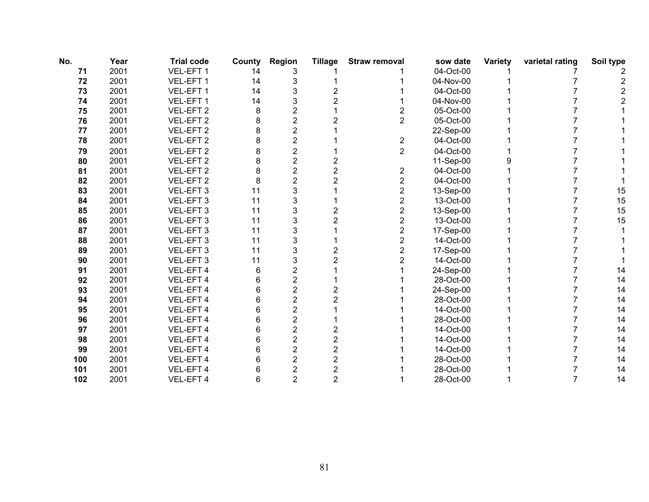| No. | Year | <b>Trial code</b>    | County | Region                  | <b>Tillage</b> | <b>Straw removal</b> | sow date  | <b>Variety</b> | varietal rating | Soil type |
|-----|------|----------------------|--------|-------------------------|----------------|----------------------|-----------|----------------|-----------------|-----------|
| 71  | 2001 | VEL-EFT 1            | 14     | 3                       |                |                      | 04-Oct-00 |                |                 |           |
| 72  | 2001 | VEL-EFT 1            | 14     | 3                       |                |                      | 04-Nov-00 |                |                 | 2         |
| 73  | 2001 | VEL-EFT 1            | 14     | 3                       |                |                      | 04-Oct-00 |                |                 |           |
| 74  | 2001 | VEL-EFT 1            | 14     | 3                       |                |                      | 04-Nov-00 |                |                 |           |
| 75  | 2001 | VEL-EFT <sub>2</sub> |        | $\overline{2}$          |                |                      | 05-Oct-00 |                |                 |           |
| 76  | 2001 | VEL-EFT <sub>2</sub> |        | $\overline{2}$          |                | $\overline{2}$       | 05-Oct-00 |                |                 |           |
| 77  | 2001 | VEL-EFT <sub>2</sub> |        | 2                       |                |                      | 22-Sep-00 |                |                 |           |
| 78  | 2001 | VEL-EFT <sub>2</sub> |        | $\overline{2}$          |                | $\overline{c}$       | 04-Oct-00 |                |                 |           |
| 79  | 2001 | VEL-EFT <sub>2</sub> |        | $\overline{c}$          |                | $\overline{2}$       | 04-Oct-00 |                |                 |           |
| 80  | 2001 | VEL-EFT <sub>2</sub> |        | 2                       |                |                      | 11-Sep-00 |                |                 |           |
| 81  | 2001 | VEL-EFT <sub>2</sub> | 8      | $\overline{2}$          |                | 2                    | 04-Oct-00 |                |                 |           |
| 82  | 2001 | VEL-EFT <sub>2</sub> | 8      | $\overline{2}$          |                | 2                    | 04-Oct-00 |                |                 |           |
| 83  | 2001 | VEL-EFT 3            | 11     | 3                       |                | $\overline{2}$       | 13-Sep-00 |                |                 | 15        |
| 84  | 2001 | VEL-EFT 3            | 11     | 3                       |                | $\overline{2}$       | 13-Oct-00 |                |                 | 15        |
| 85  | 2001 | VEL-EFT 3            | 11     | 3                       |                | 2                    | 13-Sep-00 |                |                 | 15        |
| 86  | 2001 | VEL-EFT 3            | 11     | 3                       |                | $\overline{2}$       | 13-Oct-00 |                |                 | 15        |
| 87  | 2001 | VEL-EFT 3            | 11     | 3                       |                | 2                    | 17-Sep-00 |                |                 |           |
| 88  | 2001 | VEL-EFT 3            | 11     | 3                       |                | 2                    | 14-Oct-00 |                |                 |           |
| 89  | 2001 | VEL-EFT <sub>3</sub> | 11     | 3                       |                | 2                    | 17-Sep-00 |                |                 |           |
| 90  | 2001 | VEL-EFT 3            | 11     | 3                       |                | 2                    | 14-Oct-00 |                |                 |           |
| 91  | 2001 | VEL-EFT 4            | 6      | $\overline{2}$          |                |                      | 24-Sep-00 |                |                 | 14        |
| 92  | 2001 | VEL-EFT 4            | 6      | $\overline{2}$          |                |                      | 28-Oct-00 |                |                 | 14        |
| 93  | 2001 | VEL-EFT 4            |        | $\overline{\mathbf{c}}$ |                |                      | 24-Sep-00 |                |                 | 14        |
| 94  | 2001 | VEL-EFT 4            | 6      | $\overline{2}$          |                |                      | 28-Oct-00 |                |                 | 14        |
| 95  | 2001 | VEL-EFT 4            |        | $\overline{2}$          |                |                      | 14-Oct-00 |                |                 | 14        |
| 96  | 2001 | VEL-EFT 4            | 6      | $\overline{2}$          |                |                      | 28-Oct-00 |                |                 | 14        |
| 97  | 2001 | VEL-EFT 4            |        | $\overline{c}$          |                |                      | 14-Oct-00 |                |                 | 14        |
| 98  | 2001 | VEL-EFT 4            | 6      | $\overline{c}$          |                |                      | 14-Oct-00 |                |                 | 14        |
| 99  | 2001 | VEL-EFT 4            | 6      | 2                       |                |                      | 14-Oct-00 |                |                 | 14        |
| 100 | 2001 | VEL-EFT 4            | 6      | $\overline{2}$          |                |                      | 28-Oct-00 |                |                 | 14        |
| 101 | 2001 | VEL-EFT 4            |        | $\overline{2}$          |                |                      | 28-Oct-00 |                |                 | 14        |
| 102 | 2001 | VEL-EFT 4            | 6      | $\overline{2}$          |                |                      | 28-Oct-00 |                |                 | 14        |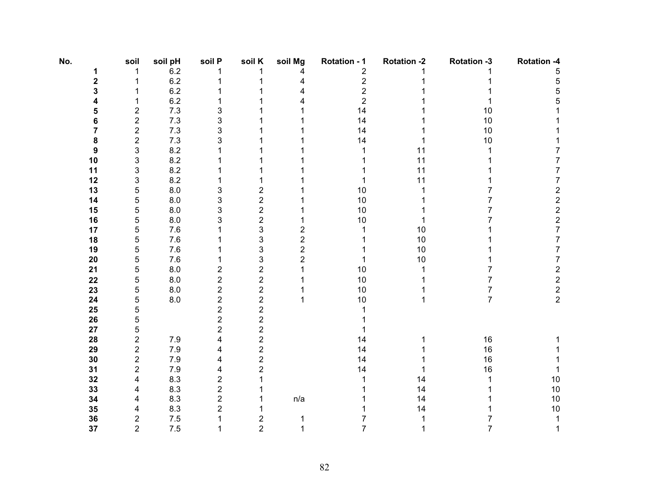| No. |             | soil                    | soil pH | soil P                  | soil K                  | soil Mg        | <b>Rotation - 1</b>     | <b>Rotation -2</b> | <b>Rotation -3</b> | <b>Rotation -4</b>                              |
|-----|-------------|-------------------------|---------|-------------------------|-------------------------|----------------|-------------------------|--------------------|--------------------|-------------------------------------------------|
|     | 1           | 1                       | 6.2     |                         |                         | 4              | 2                       |                    |                    | 5                                               |
|     | $\mathbf 2$ | 1                       | $6.2\,$ |                         |                         | 4              | 2                       |                    |                    | 5                                               |
|     | 3           |                         | $6.2\,$ |                         |                         | 4              | $\overline{\mathbf{c}}$ |                    |                    | 5                                               |
|     |             | 1                       | $6.2\,$ |                         |                         | 4              | $\overline{\mathbf{c}}$ |                    |                    | 5                                               |
|     | 5           | 2                       | $7.3$   | 3                       |                         |                | 14                      |                    | 10                 |                                                 |
|     |             | $\overline{\mathbf{c}}$ | 7.3     | 3                       |                         |                | 14                      |                    | 10                 |                                                 |
|     |             | $\overline{\mathbf{c}}$ | 7.3     | 3                       |                         |                | 14                      |                    | $10$               |                                                 |
|     | 8           | $\overline{\mathbf{c}}$ | 7.3     | 3                       |                         |                | 14                      |                    | $10$               |                                                 |
|     | 9           | 3                       | 8.2     |                         |                         |                | 1                       | 11                 |                    | 7                                               |
|     | 10          | 3                       | 8.2     |                         |                         |                |                         | 11                 |                    | $\overline{\mathbf{7}}$                         |
|     | 11          | 3                       | 8.2     |                         |                         |                |                         | 11                 |                    | $\overline{7}$                                  |
|     | 12          | 3                       | 8.2     |                         |                         |                |                         | 11                 |                    | $\overline{7}$                                  |
|     | 13          | 5                       | 8.0     | 3                       | $\overline{\mathbf{c}}$ |                | 10                      |                    |                    | 22227                                           |
|     | 14          | 5                       | 8.0     | 3                       | $\overline{c}$          |                | 10                      |                    |                    |                                                 |
|     | 15          | 5                       | 8.0     | 3                       | $\overline{c}$          |                | $10$                    |                    |                    |                                                 |
|     | 16          | 5                       | 8.0     | 3                       | $\overline{c}$          |                | 10                      |                    |                    |                                                 |
|     | 17          | 5                       | 7.6     |                         | 3                       | 2              |                         | 10                 |                    |                                                 |
|     | 18          | 5                       | 7.6     |                         | 3                       | $\overline{2}$ |                         | 10                 |                    | $\overline{7}$                                  |
|     | 19          | 5                       | 7.6     |                         | 3                       | $\overline{2}$ |                         | $10$               |                    | $\overline{7}$                                  |
|     | 20          | 5                       | 7.6     |                         | 3                       | $\overline{2}$ |                         | 10                 |                    | $\overline{7}$                                  |
|     | 21          | 5                       | 8.0     | 2                       | $\overline{c}$          | 1              | 10                      |                    |                    |                                                 |
|     | 22          | 5                       | 8.0     | $\overline{2}$          | $\overline{c}$          |                | $10$                    |                    | 7                  | $\begin{array}{c} 2 \\ 2 \\ 2 \\ 2 \end{array}$ |
|     | 23          | 5                       | 8.0     | $\overline{2}$          | $\overline{c}$          |                | 10                      |                    | 7                  |                                                 |
|     | 24          | 5                       | 8.0     | $\overline{\mathbf{c}}$ | $\overline{\mathbf{c}}$ | 1              | 10                      |                    | $\overline{7}$     |                                                 |
|     | 25          | 5                       |         | $\overline{2}$          | $\overline{c}$          |                |                         |                    |                    |                                                 |
|     | 26          | 5                       |         | $\mathbf 2$             | $\overline{c}$          |                |                         |                    |                    |                                                 |
|     | 27          | 5                       |         | $\overline{2}$          | $\overline{c}$          |                |                         |                    |                    |                                                 |
|     | 28          | $\overline{c}$          | 7.9     | 4                       | $\overline{\mathbf{c}}$ |                | 14                      |                    | 16                 |                                                 |
|     | 29          | $\overline{\mathbf{c}}$ | 7.9     | 4                       | $\overline{c}$          |                | 14                      |                    | 16                 |                                                 |
|     | 30          | $\overline{c}$          | 7.9     | 4                       | $\overline{\mathbf{c}}$ |                | 14                      |                    | 16                 |                                                 |
|     | 31          | $\overline{2}$          | 7.9     | 4                       | $\overline{2}$          |                | 14                      |                    | 16                 |                                                 |
|     | 32          | 4                       | 8.3     | $\overline{c}$          |                         |                |                         | 14                 |                    | 10                                              |
|     | 33          | 4                       | 8.3     | $\overline{2}$          |                         |                |                         | 14                 |                    | $10$                                            |
|     | 34          | 4                       | 8.3     | $\overline{2}$          |                         | n/a            |                         | 14                 |                    | $10$                                            |
|     | 35          | 4                       | 8.3     | $\overline{2}$          |                         |                |                         | 14                 |                    | $10$                                            |
|     | 36          | $\overline{c}$          | $7.5\,$ |                         | $\overline{c}$          |                | 7                       |                    |                    | 1                                               |
|     | 37          | $\overline{2}$          | 7.5     |                         | $\overline{2}$          |                | 7                       |                    |                    |                                                 |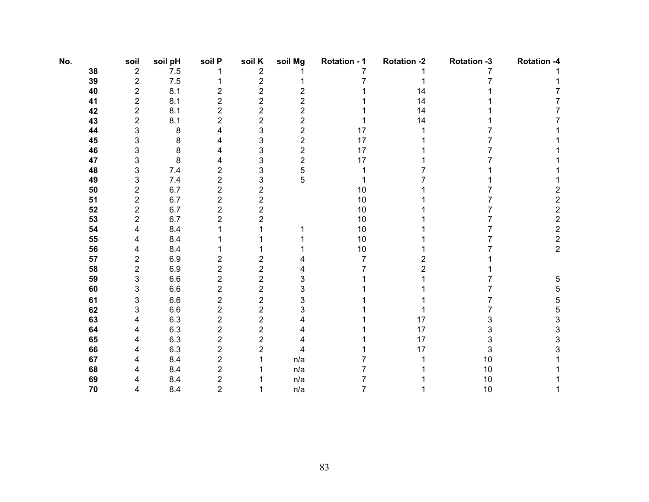| No. |    | soil                    | soil pH | soil P                  | soil K                  | soil Mg        | <b>Rotation - 1</b> | <b>Rotation -2</b> | <b>Rotation -3</b> | <b>Rotation -4</b>                         |
|-----|----|-------------------------|---------|-------------------------|-------------------------|----------------|---------------------|--------------------|--------------------|--------------------------------------------|
|     | 38 | $\sqrt{2}$              | $7.5\,$ |                         | $\boldsymbol{2}$        |                |                     |                    |                    |                                            |
|     | 39 | $\overline{c}$          | $7.5\,$ |                         | $\overline{2}$          |                | 7                   |                    |                    |                                            |
|     | 40 | 2                       | 8.1     | 2                       | 2                       | 2              |                     | 14                 |                    |                                            |
|     | 41 | 2                       | 8.1     | $\overline{\mathbf{c}}$ | $\overline{\mathbf{c}}$ | $\overline{2}$ |                     | 14                 |                    |                                            |
|     | 42 | $\overline{\mathbf{c}}$ | 8.1     | $\overline{\mathbf{c}}$ | $\overline{\mathbf{c}}$ | $\overline{c}$ |                     | 14                 |                    |                                            |
|     | 43 | $\overline{c}$          | 8.1     | 2                       | 2                       | $\overline{c}$ |                     | 14                 |                    |                                            |
|     | 44 | 3                       | 8       | 4                       | 3                       | $\overline{2}$ | 17                  |                    |                    |                                            |
|     | 45 | 3                       | 8       |                         | 3                       | $\overline{2}$ | 17                  |                    |                    |                                            |
|     | 46 | 3                       | 8       | 4                       | 3                       | $\overline{2}$ | 17                  |                    |                    |                                            |
|     | 47 | 3                       | 8       | 4                       | 3                       | 2              | 17                  |                    |                    |                                            |
|     | 48 | 3                       | $7.4$   | $\overline{2}$          | 3                       | 5              |                     |                    |                    |                                            |
|     | 49 | 3                       | $7.4$   | $\overline{2}$          | 3                       | 5              |                     |                    |                    |                                            |
|     | 50 | 2                       | $6.7\,$ | $\overline{\mathbf{c}}$ | $\overline{\mathbf{c}}$ |                | 10                  |                    |                    |                                            |
|     | 51 | 2                       | 6.7     | $\overline{2}$          | $\overline{\mathbf{c}}$ |                | 10                  |                    |                    | $\overline{\mathbf{c}}$                    |
|     | 52 | $\overline{c}$          | 6.7     | $\overline{2}$          | 2                       |                | 10                  |                    |                    | $\overline{\mathbf{c}}$                    |
|     | 53 | $\overline{2}$          | 6.7     | 2                       | $\overline{2}$          |                | 10                  |                    |                    | $\overline{c}$                             |
|     | 54 | 4                       | 8.4     |                         |                         |                | 10                  |                    |                    | $\begin{array}{c} 2 \\ 2 \\ 2 \end{array}$ |
|     | 55 | 4                       | 8.4     |                         |                         |                | 10                  |                    |                    |                                            |
|     | 56 | 4                       | 8.4     |                         |                         |                | $10$                |                    |                    |                                            |
|     | 57 | $\overline{c}$          | 6.9     | 2                       | 2                       |                | $\overline{7}$      |                    |                    |                                            |
|     | 58 | $\overline{2}$          | 6.9     | $\overline{2}$          | 2                       |                |                     |                    |                    |                                            |
|     | 59 | 3                       | $6.6\,$ | 2                       | 2                       | 3              |                     |                    |                    | 5                                          |
|     | 60 | 3                       | $6.6\,$ | $\overline{2}$          | 2                       | 3              |                     |                    |                    | 5                                          |
|     | 61 | 3                       | 6.6     | 2                       | 2                       | 3              |                     |                    |                    | 5                                          |
|     | 62 | 3                       | $6.6\,$ | $\overline{2}$          | 2                       | 3              |                     |                    |                    | 5                                          |
|     | 63 | 4                       | 6.3     | 2                       | 2                       |                |                     | 17                 |                    | 3                                          |
|     | 64 | 4                       | 6.3     | $\overline{c}$          | 2                       |                |                     | 17                 | 3                  | 3                                          |
|     | 65 | 4                       | 6.3     | $\overline{2}$          | 2                       |                |                     | 17                 | 3                  | 3                                          |
|     | 66 | 4                       | 6.3     | $\overline{2}$          | $\overline{2}$          | 4              |                     | 17                 | 3                  | 3                                          |
|     | 67 | 4                       | 8.4     | 2                       |                         | n/a            |                     |                    | 10                 |                                            |
|     | 68 |                         | 8.4     | 2                       |                         | n/a            |                     |                    | 10                 |                                            |
|     | 69 |                         | 8.4     | 2                       |                         | n/a            |                     |                    | 10                 |                                            |
|     | 70 |                         | 8.4     | 2                       |                         | n/a            |                     |                    | 10                 |                                            |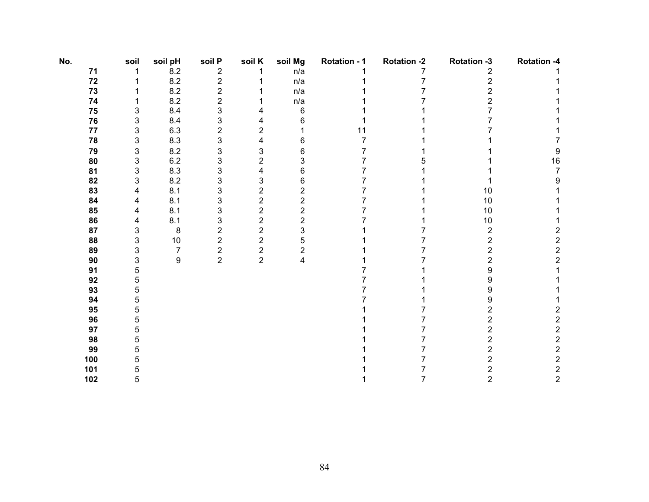| No. | soil | soil pH        | soil P                                | soil K                                | soil Mg                 | <b>Rotation - 1</b> | <b>Rotation -2</b> | <b>Rotation -3</b>      | <b>Rotation -4</b>      |
|-----|------|----------------|---------------------------------------|---------------------------------------|-------------------------|---------------------|--------------------|-------------------------|-------------------------|
| 71  |      | $8.2\,$        | $\overline{\mathbf{c}}$               |                                       | n/a                     |                     |                    | 2                       |                         |
| 72  |      | 8.2            | $\overline{2}$                        |                                       | n/a                     |                     |                    | 2                       |                         |
| 73  |      | $8.2\,$        | $\overline{c}$                        |                                       | n/a                     |                     |                    | $\overline{c}$          |                         |
| 74  |      | $8.2\,$        | $\overline{c}$                        |                                       | n/a                     |                     |                    | $\overline{c}$          |                         |
| 75  | 3    | 8.4            | 3                                     |                                       | $\,6$                   |                     |                    |                         |                         |
| 76  | 3    | 8.4            | 3                                     | 4                                     | 6                       |                     |                    |                         |                         |
| 77  | 3    | $6.3\,$        | 2                                     | $\overline{\mathbf{c}}$               |                         | 11                  |                    |                         |                         |
| 78  | 3    | 8.3            | 3                                     | 4                                     | 6                       | 7                   |                    |                         |                         |
| 79  | 3    | $8.2\,$        | 3                                     | 3                                     | 6                       | 7                   |                    |                         | 9                       |
| 80  | 3    | $6.2\,$        | 3                                     | $\overline{\mathbf{c}}$               | 3                       |                     |                    |                         | 16                      |
| 81  | 3    | 8.3            | 3                                     | 4                                     | 6                       |                     |                    |                         | $\overline{7}$          |
| 82  | 3    | $8.2\,$        | 3                                     | 3                                     | 6                       |                     |                    |                         | 9                       |
| 83  | 4    | 8.1            | 3                                     | $\overline{\mathbf{c}}$               | $\overline{c}$          |                     |                    | 10                      |                         |
| 84  | 4    | 8.1            | 3                                     | $\overline{\mathbf{c}}$               | $\overline{\mathbf{c}}$ |                     |                    | 10                      |                         |
| 85  | 4    | 8.1            | 3                                     | $\overline{c}$                        | $\overline{c}$          |                     |                    | 10                      |                         |
| 86  | 4    | 8.1            | 3                                     | $\overline{\mathbf{c}}$               | $\overline{2}$          |                     |                    | 10                      |                         |
| 87  | 3    | $\bf 8$        | $\overline{c}$                        | $\overline{\mathbf{c}}$               | 3                       |                     |                    | $\overline{\mathbf{c}}$ | 2                       |
| 88  | 3    | 10             | $\overline{2}$                        | $\overline{c}$                        | 5                       |                     |                    | $\overline{2}$          | $\overline{\mathbf{c}}$ |
| 89  | 3    | $\overline{7}$ | $\begin{array}{c} 2 \\ 2 \end{array}$ | $\begin{array}{c} 2 \\ 2 \end{array}$ | $\overline{\mathbf{c}}$ |                     |                    | 2                       | $\overline{\mathbf{c}}$ |
| 90  | 3    | 9              |                                       |                                       | $\overline{\mathbf{4}}$ |                     |                    | $\overline{c}$          | $\overline{2}$          |
| 91  | 5    |                |                                       |                                       |                         |                     |                    | 9                       |                         |
| 92  | 5    |                |                                       |                                       |                         |                     |                    | 9                       |                         |
| 93  | 5    |                |                                       |                                       |                         |                     |                    | 9                       |                         |
| 94  | 5    |                |                                       |                                       |                         |                     |                    | 9                       |                         |
| 95  | 5    |                |                                       |                                       |                         |                     |                    | 2                       | 2                       |
| 96  | 5    |                |                                       |                                       |                         |                     |                    | 2                       | $\overline{\mathbf{c}}$ |
| 97  | 5    |                |                                       |                                       |                         |                     |                    | $\overline{c}$          | $\overline{c}$          |
| 98  | 5    |                |                                       |                                       |                         |                     |                    | 2                       | $\overline{c}$          |
| 99  | 5    |                |                                       |                                       |                         |                     |                    | 2                       | $\overline{\mathbf{c}}$ |
| 100 | 5    |                |                                       |                                       |                         |                     |                    | $\overline{2}$          | $\frac{2}{2}$           |
| 101 | 5    |                |                                       |                                       |                         |                     |                    | 2                       |                         |
| 102 | 5    |                |                                       |                                       |                         |                     |                    |                         | 2                       |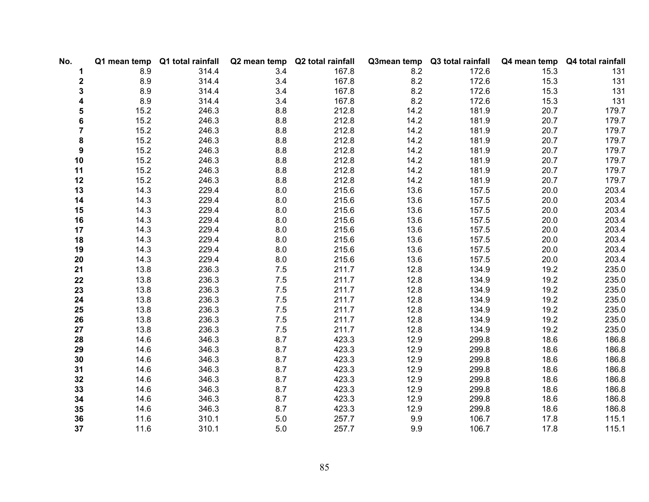| No. |      | Q1 mean temp Q1 total rainfall |       | Q2 mean temp Q2 total rainfall |      | Q3mean temp Q3 total rainfall |      | Q4 mean temp Q4 total rainfall |
|-----|------|--------------------------------|-------|--------------------------------|------|-------------------------------|------|--------------------------------|
| 1   | 8.9  | 314.4                          | 3.4   | 167.8                          | 8.2  | 172.6                         | 15.3 | 131                            |
| 2   | 8.9  | 314.4                          | 3.4   | 167.8                          | 8.2  | 172.6                         | 15.3 | 131                            |
| 3   | 8.9  | 314.4                          | 3.4   | 167.8                          | 8.2  | 172.6                         | 15.3 | 131                            |
| 4   | 8.9  | 314.4                          | 3.4   | 167.8                          | 8.2  | 172.6                         | 15.3 | 131                            |
| 5   | 15.2 | 246.3                          | 8.8   | 212.8                          | 14.2 | 181.9                         | 20.7 | 179.7                          |
| 6   | 15.2 | 246.3                          | 8.8   | 212.8                          | 14.2 | 181.9                         | 20.7 | 179.7                          |
| 7   | 15.2 | 246.3                          | 8.8   | 212.8                          | 14.2 | 181.9                         | 20.7 | 179.7                          |
| 8   | 15.2 | 246.3                          | 8.8   | 212.8                          | 14.2 | 181.9                         | 20.7 | 179.7                          |
| 9   | 15.2 | 246.3                          | 8.8   | 212.8                          | 14.2 | 181.9                         | 20.7 | 179.7                          |
| 10  | 15.2 | 246.3                          | 8.8   | 212.8                          | 14.2 | 181.9                         | 20.7 | 179.7                          |
| 11  | 15.2 | 246.3                          | 8.8   | 212.8                          | 14.2 | 181.9                         | 20.7 | 179.7                          |
| 12  | 15.2 | 246.3                          | 8.8   | 212.8                          | 14.2 | 181.9                         | 20.7 | 179.7                          |
| 13  | 14.3 | 229.4                          | 8.0   | 215.6                          | 13.6 | 157.5                         | 20.0 | 203.4                          |
| 14  | 14.3 | 229.4                          | 8.0   | 215.6                          | 13.6 | 157.5                         | 20.0 | 203.4                          |
| 15  | 14.3 | 229.4                          | 8.0   | 215.6                          | 13.6 | 157.5                         | 20.0 | 203.4                          |
| 16  | 14.3 | 229.4                          | 8.0   | 215.6                          | 13.6 | 157.5                         | 20.0 | 203.4                          |
| 17  | 14.3 | 229.4                          | 8.0   | 215.6                          | 13.6 | 157.5                         | 20.0 | 203.4                          |
| 18  | 14.3 | 229.4                          | 8.0   | 215.6                          | 13.6 | 157.5                         | 20.0 | 203.4                          |
| 19  | 14.3 | 229.4                          | 8.0   | 215.6                          | 13.6 | 157.5                         | 20.0 | 203.4                          |
| 20  | 14.3 | 229.4                          | 8.0   | 215.6                          | 13.6 | 157.5                         | 20.0 | 203.4                          |
| 21  | 13.8 | 236.3                          | 7.5   | 211.7                          | 12.8 | 134.9                         | 19.2 | 235.0                          |
| 22  | 13.8 | 236.3                          | 7.5   | 211.7                          | 12.8 | 134.9                         | 19.2 | 235.0                          |
| 23  | 13.8 | 236.3                          | 7.5   | 211.7                          | 12.8 | 134.9                         | 19.2 | 235.0                          |
| 24  | 13.8 | 236.3                          | $7.5$ | 211.7                          | 12.8 | 134.9                         | 19.2 | 235.0                          |
| 25  | 13.8 | 236.3                          | $7.5$ | 211.7                          | 12.8 | 134.9                         | 19.2 | 235.0                          |
| 26  | 13.8 | 236.3                          | 7.5   | 211.7                          | 12.8 | 134.9                         | 19.2 | 235.0                          |
| 27  | 13.8 | 236.3                          | $7.5$ | 211.7                          | 12.8 | 134.9                         | 19.2 | 235.0                          |
| 28  | 14.6 | 346.3                          | 8.7   | 423.3                          | 12.9 | 299.8                         | 18.6 | 186.8                          |
| 29  | 14.6 | 346.3                          | 8.7   | 423.3                          | 12.9 | 299.8                         | 18.6 | 186.8                          |
| 30  | 14.6 | 346.3                          | 8.7   | 423.3                          | 12.9 | 299.8                         | 18.6 | 186.8                          |
| 31  | 14.6 | 346.3                          | 8.7   | 423.3                          | 12.9 | 299.8                         | 18.6 | 186.8                          |
| 32  | 14.6 | 346.3                          | 8.7   | 423.3                          | 12.9 | 299.8                         | 18.6 | 186.8                          |
| 33  | 14.6 | 346.3                          | 8.7   | 423.3                          | 12.9 | 299.8                         | 18.6 | 186.8                          |
| 34  | 14.6 | 346.3                          | 8.7   | 423.3                          | 12.9 | 299.8                         | 18.6 | 186.8                          |
| 35  | 14.6 | 346.3                          | 8.7   | 423.3                          | 12.9 | 299.8                         | 18.6 | 186.8                          |
| 36  | 11.6 | 310.1                          | 5.0   | 257.7                          | 9.9  | 106.7                         | 17.8 | 115.1                          |
| 37  | 11.6 | 310.1                          | 5.0   | 257.7                          | 9.9  | 106.7                         | 17.8 | 115.1                          |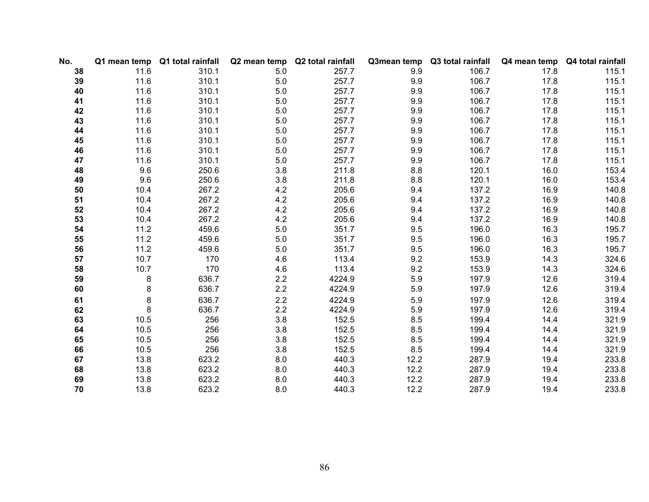| No. |         | Q1 mean temp Q1 total rainfall |       | Q2 mean temp Q2 total rainfall | Q3mean temp | Q3 total rainfall |      | Q4 mean temp  Q4 total rainfall |
|-----|---------|--------------------------------|-------|--------------------------------|-------------|-------------------|------|---------------------------------|
| 38  | 11.6    | 310.1                          | 5.0   | 257.7                          | 9.9         | 106.7             | 17.8 | 115.1                           |
| 39  | 11.6    | 310.1                          | $5.0$ | 257.7                          | 9.9         | 106.7             | 17.8 | 115.1                           |
| 40  | 11.6    | 310.1                          | $5.0$ | 257.7                          | 9.9         | 106.7             | 17.8 | 115.1                           |
| 41  | 11.6    | 310.1                          | $5.0$ | 257.7                          | 9.9         | 106.7             | 17.8 | 115.1                           |
| 42  | 11.6    | 310.1                          | 5.0   | 257.7                          | 9.9         | 106.7             | 17.8 | 115.1                           |
| 43  | 11.6    | 310.1                          | 5.0   | 257.7                          | 9.9         | 106.7             | 17.8 | 115.1                           |
| 44  | 11.6    | 310.1                          | 5.0   | 257.7                          | 9.9         | 106.7             | 17.8 | 115.1                           |
| 45  | 11.6    | 310.1                          | 5.0   | 257.7                          | 9.9         | 106.7             | 17.8 | 115.1                           |
| 46  | 11.6    | 310.1                          | $5.0$ | 257.7                          | 9.9         | 106.7             | 17.8 | 115.1                           |
| 47  | 11.6    | 310.1                          | $5.0$ | 257.7                          | 9.9         | 106.7             | 17.8 | 115.1                           |
| 48  | 9.6     | 250.6                          | 3.8   | 211.8                          | 8.8         | 120.1             | 16.0 | 153.4                           |
| 49  | 9.6     | 250.6                          | 3.8   | 211.8                          | 8.8         | 120.1             | 16.0 | 153.4                           |
| 50  | 10.4    | 267.2                          | 4.2   | 205.6                          | 9.4         | 137.2             | 16.9 | 140.8                           |
| 51  | 10.4    | 267.2                          | 4.2   | 205.6                          | 9.4         | 137.2             | 16.9 | 140.8                           |
| 52  | 10.4    | 267.2                          | 4.2   | 205.6                          | 9.4         | 137.2             | 16.9 | 140.8                           |
| 53  | 10.4    | 267.2                          | 4.2   | 205.6                          | 9.4         | 137.2             | 16.9 | 140.8                           |
| 54  | 11.2    | 459.6                          | $5.0$ | 351.7                          | 9.5         | 196.0             | 16.3 | 195.7                           |
| 55  | 11.2    | 459.6                          | $5.0$ | 351.7                          | 9.5         | 196.0             | 16.3 | 195.7                           |
| 56  | 11.2    | 459.6                          | $5.0$ | 351.7                          | 9.5         | 196.0             | 16.3 | 195.7                           |
| 57  | 10.7    | 170                            | 4.6   | 113.4                          | 9.2         | 153.9             | 14.3 | 324.6                           |
| 58  | 10.7    | 170                            | 4.6   | 113.4                          | 9.2         | 153.9             | 14.3 | 324.6                           |
| 59  | 8       | 636.7                          | 2.2   | 4224.9                         | 5.9         | 197.9             | 12.6 | 319.4                           |
| 60  | 8       | 636.7                          | 2.2   | 4224.9                         | 5.9         | 197.9             | 12.6 | 319.4                           |
| 61  | $\bf 8$ | 636.7                          | 2.2   | 4224.9                         | 5.9         | 197.9             | 12.6 | 319.4                           |
| 62  | 8       | 636.7                          | 2.2   | 4224.9                         | 5.9         | 197.9             | 12.6 | 319.4                           |
| 63  | 10.5    | 256                            | 3.8   | 152.5                          | 8.5         | 199.4             | 14.4 | 321.9                           |
| 64  | 10.5    | 256                            | 3.8   | 152.5                          | 8.5         | 199.4             | 14.4 | 321.9                           |
| 65  | 10.5    | 256                            | 3.8   | 152.5                          | 8.5         | 199.4             | 14.4 | 321.9                           |
| 66  | 10.5    | 256                            | 3.8   | 152.5                          | 8.5         | 199.4             | 14.4 | 321.9                           |
| 67  | 13.8    | 623.2                          | 8.0   | 440.3                          | 12.2        | 287.9             | 19.4 | 233.8                           |
| 68  | 13.8    | 623.2                          | 8.0   | 440.3                          | 12.2        | 287.9             | 19.4 | 233.8                           |
| 69  | 13.8    | 623.2                          | 8.0   | 440.3                          | 12.2        | 287.9             | 19.4 | 233.8                           |
| 70  | 13.8    | 623.2                          | 8.0   | 440.3                          | 12.2        | 287.9             | 19.4 | 233.8                           |